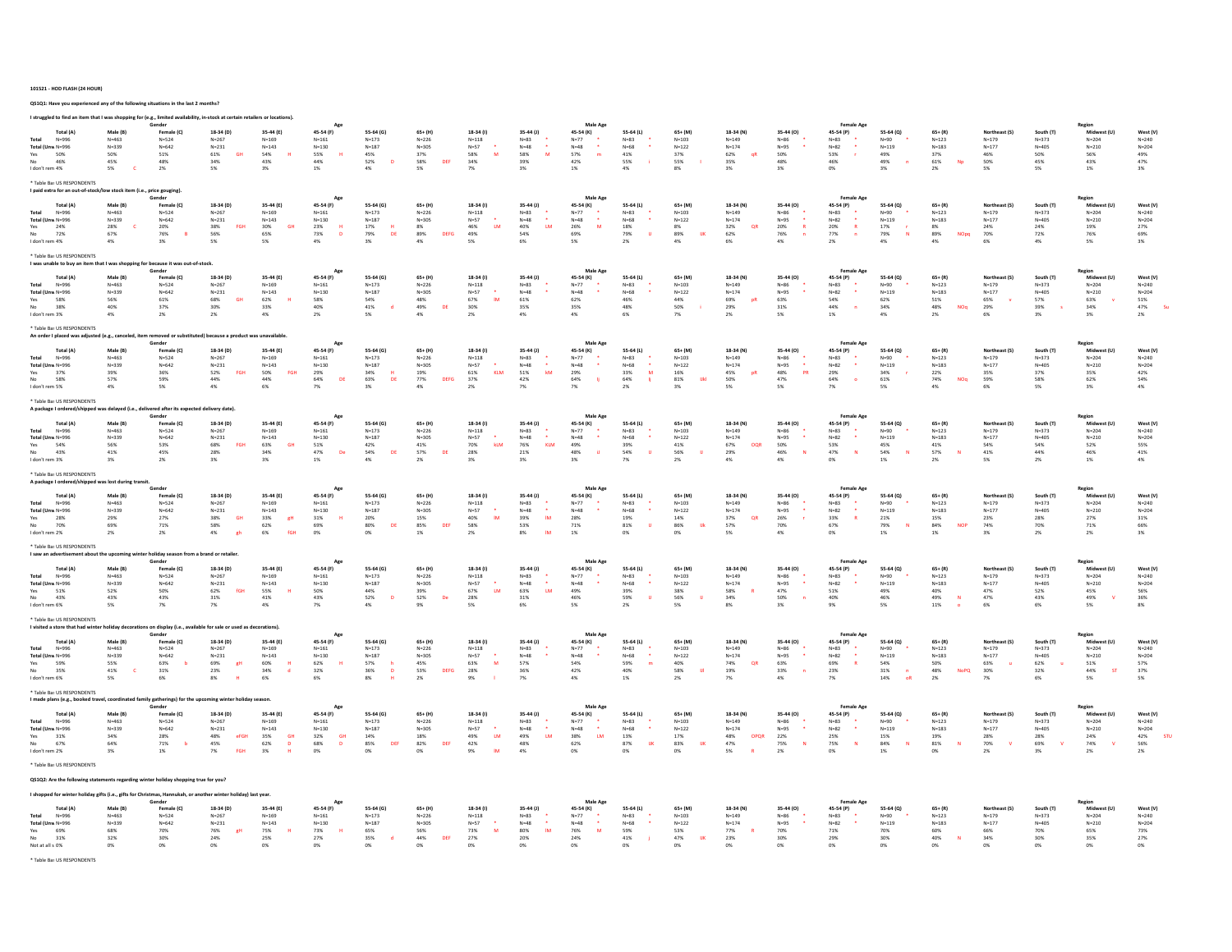#### 101521 - HOD FLASH (24 HOUR)

QS1Q1: Have you experienced any of the following situations in the last 2 months?

| I struggled to find an item that I was shopping for (e.g., limited availability, in-stock at certain retailers or locations) |                        | Gender                                                          |                                               |                                           |                                         |                                   |                           |                                |                                           | Male Age                |                          |                         |                               |                                              | <b>Female Age</b>              |                              |                           |                                  |                        |                          |                          |
|------------------------------------------------------------------------------------------------------------------------------|------------------------|-----------------------------------------------------------------|-----------------------------------------------|-------------------------------------------|-----------------------------------------|-----------------------------------|---------------------------|--------------------------------|-------------------------------------------|-------------------------|--------------------------|-------------------------|-------------------------------|----------------------------------------------|--------------------------------|------------------------------|---------------------------|----------------------------------|------------------------|--------------------------|--------------------------|
| Total (A)<br>$N = 996$<br>Total                                                                                              | Male (B)<br>$N = 463$  | Female (C)<br>$N = 524$                                         | 18-34 (D)<br>$N = 267$                        | 35-44 (E)<br>$N = 169$                    | 45-54 (F)<br>$N = 161$                  | 55-64 (G)<br>$N = 173$            | $65+ (H)$<br>$N = 226$    | 18-34 (I)<br>$N = 118$         | $35 - 44$ (J)<br>$N = 83$                 | 45-54 (K)<br>$N = 77$   | 55-64 (L)<br>$N = 83$    | $65+$ (M)<br>$N = 103$  | 18-34 (N)<br>$N = 149$        | 35-44 (0)<br>$N = 86$                        | 45-54 (P)<br>$N = 83$          | 55-64 (Q)<br>$N = 90$        | $65 + (R)$<br>$N = 123$   | <b>Northeast (S</b><br>$N = 179$ | South (T)<br>$N = 373$ | Midwest (U)<br>$N = 204$ | West (V)<br>$N = 240$    |
| Total (Unw N=996<br>Yes<br>50%                                                                                               | $N = 339$<br>50%       | $N = 642$<br>$51\%$                                             | $N = 231$<br>61%<br>GH                        | $N = 143$<br>54%                          | $N = 130$<br>55%                        | $N = 187$<br>45%                  | $N = 305$<br>37%          | $N = 57$<br>58%<br>M           | $\bullet$<br>$N = 48$<br>58%<br>M         | $N = 48$<br>57%         | $N = 68$<br>$41\%$       | $N = 122$<br>37%        | $N = 174$<br>62%<br>qF        | $N = 95$<br>50%                              | $N = 82$<br>53%                | $N = 119$<br>49%             | $N = 183$<br>37%          | $N = 177$<br>46%                 | $N = 405$<br>50%       | $N = 210$<br>$56\%$      | $N = 204$<br>49%         |
| 46%<br>I don't rem 4%                                                                                                        | 45%<br>5%              | 48%<br>2%                                                       | 34%<br>5%                                     | 43%<br>3%                                 | 44%<br>1%                               | 52%<br><b>D</b><br>4%             | 58%<br>DEE<br>5%          | 34%<br>7%                      | 39%<br>3%                                 | $42\%$<br>1%            | 55%<br>4%                | 55%<br>8%               | 35%<br>3%                     | 48%<br>3%                                    | 46%<br>0%                      | 49%<br>3%                    | 61%<br>Np<br>2%           | 50%<br>5%                        | 45%<br>5%              | 43%<br>$1\%$             | 47%<br>3%                |
| * Table Bas US RESPONDENTS<br>I paid extra for an out-of-stock/low stock item (i.e., price gouging)                          |                        | Gender                                                          |                                               |                                           |                                         |                                   |                           |                                |                                           | <b>Male Age</b>         |                          |                         |                               |                                              | Female Ae                      |                              |                           |                                  |                        | Region                   |                          |
| Total (A)<br>Total<br>$N = 996$                                                                                              | Male (B)<br>$N = 463$  | Female (C)<br>$N = 524$                                         | 18-34 (D)<br>$N = 267$                        | 35-44 (E)<br>$N = 169$                    | 45-54 (F)<br>$N = 161$                  | 55-64 (G)<br>$N = 173$            | $65+$ (H)<br>$N = 226$    | 18-34 (I)<br>$N = 118$         | $35 - 44$ (J)<br>$N = 83$                 | 45-54 (K)<br>$N=77$     | 55-64 (L)<br>$N = 83$    | $65+ (1M)$<br>$N = 103$ | 18-34 (N)<br>$N = 149$        | 35-44 (0)<br>$N = 86$                        | 45-54 (P)<br>$N = 83$          | 55-64 (Q)<br>$N = 90$        | $65 + (R)$<br>$N = 123$   | Northeast (S)<br>$N = 179$       | South (T)<br>$N = 373$ | Midwest (U)<br>$N = 204$ | West (V)<br>$N = 240$    |
| Total (Unw N=996                                                                                                             | $N = 339$              | $N = 642$                                                       | $N = 231$                                     | $N = 143$                                 | $N = 130$                               | $N = 187$                         | $N = 305$                 | $N = 57$                       | $\bullet$<br>$N = 48$                     | $N = 48$                | $N=68$                   | $N = 122$               | $N = 174$                     | $N = 95$                                     | $N = 82$                       | $N = 119$                    | $N = 183$                 | $N = 177$                        | $N = 405$              | $N = 210$                | $N = 204$                |
| Yes<br>24%<br>72%                                                                                                            | 28%<br>67%             | 20%<br>76%                                                      | FGH<br>38%<br>56%                             | 30%<br>GH<br>65%                          | 23%<br>73%<br>$\mathsf D$               | 17%<br>79%<br>DE                  | 8%<br>89%<br>DEFG         | LM<br>46%<br>49%               | 40%<br>LM<br>54%                          | M<br>26%<br>69%         | 18%<br>79%               | 8%<br>89%<br><b>UK</b>  | 32%<br>QR<br>62%              | $\overline{R}$<br>20%<br>76%<br>$\mathbf{n}$ | 20%<br>R<br>77%                | 17%<br>79%<br>N              | 8%<br>89%<br>NOpq         | 24%<br>70%                       | 24%<br>72%             | 19%<br>76%               | 27%<br>69%               |
| I don't rem 4%                                                                                                               | 4%                     | 3%                                                              | 5%                                            | 5%                                        | 4%                                      | 3%                                | 4%                        | 5%                             | 6%                                        | 5%                      | 2%                       | 4%                      | 6%                            | 4%                                           | 2%                             | 4%                           | 4%                        | 6%                               | 4%                     | 5%                       | 3%                       |
| * Table Bas US RESPONDENTS<br>I was unable to buy an item that I was shopping for because it was out-of-stock                |                        | Gender                                                          |                                               |                                           |                                         |                                   |                           |                                |                                           | Male Age                |                          |                         |                               |                                              |                                |                              |                           |                                  |                        |                          |                          |
| Total (A)<br>Total<br>$N = 996$                                                                                              | Male (R)<br>$N = 463$  | Female (C)<br>$N = 524$                                         | 18-34 (D)<br>$N = 267$                        | 35-44 (E)<br>$N = 169$                    | 45-54 (F)<br>$N = 161$                  | 55-64 (G)<br>$N = 173$            | $65+$ (H)<br>$N = 226$    | 18-34 (I)<br>$N = 118$         | 35-44 (J)<br>$N = 83$                     | 45-54 (K)<br>$N=77$     | 55-64 (L)<br>$N = 83$    | $65+$ (M)<br>$N = 103$  | 18-34 (N)<br>$N = 149$        | 35-44 (0)<br>$N = 86$                        | 45-54 (P)<br>$N = 83$          | 55-64 (Q)<br>$N = 90$        | $65 + (R)$<br>$N = 123$   | Northeast (S)<br>$N = 179$       | South (T)<br>$N = 373$ | Midwest (U)<br>$N = 204$ | West (V)<br>$N = 240$    |
| Total (Unw N=996<br>58%<br>Yes                                                                                               | $N = 339$<br>56%       | $N = 642$<br>61%                                                | $N = 231$<br>GH<br>68%                        | $N = 143$<br>62%<br>н                     | $N = 130$<br>58%                        | $N = 187$<br>54%                  | $N = 305$<br>48%          | $N = 57$<br>67%<br>IM          | $N = 48$<br>61%                           | $N = 48$<br>62%         | $N = 68$<br>46%          | $N = 122$<br>44%        | $N = 174$<br>69%<br>pR        | $N = 95$<br>63%                              | $N = 82$<br>54%                | $N = 119$<br>62%             | $N = 183$<br>51%          | $N = 177$<br>65%                 | $N = 405$<br>57%       | $N = 210$<br>63%         | $N = 204$<br>51%         |
| No<br>38%                                                                                                                    | 40%<br>4%              | 37%<br>2%                                                       | 30%                                           | 33%<br>4%                                 | 40%<br>2%                               | 41%                               | DE<br>49%                 | 30%                            | 35%<br>4%                                 | 35%<br>4%               | 48%<br>6%                | 50%                     | 29%                           | 31%<br>5%                                    | 44%                            | 34%<br>4%                    | 48%<br>NOg                | 29%                              | 39%                    | 34%<br>3%                | 47%<br>-St<br>2%         |
| I don't rem 3%<br>* Table Bas US RESPONDENTS<br>An order I placed was adjusted (e.g., canceled,                              |                        | n removed or substitu                                           | $2\%$<br>d) because a product was unavailable |                                           |                                         | 5%                                | $4\%$                     | 2%                             |                                           |                         |                          | $7\%$                   | 2%                            |                                              | $1\%$                          |                              | $2\%$                     | 6%                               | 3%                     |                          |                          |
| Total (A)                                                                                                                    | Male (B)               | Gender<br>Female (C)                                            | 18-34 (D)                                     | 35-44 (E)                                 | Age<br>45-54 (F)                        | 55-64 (G)                         | $65+$ (H)                 | 18-34 (I)                      | 35-44 (J)                                 | Male Age<br>45-54 (K)   | 55-64 (L)                | 65+ (M)                 | 18-34 (N)                     | 35-44 (O)                                    | 45-54 (P)                      | 55-64 (Q)                    | $65 + (R)$                | Northeast (S                     | South (T)              | Midwest (U)              | West (V)                 |
| Total<br>$N = 996$                                                                                                           | $N = 463$              | $N = 524$                                                       | $N = 267$                                     | $N = 169$                                 | $N = 161$                               | $N = 173$                         | $N = 226$                 | $N = 118$                      | $N = 83$<br>$\bullet$                     | $N = 77$                | $N = 83$<br>$\bullet$    | $N = 103$               | $N = 149$                     | $N = 86$                                     | $N = 83$                       | $N = 90$                     | $N = 123$                 | $N = 179$                        | $N = 373$              | $N = 204$                | $N = 240$                |
| Total (Unw N=996<br>Yes<br>37%                                                                                               | $N = 339$<br>39%       | $N = 642$<br>36%                                                | $N = 231$<br>FGH<br>52%                       | $N = 143$<br>50%<br>FGH                   | $N = 130$<br>29%                        | $N=187$<br>34%<br>H               | $N = 305$<br>19%          | $N=57$<br>61%<br><b>KLM</b>    | $N = 4R$<br>51%<br>kM                     | $N = 4R$<br>29%         | $N = 68$<br>33%<br>M     | $N = 122$<br>16%        | $N = 174$<br>45%<br><b>pR</b> | $N = 95$<br>48%<br><b>PR</b>                 | $N = R$<br>29%                 | $N = 119$<br>34%             | $N = 183$<br>22%          | $N = 177$<br>35%                 | $N = 405$<br>37%       | $N = 210$<br>35%         | $N = 204$<br>42%         |
| 58%<br>No<br>I don't rem 5%                                                                                                  | 57%<br>4%              | 59%<br>5%                                                       | 44%<br>4%                                     | 44%<br>6%                                 | DE<br>64%<br>7%                         | 63%<br>DE<br>3%                   | 77%<br><b>DEFG</b><br>4%  | 37%<br>2%                      | 42%<br>7%                                 | 64%<br>7%               | 64%<br>币<br>2%           | 81%<br><b>Ukl</b><br>3% | 50%<br>5%                     | 47%<br>5%                                    | 64%<br>7%                      | 61%<br>5%                    | 74%<br>NOq<br>4%          | 59%<br>6%                        | 58%<br>5%              | 62%<br>3%                | 54%<br>4%                |
| * Table Bas US RESPONDENTS<br>A package I ordered/shipped was delayed (i.e., delivered after its expected delivery date)     |                        |                                                                 |                                               |                                           |                                         |                                   |                           |                                |                                           |                         |                          |                         |                               |                                              |                                |                              |                           |                                  |                        |                          |                          |
| Total (A)                                                                                                                    | Male (B)               | Gender<br>Female (C)                                            | 18-34 (D)                                     | 35-44 (E)                                 | Age<br>45-54 (F)                        | 55-64 (G)                         | $65+ (H)$                 | 18-34 (I)                      | $35 - 44$ (J)                             | Male Age<br>45-54 (K)   | 55-64 (L)                | 65+ (M)                 | 18-34 (N)                     | 35-44 (0)                                    | <b>Female Age</b><br>45-54 (P) | 55-64 (Q)                    | $65 + (R)$                | Northeast (S)                    | South (T)              | Region<br>Midwest (U)    | West (V)                 |
| N=996<br>Total<br>Total (Unw N=996                                                                                           | $N = 463$<br>$N = 339$ | $N = 524$<br>$N = 642$                                          | $N = 267$<br>$N = 231$                        | $N = 169$<br>$N = 143$                    | $N = 161$<br>$N = 130$                  | $N = 173$<br>$N = 187$            | $N = 226$<br>$N = 305$    | $\mathsf{N}{=}118$<br>$N = 57$ | $N = 83$<br>$N = 48$<br>$\bullet$         | $N=77$<br>$N = 48$      | $N = 83$<br>$N = 68$     | $N = 103$<br>$N = 122$  | $N = 149$<br>$N=174$          | $N = 86$<br>$N = 95$                         | $N = 83$<br>$N = 82$           | $N = 90$<br>$N=119$          | $N = 123$<br>$N = 183$    | $N = 179$<br>$N = 177$           | $N = 373$<br>$N = 405$ | $N = 204$<br>$N = 210$   | $N = 240$<br>$N = 204$   |
| 54%<br>Yes<br>No.                                                                                                            | 56%                    | 53%                                                             | 68%<br>FGH                                    | 63%<br>GH                                 | $51\%$                                  | 42%                               | 41%                       | 70%<br>kLM                     | 76%<br><b>KLM</b>                         | 49%                     | 39%                      | $41\%$                  | 67%<br>OQR                    | 50%<br>$\overline{N}$                        | 53%<br>$\mathbf{N}$            | 45%                          | 41%                       | 54%                              | 54%                    | 52%                      | 55%                      |
| 43%<br>I don't rem 3%                                                                                                        | $41\%$<br>3%           | 45%<br>2%                                                       | 28%<br>3%                                     | 34%<br>3%                                 | 47%<br>De<br>1%                         | 54%<br>DE<br>4%                   | 57%<br>DE<br>2%           | 28%<br>3%                      | $21\%$<br>3%                              | 48%<br>3%               | 54%<br>7%                | 56%<br>2%               | 29%<br>4%                     | 46%<br>4%                                    | 47%<br>0%                      | 54%<br>1%                    | 57%<br>2%                 | $41\%$<br>5%                     | 44%<br>2%              | 46%<br>1%                | 41%<br>4%                |
| * Table Bas US RESPONDENTS<br>A package I ordered/shipped was lost during transit                                            |                        |                                                                 |                                               |                                           |                                         |                                   |                           |                                |                                           |                         |                          |                         |                               |                                              |                                |                              |                           |                                  |                        |                          |                          |
| <b>Total (A</b>                                                                                                              | Male (B                | Gender<br>Female (C)                                            | 18-34 (D)                                     | 35-44 (E)                                 | 45-54 (F)                               | $55 - 64$ (G)                     | $65+ (H)$                 | 18-34 (I)                      | $35 - 44$ (J)                             | Male Age<br>45-54 (K)   | 55-64 (L)                | 65+ (M)                 | 18-34 (N)                     | 35-44 (O)                                    | Female Age<br>45-54 (P)        | 55-64 (Q)                    | $65 + (R)$                | Northeast (S                     | South (T)              | Region<br>Midwest (U)    | West (V)                 |
| $N = 996$<br>Total (Unw N=996                                                                                                | $N = 463$<br>$N = 339$ | $N = 524$<br>$N = 642$                                          | $N = 267$<br>$N = 231$                        | $N = 169$<br>$N = 143$                    | $N = 161$<br>$N = 130$                  | $N = 173$<br>$N = 187$            | $N = 226$<br>$N = 305$    | $N = 118$<br>$N = 57$          | $N = 83$<br>$\bullet$<br>$N = 48$         | $N = 77$<br>$N = 48$    | $N=83$<br>$N = 68$       | $N = 103$<br>$N = 122$  | $N = 149$<br>$N = 174$        | $N = 86$<br>$N = 95$                         | $N = 83$<br>$N = 82$           | $N = 90$<br>$N = 119$        | $N = 123$<br>$N = 183$    | $N = 179$<br>$N = 177$           | $N = 373$<br>$N = 405$ | $N = 204$<br>$N = 210$   | $N = 240$<br>$N = 204$   |
| Yes<br>28%<br>70%                                                                                                            | 29%<br>69%             | 27%<br>71%                                                      | 38%<br>GH<br>58%                              | 33%<br>gH<br>62%                          | $31\%$<br>69%                           | 20%<br>80%<br>DE                  | 15%<br>85%<br>DEF         | 40%<br>IM<br>58%               | 39%<br>$\mathsf{IM}$<br>53%               | 28%<br>71%              | 19%<br>81%<br><b>III</b> | 14%<br>86%<br><b>Uk</b> | 37%<br>QR<br>57%              | 26%<br>$\mathbf{r}$<br>70%                   | 33%<br>R<br>67%                | 21%<br>79%<br>$\overline{N}$ | 15%<br>84%<br><b>NOF</b>  | 23%<br>74%                       | 28%<br>70%             | 27%<br>71%               | 31%<br>66%               |
| I don't rem 2%                                                                                                               | 2%                     | 2%                                                              | 4%                                            | $6\%$<br>fGH                              | 0%                                      | $0\%$                             | $1\%$                     | 2%                             | 8%<br><b>IM</b>                           | 1%                      | 0%                       | $0\%$                   | 5%                            | 4%                                           | $0\%$                          | 1%                           | 1%                        | $3\%$                            | $2\%$                  | $2\%$                    | 3%                       |
| * Table Bas LIS RESPONDENTS<br>I saw an advertisement about the upcoming winter holiday season from a brand or retailer      |                        | Gender                                                          |                                               |                                           |                                         |                                   |                           |                                |                                           | <b>Male Age</b>         |                          |                         |                               |                                              | <b>Female Age</b>              |                              |                           |                                  |                        | Region                   |                          |
| Total (A)                                                                                                                    | Male (B)               | Female (C)                                                      | 18-34 (D)                                     | 35-44 (E)                                 | 45-54 (F)                               | 55-64 (G)                         | $65+ (H)$                 | 18-34 (I)                      | $35 - 44$ (J)                             | 45-54 (K)               | 55-64 (L)                | $65+ (M)$               | 18-34 (N)                     | 35-44 (0)                                    | 45-54 (P)                      | 55-64 (Q)                    | $65 + (R)$                | Northeast (S)                    | South (T)              | Midwest (U)              | West (V)                 |
| Total<br>$N = 996$<br>Total (Unw N=996                                                                                       | $N = 463$<br>$N = 339$ | $N = 524$<br>$N = 642$                                          | $N = 267$<br>$N = 231$                        | $N = 169$<br>$N = 143$                    | $N = 161$<br>$N = 130$                  | $N = 173$<br>$N = 187$            | $N = 226$<br>$N = 305$    | $N = 118$<br>$N = 57$          | $N = 83$<br>$N = 48$<br>$\bullet$         | $N=77$<br>$N = 48$      | $N = 83$<br>$N = 68$     | $N = 103$<br>$N = 122$  | $N = 149$<br>$N=174$          | $N = 86$<br>$N = 95$                         | $N = 83$<br>$N = 82$           | $N = 90$<br>$N = 119$        | $N = 123$<br>$N = 183$    | $N = 179$<br>$N = 177$           | $N = 373$<br>$N = 405$ | $N = 204$<br>$N = 210$   | $N = 240$<br>$N = 204$   |
| Yes<br>51%<br>43%                                                                                                            | 52%<br>43%             | 50%<br>43%                                                      | fGH<br>62%<br>31%                             | 55%<br>41%                                | 50%<br>43%                              | 44%<br>52%<br>$\overline{D}$      | 39%<br>52%<br>De          | 67%<br>LM<br>28%               | 63%<br><b>LM</b><br>$31\%$                | 49%<br>46%              | 39%<br>59%               | 38%<br>56%              | 58%<br>34%                    | 47%<br>50%                                   | 51%<br>40%                     | 49%<br>46%                   | 40%<br>49%                | 47%<br>47%                       | 52%<br>43%             | 45%<br>49%               | 56%<br>36%               |
| I don't rem 6%                                                                                                               | 5%                     | 7%                                                              | 7%                                            | 4%                                        | 7%                                      | 4%                                | 9%                        | 5%                             | 6%                                        | 5%                      | 2%                       | 5%                      | 8%                            | 3%                                           | 9%                             | 5%                           | 11%                       | 6%                               | 6%                     | 5%                       | 8%                       |
| * Table Bas US RESPONDENTS<br>I visited a store that had winter holiday deco                                                 |                        | s on display (i.e., available for sale or used as dec<br>Gender |                                               |                                           |                                         |                                   |                           |                                |                                           | Male Ag                 |                          |                         |                               |                                              | Female                         |                              |                           |                                  |                        |                          |                          |
| <b>Total (A)</b><br>Total<br>$N = 996$                                                                                       | Male (B)<br>$N = 463$  | Female (C)<br>$N = 524$                                         | 18-34 (D)<br>$N = 267$                        | 35-44 (E)<br>$N = 169$                    | 45-54 (F)<br>$N = 161$                  | 55-64 (G)<br>$N = 173$            | $65+$ (H)<br>$N = 226$    | 18-34 (I)<br>$N = 118$         | $35 - 44$ (J)<br>$N = 83$                 | 45-54 (K)<br>$N=77$     | 55-64 (L)<br>$N = 83$    | 65+ (M)<br>$N = 103$    | 18-34 (N)<br>$N = 149$        | 35-44 (O)<br>$N = 86$                        | 45-54 (P)<br>$N = 83$          | 55-64 (Q)<br>$N = 90$        | $65 + (R)$<br>$N = 123$   | Northeast (S)<br>$N = 179$       | South (T)<br>$N = 373$ | Midwest (U)<br>$N = 204$ | West (V)<br>$N = 240$    |
| Total (Unw N=996                                                                                                             | $N = 339$              | $N = 642$                                                       | $N = 231$                                     | $N = 143$                                 | $N = 130$                               | $N = 187$                         | $N = 305$                 | $N = 57$                       | $N=48$                                    | $N = 48$                | $N = 68$                 | $N = 122$               | $N = 174$                     | $N = 95$                                     | $N = 82$                       | $N = 119$                    | $N = 183$                 | $N = 177$                        | $N = 405$              | $N = 210$                | $N = 204$                |
| 59%<br>Yes<br>35%                                                                                                            | 55%<br>41%             | 63%<br>31%                                                      | 69%<br>gH<br>23%                              | 60%<br>$\mathbf{H}$<br>34%<br>- d         | 62%<br>32%                              | 57%<br>h<br>36%<br>$\blacksquare$ | 45%<br>53%<br><b>DEFG</b> | 63%<br><b>M</b><br>28%         | 57%<br>36%                                | 54%<br>42%              | 59%<br>m<br>40%          | 40%<br>58%              | 74%<br>OR<br>19%              | 63%<br>33%<br>- n                            | 69%<br>23%                     | 54%<br>31%                   | 50%<br>48%<br><b>NoPO</b> | 63%<br>30%                       | 62%<br>32%             | 51%<br><b>ST</b><br>44%  | 57%<br>37%               |
| I don't rem 6%                                                                                                               | 5%                     | 6%                                                              | 8%                                            | 6%                                        | 6%                                      | 8%                                | 2%                        | 9%                             | 7%                                        | 4%                      | 1%                       | 2%                      | 7%                            | 4%                                           | 7%                             | 14%<br>oR                    | 2%                        | 7%                               | 6%                     | 5%                       | 5%                       |
| * Table Bas US RESPONDENTS<br>I made plans (e.g., bo                                                                         |                        | ily gatherings) for the up<br>Gender                            | iing winter hol                               |                                           |                                         |                                   |                           |                                |                                           | Male Ag                 |                          |                         |                               |                                              |                                |                              |                           |                                  |                        |                          |                          |
| Total (A)<br>$N = 996$<br>Total                                                                                              | Male (B)<br>$N = 463$  | Female (C)<br>$N = 524$                                         | 18-34 (D)<br>$N = 267$                        | 35-44 (E)<br>$N = 169$                    | 45-54 (F)<br>$N = 161$                  | 55-64 (G)<br>$N = 173$            | $65+$ (H)<br>$N = 226$    | 18-34 (I)<br>$N = 118$         | $35 - 44$ (J)<br>$N = 83$                 | 45-54 (K)<br>$N=77$     | 55-64 (L)<br>$N = 83$    | $65 + (M)$<br>$N = 103$ | 18-34 (N)<br>$N = 149$        | 35-44 (O)<br>$N = 86$                        | 45-54 (P)<br>$N = 83$          | 55-64 (Q)<br>$N = 90$        | $65 + (R)$<br>$N = 123$   | Northeast (S)<br>$N = 179$       | South (T)<br>$N = 373$ | Midwest (U)<br>$N = 204$ | West (V)<br>$N = 240$    |
| Total (Unw N=996                                                                                                             | $N = 339$              | $N = 642$                                                       | $N = 231$                                     | $N = 143$                                 | $N = 130$                               | $N=187$                           | $N = 305$                 | $N = 57$                       | $\bullet$<br>$N = 4R$                     | $N = 4R$                | $N = 68$                 | $N = 122$               | $N = 174$                     | $N = 95$                                     | $N = R$                        | $N = 119$                    | $N = 183$                 | $N = 177$                        | $N = 405$              | $N = 210$                | $N = 204$                |
| 31%<br>67%                                                                                                                   | 34%<br>64%             | 28%<br>71%<br>b                                                 | eFGH<br>48%<br>45%                            | 35%<br><b>GH</b><br>62%<br>$\overline{D}$ | 32%<br><b>GH</b><br>68%<br>$\mathbf{D}$ | 14%<br>DEF<br>85%                 | 18%<br>82%<br>DEF         | 49%<br><b>LM</b><br>42%        | 49%<br><b>LM</b><br>48%                   | <b>LM</b><br>38%<br>62% | 13%<br>87%<br><b>UK</b>  | 17%<br>83%<br><b>UK</b> | 48%<br>OPOR<br>47%            | 22%<br>75%<br>$\mathbf N$                    | 25%<br>75%<br>N                | 15%<br>84%<br>$\mathbf{N}$   | 19%<br>81%<br><b>N</b>    | 28%<br>70%<br>$\mathbf v$        | 28%<br>69%             | 24%<br>74%<br>v          | 42%<br><b>STU</b><br>56% |
| I don't rem 2%                                                                                                               | 3%                     | 1%                                                              | FGH<br>7%                                     | 3%                                        | 0%                                      | 0%                                | 0%                        | $\mathbf{I}$<br>9%             | 4%                                        | 0%                      | 0%                       | 0%                      | 5%                            | 2%                                           | 0%                             | 1%                           | 0%                        | 2%                               | 3%                     | 2%                       | 2%                       |
| * Table Bas US RESPONDENTS                                                                                                   |                        |                                                                 |                                               |                                           |                                         |                                   |                           |                                |                                           |                         |                          |                         |                               |                                              |                                |                              |                           |                                  |                        |                          |                          |
| QS1Q2: Are the following statements regarding winter holiday shopping true for you?                                          |                        |                                                                 |                                               |                                           |                                         |                                   |                           |                                |                                           |                         |                          |                         |                               |                                              |                                |                              |                           |                                  |                        |                          |                          |
| I shopped for winter holiday gifts (i.e., gifts for Christmas, Hannukah, or                                                  |                        | Gender                                                          |                                               |                                           |                                         |                                   |                           |                                |                                           | Male Age                |                          |                         |                               |                                              |                                |                              |                           |                                  |                        |                          |                          |
| Total (A)<br>$N = 996$<br>Total                                                                                              | Male (B)<br>$N = 463$  | Female (C)<br>$N = 524$                                         | 18-34 (D)<br>$N = 267$                        | 35-44 (E)<br>$N = 169$                    | 45-54 (F)<br>$N = 161$                  | 55-64 (G)<br>$N = 173$            | 65+ (H)<br>$N=226$        | 18-34 (I)<br>$N = 118$         | 35-44 (J)<br>$N = 83$                     | 45-54 (K)<br>$N = 77$   | 55-64 (L)<br>$N = 83$    | 65+ (M)<br>$N = 103$    | 18-34 (N)<br>$N = 149$        | 35-44 (0)<br>$N = 86$                        | 45-54 (P)<br>$N = 83$          | 55-64 (Q)<br>$N = 90$        | $65 + (R)$<br>$N = 123$   | Northeast (S<br>$N = 179$        | South (T)<br>$N = 373$ | Midwest (U)<br>$N = 204$ | West (V)<br>$N = 240$    |
| Total (Unw N=996<br>Yes<br>69%                                                                                               | $N = 339$<br>68%       | $N = 642$<br>70%                                                | $N = 231$<br>gH<br>76%                        | $N = 143$<br>75%                          | $N = 130$<br>73%                        | $N = 187$<br>65%                  | $N = 305$<br>56%          | $N = 57$<br>73%<br>M           | $\bullet$<br>$N = 48$<br>80%<br><b>IM</b> | $N = 48$<br>M<br>76%    | $N = 68$<br>59%          | $N = 122$<br>53%        | $N = 174$<br>77%              | $N = 95$<br>70%                              | $N = 82$<br>71%                | $N = 119$<br>70%             | $N = 183$<br>60%          | $N = 177$<br>66%                 | $N = 405$<br>70%       | $N = 210$<br>65%         | $N = 204$<br>73%         |
| 31%                                                                                                                          | 32%<br>0%              | 30%<br>0%                                                       | 24%                                           | 25%                                       | 27%<br>0%                               | 35%                               | 44%<br><b>DEF</b>         | 27%<br>0%                      | 20%<br>0%                                 | 24%                     | 41%                      | 47%<br><b>UK</b>        | 23%                           | 30%                                          | 29%                            | 30%                          | 40%                       | 34%                              | 30%<br>0%              | 35%                      | 27%                      |
| Not at all s 0%                                                                                                              |                        |                                                                 | 0%                                            | 0%                                        |                                         | 0%                                | 0%                        |                                |                                           | 0%                      | 0%                       | 0%                      | 0%                            | 0%                                           | 0%                             | 0%                           | 0%                        | 0%                               |                        | 0%                       | 0%                       |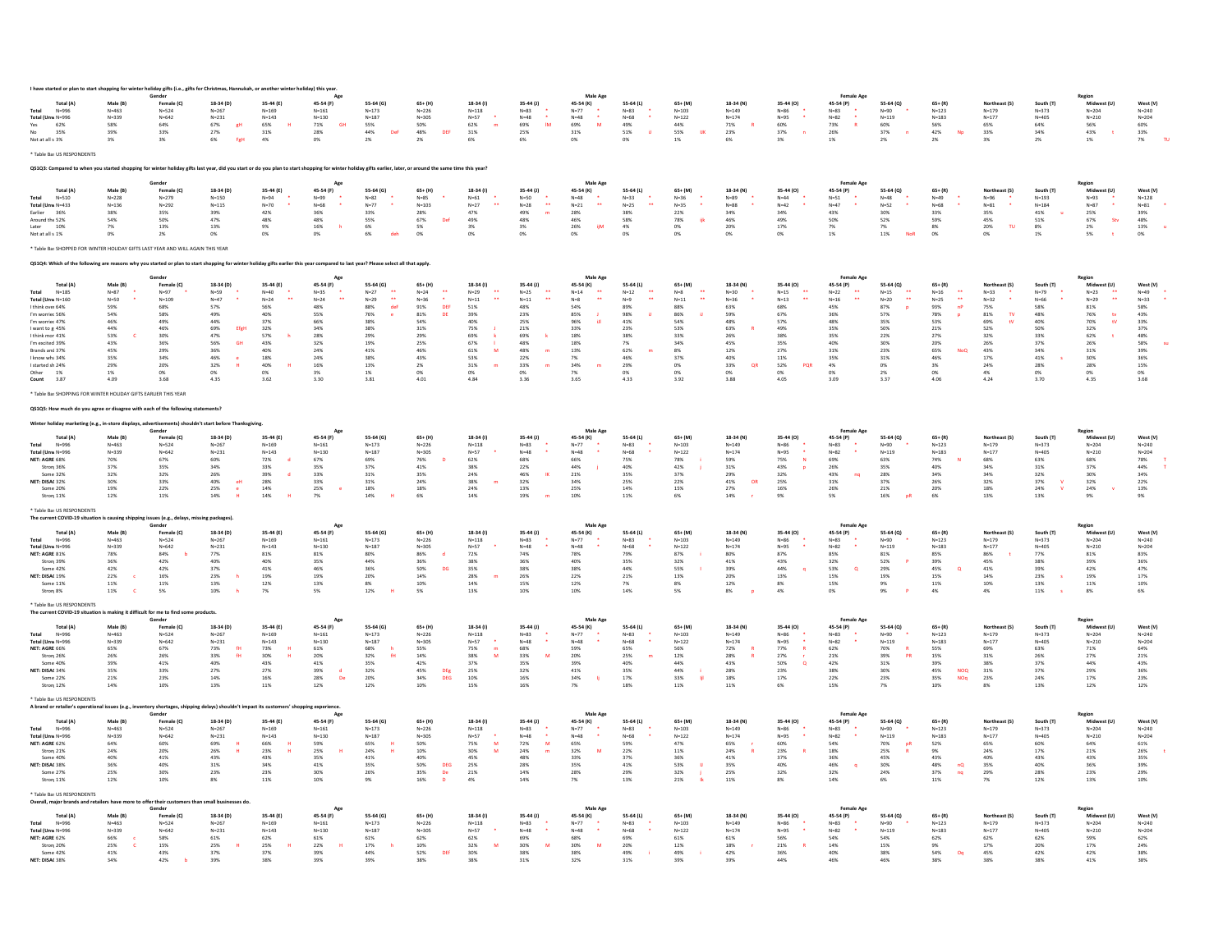|                                                                                                                                                                                                             |                        | dav eifts (i.e               |                                                     |                                            |                        |                                                |                                    |                          |                                         |                                      |                              |                        |                        |                                       |                                |                       |                                               |                            |                                 |                           |                        |
|-------------------------------------------------------------------------------------------------------------------------------------------------------------------------------------------------------------|------------------------|------------------------------|-----------------------------------------------------|--------------------------------------------|------------------------|------------------------------------------------|------------------------------------|--------------------------|-----------------------------------------|--------------------------------------|------------------------------|------------------------|------------------------|---------------------------------------|--------------------------------|-----------------------|-----------------------------------------------|----------------------------|---------------------------------|---------------------------|------------------------|
| Total (A)<br>$N = 996$                                                                                                                                                                                      | Male (B)<br>$N = 463$  | Female (C)<br>$N = 524$      | 18-34 (D)<br>$N = 267$                              | 35-44 (E)<br>$N = 169$                     | 45-54 (F)<br>$N = 161$ | 55-64 (G)<br>$N = 173$                         | $65+$ (H)<br>$N = 226$             | 18-34 (I)<br>$N = 118$   | $35 - 44$ (J)<br>$N = 83$               | 45-54 (K)<br>$N=77$                  | 55-64 (L)<br>$N = 83$        | 65+ (M)<br>$N = 103$   | 18-34 (N)<br>$N = 149$ | 35-44 (O)<br>$N = 86$                 | 45-54 (P)<br>$N = 83$          | 55-64 (Q)<br>$N = 90$ | $65 + (R)$<br>$N = 123$                       | Northeast (S)<br>$N = 179$ | South (T)<br>$N = 373$          | Midwest (U)<br>$N = 204$  | West (V)<br>$N = 240$  |
| Total (Unw N=996                                                                                                                                                                                            | $N = 339$              | $N = 642$                    | $N = 231$                                           | $N = 143$                                  | $N = 130$              | $N = 187$                                      | $N = 305$                          | $N = 57$                 | $N=48$<br><b>IM</b>                     | $N = 48$<br>M                        | $N = 68$                     | $N = 122$              | $N = 174$              | $N = 95$                              | $N = 82$                       | $N = 119$             | $N = 183$                                     | $N = 177$                  | $N = 405$                       | $N=210$                   | $N=204$                |
| 62%<br>Yes<br>35%                                                                                                                                                                                           | 58%<br>39%             | $64\%$<br>33%                | 67%<br>gH<br>27%                                    | 65%<br>$31\%$                              | 71%<br>GH<br>28%       | 55%<br>44%<br>Del                              | 50%<br>48%<br>DEF                  | 62%<br>$31\%$            | 69%<br>25%                              | 69%<br>31%                           | 49%<br>51%<br>$\overline{1}$ | $44\%$<br>55%<br>UK    | $71\%$<br>23%          | 60%<br>37%                            | 73%<br>26%                     | 60%<br>37%            | 56%<br>42%<br>Np                              | 65%<br>33%                 | 64%<br>34%                      | 56%<br>43%                | 60%<br>33%             |
| Not at all s 3%                                                                                                                                                                                             | 3%                     | 3%                           | 6%<br>FgH                                           | 4%                                         | 0%                     | 2%                                             | 2%                                 | 6%                       | 6%                                      | 0%                                   | O%                           | 1%                     | 6%                     | 3%                                    | 1%                             | 2%                    | 2%                                            | 3%                         | 2%                              | 1%                        | TU.<br>7%              |
| * Table Bas US RESPONDENTS                                                                                                                                                                                  |                        |                              |                                                     |                                            |                        |                                                |                                    |                          |                                         |                                      |                              |                        |                        |                                       |                                |                       |                                               |                            |                                 |                           |                        |
| QS1Q3: Compared to when you started shopping for winter holiday gifts last year, did you start or do you plan to start shopping for winter holiday gifts earlier, later, or around the same time this year? |                        |                              |                                                     |                                            |                        |                                                |                                    |                          |                                         |                                      |                              |                        |                        |                                       |                                |                       |                                               |                            |                                 |                           |                        |
| Total (A)                                                                                                                                                                                                   | Male (B)               | Gender<br>Female (C)         | 18-34 (D)                                           | 35-44 (E)                                  | 45-54 (F)              | 55-64 (G)                                      | $65+$ (H)                          | 18-34 (I)                | $35 - 44$ (J)                           | Male Age<br>45-54 (K)                | 55-64 (L)                    | $65+ (M)$              | 18-34 (N)              | 35-44 (O)                             | <b>Female Ag</b><br>45-54 (P)  | 55-64 (Q)             | $65 + (R)$                                    | Northeast (S)              | South (T)                       | Region<br>Midwest (U)     | West (V)               |
| $N = 510$<br>Total                                                                                                                                                                                          | $N=228$                | $N = 279$                    | $N = 150$                                           | $N = 94$                                   | $N = 99$               | $N = 82$                                       | $N = 85$                           | $N=61$<br>$\mathbf{r}$   | $N = 50$<br>$\ddot{\phantom{1}}$        | $N = 48$<br>$\ddot{\phantom{1}}$     | $N = 33$                     | $N = 36$               | $N = 89$               | $N = 44$<br>$N=42$                    | $N = 51$<br>$N=47$             | $N = 48$<br>$N = 52$  | $N = 49$                                      | $N = 96$                   | $N = 193$                       | $N = 93$                  | $N = 128$              |
| Total (Unw N=433<br>Earlier<br>36%                                                                                                                                                                          | $N=136$<br>38%         | $N=292$<br>$35\%$            | $N = 115$<br>39%                                    | $N=70$<br>42%                              | $N = 68$<br>36%        | $N=77$<br>33%                                  | $N = 103$<br>28%                   | $N=27$<br>47%            | $N=28$<br>49%<br>$\sim$                 | $N=21$<br>28%                        | $N=25$<br>38%                | $N = 35$<br>$22\%$     | $N = 88$<br>34%        | 34%                                   | 43%                            | 30%                   | $N = 68$<br>33%                               | $N=81$<br>35%              | $N = 184$<br>41%                | $N=87$<br>25%             | $N = 81$<br>39%        |
| Around the 52%<br>10%                                                                                                                                                                                       | 54%<br>7%              | 50%<br>13%                   | 47%<br>13%                                          | 48%<br>9%                                  | 48%<br>16%             | 55%<br>6%                                      | 67%<br>De<br>5%                    | 49%<br>3%                | 48%<br>3%                               | 46%<br>26%<br><b>iiM</b>             | 58%<br>4%                    | 78%<br>冊<br>0%         | 46%<br>20%             | 49%<br>17%                            | 50%<br>7%                      | 52%<br>7%             | 59%<br>8%                                     | 45%<br>20%<br>TU           | 51%<br>8%                       | 67%<br>Sty<br>2%          | 48%<br>13%             |
| Not at all s 1%                                                                                                                                                                                             | 0%                     | 2%                           | 0%                                                  | 0%                                         | 0%                     | 6%<br>de                                       | 0%                                 | 0%                       | 0%                                      | 0%                                   | 0%                           | 0%                     | 0%                     | 0%                                    | 1%                             | $11\%$                | 0%                                            | 0%                         | 1%                              | $5\%$                     | 0%                     |
| Table Bas SHOPPED FOR WINTER HOLIDAY GIFTS LAST YEAR AND WILL AGAIN THIS YEAR                                                                                                                               |                        |                              |                                                     |                                            |                        |                                                |                                    |                          |                                         |                                      |                              |                        |                        |                                       |                                |                       |                                               |                            |                                 |                           |                        |
| QS1Q4: Which of the following are reasons why you started or plan to start shopping for winter holiday gifts earlier this year compared to last year? Please select all that apply                          |                        |                              |                                                     |                                            |                        |                                                |                                    |                          |                                         |                                      |                              |                        |                        |                                       |                                |                       |                                               |                            |                                 |                           |                        |
| Total (A)                                                                                                                                                                                                   | Male (B)               | Female (C)                   | 18-34 (D)                                           | 35-44 (E)                                  | 45-54 (F)              | 55-64 (G)                                      | 65+ (H)                            | $18-34$ (i)              | $35 - 44$ (J)                           | Male Age<br>45-54 (K)                | 55-64 (L)                    | 65+ (M)                | 18-34 (N)              | 35-44 (0)                             | <b>Female Age</b>              | 55-64 (Q)             | $65 + (R)$                                    | Northeast (S)              | South (T)                       | Region<br>Midwest (U)     | West (V)               |
| $N=185$                                                                                                                                                                                                     | $N = 87$               | $N = 97$                     | $N = 59$                                            | $N = 40$                                   | $N = 35$               | $N=27$                                         | $N=24$                             | $N = 29$                 | $N = 25$                                | $N = 14$                             | $N=12$                       | $N = 8$                | $N = 30$               | $N = 15$                              | 45-54 (P)<br>$N=22$            | $N = 15$              | $N = 16$                                      | $N = 33$                   | $N = 79$                        | $N = 23$                  | $N = 49$               |
| Total (Unw N=160<br>I think over 64%                                                                                                                                                                        | $N = 50$<br>59%        | $N = 109$<br>68%             | $N=47$<br>57%                                       | $N=24$<br>56%                              | $N = 24$<br>48%        | $\ddot{\phantom{1}}$<br>$N = 29$<br>def<br>88% | $N = 36$<br>91%<br>DEF             | $\sim$<br>$N=11$<br>51%  | $\ddot{\phantom{a}}$<br>$N = 11$<br>48% | $\ddot{\phantom{1}}$<br>$N=8$<br>54% | $N = 9$<br>89%               | $N = 11$<br>88%        | $N = 36$<br>63%        | $\ddot{\phantom{0}}$<br>$N=13$<br>68% | $N = 16$<br>45%                | 44<br>$N = 20$<br>87% | $\ddot{\phantom{1}}$<br>$N = 25$<br>93%<br>nP | $N = 32$<br>75%            | $N = 66$<br>58%                 | $\sim$<br>$N = 29$<br>81% | $N = 33$<br>58%        |
| m worrier 56%                                                                                                                                                                                               | 54%                    | 58%                          | 49%                                                 | 40%                                        | 55%                    | 76%                                            | 81%<br>DE                          | 39%                      | 23%                                     | 85%                                  | 98%                          | 86%                    | 59%                    | 67%                                   | 36%                            | 579                   | 78%<br>p                                      | 81%<br>T <sub>0</sub>      | 48%                             | 76%<br>tv                 | 43%                    |
| m worrier 47%                                                                                                                                                                                               | 46%                    | 49%                          | 44%                                                 | 37%                                        | 669                    | 38%                                            | 54%                                | 40%                      | 25%                                     | 96%                                  | 41%                          | 54%                    | 48%                    | 57%                                   | 48%                            | 35%                   | 53%                                           | 69%                        | 40%                             | 70%<br>tV                 | 33%                    |
| I want to g 45%<br>I think mor 41%                                                                                                                                                                          | 44%<br>53%             | 46%<br>30%                   | 69%<br>EfgH<br>47%                                  | 32%<br>57%                                 | 34%<br>28%             | 38%<br>29%                                     | 31%<br>29%                         | 75%<br>69%               | 21%<br>69%                              | 33%<br>18%                           | 23%<br>38%                   | 53%<br>33%             | 63%<br>26%             | 49%<br>38%                            | 35%<br>35%                     | 50%<br>22%            | 21%<br>27%                                    | 52%<br>32%                 | 50%<br>33%                      | 32%<br>62%                | 37%<br>48%             |
| I'm excited 39%                                                                                                                                                                                             | 43%                    | 36%                          | GH<br>56%                                           | 43%                                        | 32%                    | 19%                                            | 25%                                | 67%                      | 48%                                     | 18%                                  | 7%                           | 34%                    | 45%                    | 35%                                   | 40%                            | 30%                   | 20%                                           | 26%                        | 37%                             | 26%                       | 58%                    |
| Brands and 37%<br>I know wha 34%                                                                                                                                                                            | 45%<br>35%             | 29%<br>34%                   | 36%<br>46%                                          | 40%<br>18%                                 | 24%<br>24%             | 41%<br>38%                                     | 46%<br>43%                         | 61%<br>M<br>53%          | 48%<br>22%                              | $13\%$<br>7%                         | 62%<br>46%                   | 8%<br>37%              | 12%<br>40%             | 27%<br>11%                            | 31%<br>35%                     | 23%<br>31%            | 65%<br><b>NoQ</b><br>46%                      | 43%<br>17%                 | 34%<br>41%                      | $31\%$<br>30%             | 39%<br>36%             |
| I started sh 24%                                                                                                                                                                                            | 29%                    | 20%                          | 32%                                                 | 40%                                        | 16%                    | 13%                                            | 2%                                 | 31%                      | 33%                                     | 34%                                  | 29%                          | $0\%$                  | 33%<br>OF              | 52%<br>POR                            | 4%                             | 0%                    | 3%                                            | 24%                        | 28%                             | 28%                       | 15%                    |
| Other<br>1%<br>Count<br>3.87                                                                                                                                                                                | 1%<br>4.09             | 0%<br>3.68                   | 0%<br>4.35                                          | 0%<br>3.62                                 | 3%<br>3.30             | 1%<br>3.81                                     | 0%<br>4.01                         | 0%<br>4.84               | 0%<br>3.36                              | 7%<br>3.65                           | 0%<br>4.33                   | 0%<br>3.92             | 0%<br>3.88             | 0%<br>4.05                            | 0%<br>3.09                     | 2%<br>3.37            | 0%<br>4.06                                    | 4%<br>4.24                 | 0%<br>3.70                      | 0%<br>4.35                | 0%<br>3.68             |
| Table Bas SHOPPING FOR WINTER HOLIDAY GIFTS EARLIER THIS YEAR                                                                                                                                               |                        |                              |                                                     |                                            |                        |                                                |                                    |                          |                                         |                                      |                              |                        |                        |                                       |                                |                       |                                               |                            |                                 |                           |                        |
| QS1Q5: How much do you agree or disagree with each of the following statements?                                                                                                                             |                        |                              |                                                     |                                            |                        |                                                |                                    |                          |                                         |                                      |                              |                        |                        |                                       |                                |                       |                                               |                            |                                 |                           |                        |
| Winter holiday marketing (e.g., in-store displays                                                                                                                                                           |                        |                              | advertisements) shouldn't start before Thanksgiving |                                            |                        |                                                |                                    |                          |                                         |                                      |                              |                        |                        |                                       |                                |                       |                                               |                            |                                 |                           |                        |
| Total (A                                                                                                                                                                                                    | Male (B                | Gender<br>Female (C)         | 18-34 (D                                            | 35-44 (E)                                  | 45-54 (F)              | 55-64 (G)                                      | 65+ (H                             | 18-34 (I)                | 35-44 (J)                               | Male Age<br>45-54 (K)                | 55-64 (L)                    | 65+ (M)                | 18-34 (N)              | 35-44 (O)                             | 45-54 (P)                      | 55-64 (Q)             | $65 + (R)$                                    |                            | South (T)                       | Region<br>Midwest (U      | West (V)               |
| Total<br>$N = 996$                                                                                                                                                                                          | $N = 463$              | $N = 524$                    | $N = 267$                                           | $N = 169$                                  | $N = 161$              | $N = 173$                                      | $N = 226$                          | $N = 118$                | $N = 83$                                | $N=77$                               | $N = 83$                     | $N = 103$              | $N = 149$              | $N = 86$                              | $N = 83$                       | $N = 90$              | $N = 123$                                     | $N = 179$                  | $N = 373$                       | $N = 204$                 | $N = 240$              |
| Total (Unw N=996<br>NET: AGRE 68%                                                                                                                                                                           | $N = 339$<br>70%       | $N = 642$<br>67%             | $N = 231$<br>60%                                    | $N = 143$<br>72%<br>d                      | $N = 130$<br>67%       | $N = 187$<br>69%                               | $N = 305$<br>76%                   | $N = 57$<br>62%          | $N = 48$<br>68%                         | $N = 48$<br>66%                      | $N = 68$<br>75%              | $N = 122$<br>78%       | $N = 174$<br>59%       | $N = 95$<br>75%<br>$\mathbf{N}$       | $N = 82$<br>69%                | $N = 119$<br>63%      | $N = 183$<br>74%                              | $N = 177$<br>68%           | $N = 405$<br>63%                | $N = 210$<br>68%          | $N = 204$<br>78%       |
| Stron <sub>[</sub> 36%                                                                                                                                                                                      | 37%                    | 35%                          | 34%                                                 | 33%                                        | 35%                    | 37%                                            | 41%                                | 38%                      | 22%                                     | 44%                                  | 40%                          | $42\%$                 | 31%                    | 43%                                   | 26%                            | 35%                   | 40%                                           | 34%                        | 31%                             | 37%                       | $44\%$                 |
| Some 32%                                                                                                                                                                                                    | 32%                    | 32%                          | 26%                                                 | 39%                                        | 33%                    | 31%                                            | 35%                                | 24%                      | 46%                                     | $21\%$                               | 35%                          | 37%                    | 29%                    | 32%                                   | 43%                            | 28%                   | 34%                                           | 34%                        | 32%                             | $30\%$<br>32%             | 34%                    |
| NET: DISAC 32%<br>Some 20%                                                                                                                                                                                  | 30%<br>19%             | 33%<br>22%                   | 40%<br>eH<br>25%                                    | 28%<br>14%                                 | 33%<br>25%             | 31%<br>18%                                     | 24%<br>18%                         | 38%<br>m<br>24%          | 32%<br>13%                              | 34%<br>25%                           | 25%<br>14%                   | 22%<br>15%             | 41%<br>OR<br>27%       | 25%<br>16%                            | 31%<br>26%                     | 37%<br>21%            | 26%<br>20%                                    | 32%<br>18%                 | 37%<br>$\mathbf{v}$<br>24%<br>v | 24%                       | 22%<br>13%             |
| Stron <sub>[11%</sub>                                                                                                                                                                                       | 12%                    | $11\%$                       | $14\%$                                              | 14%                                        | 7%                     | $14\%$                                         | 6%                                 | 14%                      | 19%                                     | $10\%$                               | 11%                          | 6%                     | 14%                    | 9%                                    | 5%                             | $16\%$                | 6%                                            | 13%                        | 13%                             | $9\%$                     | 9%                     |
| * Table Bas US RESPONDENTS<br>The current COVID-19 situation is causing ship                                                                                                                                |                        | issues (e.g., delays         | ing nackages)                                       |                                            |                        |                                                |                                    |                          |                                         |                                      |                              |                        |                        |                                       |                                |                       |                                               |                            |                                 |                           |                        |
| Total (A)                                                                                                                                                                                                   | Male (B)               | Gender<br>Female (C)         | 18-34 (D)                                           | 35-44 (E)                                  | Age<br>45-54 (F)       | 55-64 (G)                                      | $65+$ (H)                          | $18-34$ (I)              | $35 - 44$ (J)                           | <b>Male Age</b><br>45-54 (K)         | 55-64 (L)                    | $65+ (M)$              | 18-34 (N)              | 35-44 (O)                             | <b>Female Age</b><br>45-54 (P) | 55-64 (Q)             | $65+ (R)$                                     | Northeast (S)              | South (T)                       | Region<br>Midwest (U)     | West (V)               |
| $N = 996$                                                                                                                                                                                                   | $N = 463$              | $N=524$                      | $N = 267$                                           | $N = 169$                                  | $N = 161$              | $N = 173$                                      | $N = 226$                          | $N = 118$                | $N = 83$                                | $N = 77$                             | $N = 83$                     | $N = 103$              | $N = 149$              | $N=86$                                | $N = 83$                       | $N = 90$              | $N = 123$                                     | $N = 179$                  | $N = 373$                       | $N = 204$                 | $N = 240$              |
| Total (Unw N=996<br>NFT: AGRF 81%                                                                                                                                                                           | $N = 339$<br>78%       | $N = 642$<br>84%             | $N = 231$<br>77%                                    | $N = 143$<br>81%                           | $N = 130$<br>81%       | $N = 187$<br>80%                               | $N = 305$<br>86%                   | $N = 57$<br>72%          | $N = 48$<br>74%                         | $N = 48$<br>78%                      | $N=68$<br>79%                | $N = 122$<br>87%       | $N = 174$<br>80%       | $N = 95$<br>87%                       | $N = 82$<br>85%                | $N = 119$<br>81%      | $N = 183$<br>85%                              | $N = 177$<br>86%           | $N = 405$<br>77%                | $N = 210$<br>81%          | $N = 204$<br>83%       |
| Stron: 39%                                                                                                                                                                                                  | 36%                    | 42%                          | 40%                                                 | 40%                                        | 35%                    | 44%                                            | 36%                                | 38%                      | 36%                                     | 40%                                  | 35%                          | 32%                    | 41%                    | 43%                                   | 32%                            | 52%                   | 39%                                           | 45%                        | 38%                             | 39%                       | 36%                    |
| Some 42%<br>NET: DISAC 19%                                                                                                                                                                                  | 42%<br>22%             | 42%<br>16%                   | 37%<br>23%                                          | 41%<br>19%                                 | 46%<br>19%             | 36%<br>20%                                     | 50%<br>DG<br>14%                   | 35%<br>28%               | 38%<br>26%                              | 38%<br>22%                           | 44%<br>21%                   | 55%<br>13%             | 39%<br>20%             | 44%<br>13%                            | 53%<br>o<br>15%                | 29%<br>19%            | 45%<br>$\circ$<br>15%                         | 41%<br>14%                 | 39%<br>23%                      | 42%<br>19%                | 47%<br>17%             |
| Some 11%                                                                                                                                                                                                    | $11\%$                 | 11%                          | $13\%$                                              | 12%                                        | 13%                    | $8\%$                                          | 10%                                | 14%                      | 15%                                     | $12\%$                               | 7%                           | $8\%$                  | 12%                    | 8%                                    | 15%                            | 9%                    | $11\%$                                        | $10\%$                     | 13%                             | $11\%$                    | $10\%$                 |
| Stron <sub>[8%</sub>                                                                                                                                                                                        | $11\%$                 | 5%                           | 10%                                                 | 7%                                         | 5%                     | 12%                                            | 5%                                 | 13%                      | 10%                                     | 10%                                  | 14%                          | 5%                     | 8%                     | 4%                                    | 0%                             | 9%                    | 4%                                            | 4%                         | $11\%$                          | 8%                        | 6%                     |
| * Table Bas US RESPONDENTS<br>The current COVID-19 situation is making it difficult for me to find some products.                                                                                           |                        |                              |                                                     |                                            |                        |                                                |                                    |                          |                                         |                                      |                              |                        |                        |                                       |                                |                       |                                               |                            |                                 |                           |                        |
| Total (A)                                                                                                                                                                                                   | Male (R)               | Gender<br>Female (C)         | 18-34 (D)                                           | 35-44 (E)                                  | Age<br>45-54 (F)       | 55-64 (6)                                      | 65+ (H)                            | 18-34 (I)                | $35 - 44$ (J)                           | Male Age<br>45-54 (K)                | 55-64 (L)                    | 65+ (M)                | 18-34 (N)              | 35-44 (0)                             | <b>Female Age</b><br>45-54 (P) | 55-64 (Q)             | $65 + (R)$                                    | Northeast (S)              | South (T)                       | Region<br>Midwest (U)     | West (V)               |
| Total<br>$N = 996$                                                                                                                                                                                          | $N = 463$              | $N = 524$                    | $N = 267$                                           | $N = 169$                                  | $N = 161$              | $N = 173$                                      | $N = 226$                          | $N = 118$                | $N = 83$                                | $N = 77$                             | $N = R3$                     | $N = 103$              | $N = 149$              | $N = 86$                              | $N = R$ 3                      | $N = 90$              | $N = 123$                                     | $N = 179$                  | $N = 373$                       | $N = 204$                 | $N = 240$              |
| Total (Unw N=996<br>NET: AGRE 66%                                                                                                                                                                           | $N = 339$<br>65%       | $N = 642$<br>67%             | $N = 231$<br>73%<br>$\mathbf{f}$ H                  | $N = 143$<br>73%                           | $N = 130$<br>$61\%$    | $N = 187$<br>68%                               | $N = 305$<br>55%                   | $N = 57$<br>75%<br>m     | $N = 48$<br>68%                         | $N = 48$<br>59%                      | $N = 68$<br>65%              | $N = 122$<br>56%       | $N = 174$<br>72%       | $N = 95$<br>77%                       | $N = 82$<br>62%                | $N = 119$<br>70%      | $N = 183$<br>55%                              | $N = 177$<br>69%           | $N = 405$<br>63%                | $N = 210$<br>$71\%$       | $N = 204$<br>$64\%$    |
| Stron <sub>[26%</sub>                                                                                                                                                                                       | 26%                    | 26%                          | 33%<br>fH                                           | 30%                                        | 20%                    | 32%<br>fH                                      | 14%                                | 38%<br>M                 | 33%<br>M                                | 20%                                  | 25%                          | 12%                    | 28%                    | 27%                                   | 21%                            | 39%<br>PR             | 15%                                           | 31%                        | 26%                             | 27%                       | $21\%$                 |
| Some 40%<br>NET: DISAC 34%                                                                                                                                                                                  | 39%<br>35%             | 41%<br>33%                   | 40%<br>27%                                          | 43%<br>27%                                 | 41%<br>39%             | 35%<br>32%                                     | 42%<br>45%                         | 37%<br>25%               | 35%<br>32%                              | 39%<br>41%                           | 40%<br>35%                   | 44%<br>44%             | 43%<br>28%             | 50%<br>$\circ$<br>23%                 | 42%<br>38%                     | 31%<br>30%            | 39%<br>45%<br><b>NOO</b>                      | 38%<br>31%                 | 37%<br>37%                      | 44%<br>29%                | 43%<br>36%             |
| Some 22%                                                                                                                                                                                                    | 21%                    | 23%                          | 14%                                                 | 16%                                        | 28%<br>De              | 20%                                            | ${\sf DEg} \over {\sf DEG}$<br>34% | 10%                      | 16%                                     | 34%                                  | 17%                          | 33%<br>H               | 18%                    | 17%                                   | 22%                            | 23%                   | 35%<br><b>NOq</b>                             | 23%                        | 24%                             | 17%                       | 23%                    |
| Stron <sub>[12%</sub>                                                                                                                                                                                       | 14%                    | 10%                          | 13%                                                 | 11%                                        | 12%                    | 12%                                            | 10%                                | 15%                      | 16%                                     | 7%                                   | 18%                          | 11%                    | 11%                    | 6%                                    | 15%                            | 7%                    | 10%                                           | 8%                         | 13%                             | 12%                       | 12%                    |
| * Table Bas US RESPONDENTS<br>A brand or retailer's operational issues (e.g.,                                                                                                                               |                        | bry shortages, shi<br>Gender |                                                     | lelays) shouldn't impact its customers' sh | ng experience<br>Age   |                                                |                                    |                          |                                         | <b>Male Age</b>                      |                              |                        |                        |                                       | <b>Female Age</b>              |                       |                                               |                            |                                 | Region                    |                        |
| Total (A)                                                                                                                                                                                                   | Male (B)               | Female (C)                   | 18-34 (D)                                           | 35-44 (E)                                  | 45-54 (F)              | 55-64 (G)                                      | $65+$ (H)                          | 18-34 (I)                | $35 - 44$ (J)                           | 45-54 (K)                            | 55-64 (L)                    | $65+ (M)$              | 18-34 (N)              | 35-44 (O)                             | 45-54 (P)                      | 55-64 (Q)             | $65 + (R)$                                    | Northeast (S)              | South (T)                       | Midwest (U)               | West (V)               |
| $N = 996$<br>Total (Unw N=996                                                                                                                                                                               | $N = 463$<br>$N = 339$ | $N=524$<br>$N = 642$         | $N = 267$<br>$N = 231$                              | $N = 169$<br>$N = 143$                     | $N = 161$<br>$N = 130$ | $N = 173$<br>$N = 187$                         | $N = 226$<br>$N = 305$             | $N = 118$<br>$N = 57$    | $N = 83$<br>$N = 48$                    | $N = 77$<br>$N = 48$                 | $N=83$<br>$N = 68$           | $N = 103$<br>$N = 122$ | $N = 149$<br>$N = 174$ | $N=86$<br>$N = 95$                    | $N = 83$<br>$N = 82$           | $N = 90$<br>$N = 119$ | $N = 123$<br>$N = 183$                        | $N = 179$<br>$N = 177$     | $N = 373$<br>$N = 405$          | $N = 204$<br>$N = 210$    | $N = 240$<br>$N = 204$ |
| NET: AGRE 62%                                                                                                                                                                                               | 64%                    | 60%                          | 69%                                                 | 66%                                        | 59%                    | 65%                                            | 50%                                | 75%<br>M                 | 72%<br>M                                | 65%                                  | 59%                          | 47%                    | 65%                    | 60%                                   | 54%                            | 70%<br>oR             | 52%                                           | 65%                        | 60%                             | 64%                       | 61%                    |
| Stron <sub>1</sub> 21%                                                                                                                                                                                      | 24%                    | 20%                          | 26%                                                 | 23%                                        | 25%                    | 24%                                            | 10%                                | 30%<br>M                 | 24%<br>m                                | 32%<br>M                             | 22%                          | 11%                    | 24%                    | 23%                                   | 18%                            | 25%                   | 9%                                            | 24%                        | 17%                             | 21%                       | 26%                    |
| Some 40%<br>NET: DISAC 38%                                                                                                                                                                                  | 40%<br>36%             | 41%<br>40%                   | 43%<br>31%                                          | 43%<br>34%                                 | 35%<br>41%             | 41%<br>35%                                     | 40%<br>50%<br>DEG                  | 45%<br>25%               | 48%<br>28%                              | 33%<br>35%                           | 37%<br>41%                   | 36%<br>53%             | 41%<br>35%             | 37%<br>40%                            | 36%<br>46%<br>q                | 45%<br>30%            | 43%<br>48%<br>$nQ$                            | 40%<br>35%                 | 43%<br>40%                      | 43%<br>36%                | 35%<br>39%             |
| Some 27%<br>Stron 11%                                                                                                                                                                                       | 25%<br>12%             | 30%<br>10%                   | 23%<br>8%                                           | 23%<br>11%                                 | 30%<br>10%             | 26%<br>9%                                      | 35%<br>De<br>16%<br>$\mathbf{D}$   | 21%<br>4%                | 14%<br>14%                              | 28%<br>7%                            | 29%<br>13%                   | 32%<br>21%             | 25%<br>11%             | 32%<br>8%                             | 32%<br>14%                     | 24%<br>6%             | 37%<br>nq<br>11%                              | 29%<br>7%                  | 28%<br>12%                      | 23%<br>13%                | 29%<br>10%             |
| Table Bas US RESPONDENTS                                                                                                                                                                                    |                        |                              |                                                     |                                            |                        |                                                |                                    |                          |                                         |                                      |                              |                        |                        |                                       |                                |                       |                                               |                            |                                 |                           |                        |
| Overall, major brands and retailers have more to offer their custo                                                                                                                                          |                        | Gender                       | n small businesses do                               |                                            |                        |                                                |                                    |                          |                                         | Male Age                             |                              |                        |                        |                                       | <b>Female Ag</b>               |                       |                                               |                            |                                 | Regior                    |                        |
| Total (A)<br>$N = 996$<br>Total                                                                                                                                                                             | Male (B)<br>$N = 463$  | Female (C)<br>$N = 524$      | 18-34 (D)<br>$N = 267$                              | 35-44 (E)<br>$N = 169$                     | 45-54 (F)<br>$N = 161$ | 55-64 (G)<br>$N = 173$                         | 65+ (H)<br>$N = 226$               | $18-34$ (I)<br>$N = 118$ | 35-44 (J)<br>$N = 83$                   | 45-54 (K)<br>$N=77$                  | 55-64 (L)<br>$N = 83$        | 65+ (M)<br>$N = 103$   | 18-34 (N)<br>$N = 149$ | 35-44 (O)<br>$N = 86$                 | 45-54 (P)<br>$N = 83$          | 55-64 (Q)<br>$N = 90$ | $65 + (R)$<br>$N = 123$                       | Northeast (S)<br>$N = 179$ | South (T)<br>$N = 373$          | Midwest (U)<br>$N = 204$  | West (V)<br>$N = 240$  |
| Total (Unw N=996                                                                                                                                                                                            | $N = 339$              | $N = 642$                    | $N = 231$                                           | $N = 143$                                  | $N = 130$              | $N = 187$                                      | $N = 305$                          | $N = 57$                 | $N = 48$                                | $N = 48$                             | $N = 68$                     | $N = 122$              | $N = 174$              | $N = 95$                              | $N = 82$                       | $N = 119$             | $N = 183$                                     | $N = 177$                  | $N = 405$                       | $N = 210$                 | $N = 204$              |
| NET: AGRE 62%<br>Stron <sub>[20%</sub>                                                                                                                                                                      | 66%<br>25%             | 58%<br>15%                   | 61%<br>25%                                          | 62%<br>25%                                 | $61\%$<br>22%          | 61%<br>$17\%$                                  | 62%<br>10%                         | 62%<br>32%<br>M          | 69%<br>30%<br>M                         | 68%<br>30%<br>M                      | 69%<br>20%                   | $61\%$<br>$12\%$       | 61%<br>18%             | 56%<br>$21\%$                         | 54%<br>14%                     | 54%<br>15%            | 62%<br>9%                                     | 62%<br>17%                 | 62%<br>20%                      | 59%<br>$17\%$             | 62%<br>24%             |
| Some 42%                                                                                                                                                                                                    | $41\%$                 | 43%                          | 37%                                                 | 37%                                        | 39%                    | 44%                                            | 52%<br>DEf                         | 30%                      | 38%                                     | 38%                                  | 49%<br>-f.                   | 49%                    | 42%                    | 36%                                   | 40%                            | 38%                   | 54%<br>Oq                                     | 45%                        | 42%                             | 42%                       | 38%                    |
| NET: DISAC 38%                                                                                                                                                                                              | 34%                    | 42%                          | 39%                                                 | 38%                                        | 39%                    | 39%                                            | 38%                                | 38%                      | 31%                                     | 32%                                  | 31%                          | 39%                    | 39%                    | 44%                                   | 46%                            | 46%                   | 38%                                           | 38%                        | 38%                             | 41%                       | 38%                    |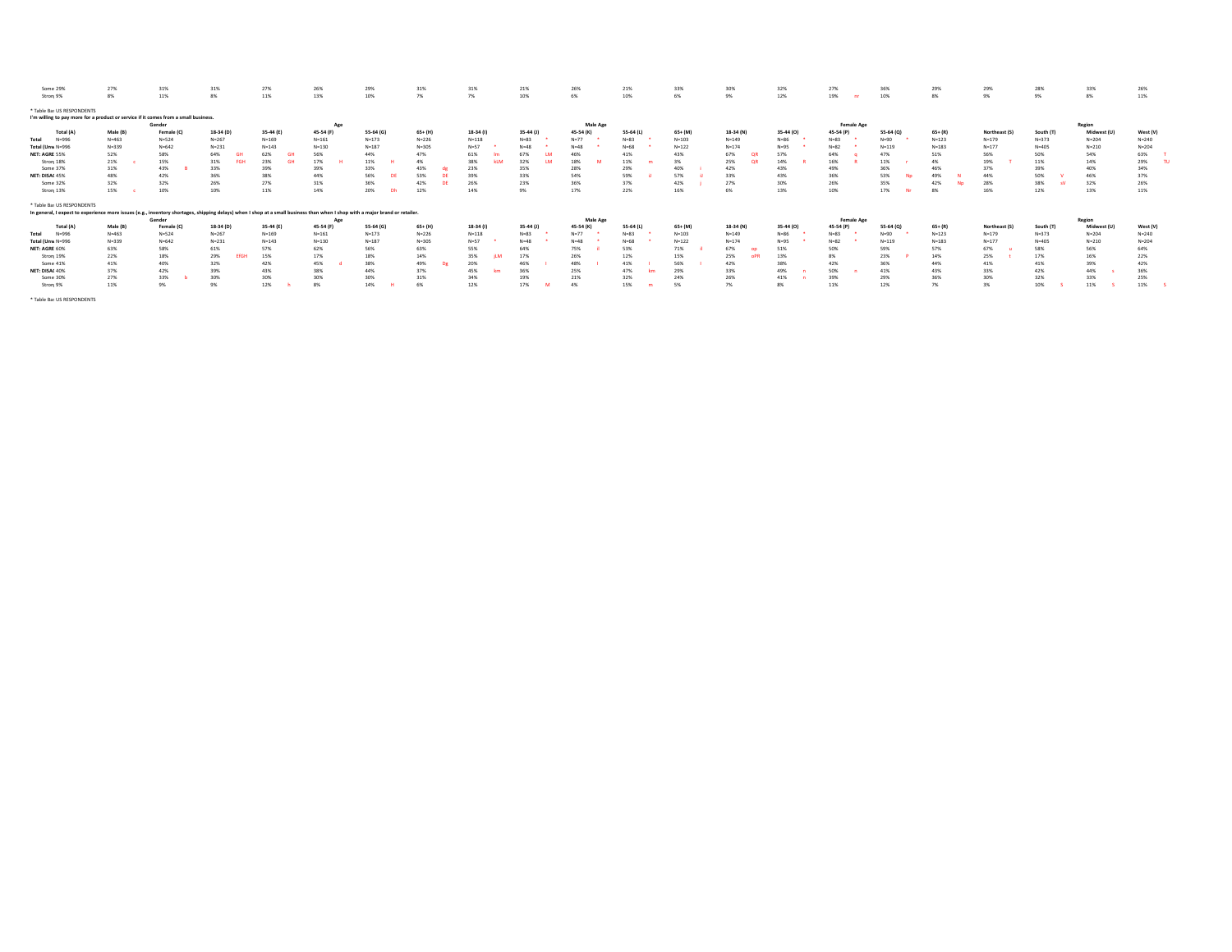| Some 29%                                                                                                                                                                     | 27%       | 31%        | 31%               | 27%       | 26%       | 29%       | 31%       | 31%       | 21%              | 26%             | 21%       | 33%       | 30%       | 32%       | 27%               | 36%       | 29%       | 29%           | 28%       | 33%         | 26%              |
|------------------------------------------------------------------------------------------------------------------------------------------------------------------------------|-----------|------------|-------------------|-----------|-----------|-----------|-----------|-----------|------------------|-----------------|-----------|-----------|-----------|-----------|-------------------|-----------|-----------|---------------|-----------|-------------|------------------|
| Stron <sub>1</sub> 9%                                                                                                                                                        | 8%        | 11%        | 8%                | 11%       | 13%       | 10%       | 7%        | 7%        | 10%              | 6%              | 10%       | 6%        | 9%        | 12%       | 19%               | 10%       | 8%        | 9%            | 9%        | 8%          | 11%              |
| * Table Bas US RESPONDENTS                                                                                                                                                   |           |            |                   |           |           |           |           |           |                  |                 |           |           |           |           |                   |           |           |               |           |             |                  |
| I'm willing to pay more for a product or service if it comes from a small business.                                                                                          |           |            |                   |           |           |           |           |           |                  |                 |           |           |           |           |                   |           |           |               |           |             |                  |
|                                                                                                                                                                              |           | Gender     |                   |           | Age       |           |           |           |                  | Male Age        |           |           |           |           | <b>Female Age</b> |           |           |               |           | Region      |                  |
| Total (A                                                                                                                                                                     | Male (B)  | Female (C) | 18-34 (D)         | 35-44 (E) | 45-54 (F) | 55-64 (G) | 65+ (H)   | 18-34 (I) | 35-44 (J)        | 45-54 (K)       | 55-64 (L) | 65+ (M)   | 18-34 (N) | 35-44 (0) | 45-54 (P)         | 55-64 (0) | $65+ (R)$ | Northeast (S) | South (T) | Midwest (U) | West (V)         |
|                                                                                                                                                                              |           |            |                   |           |           |           |           |           |                  |                 |           |           |           |           |                   |           |           |               |           |             |                  |
| $N = 996$<br>Total                                                                                                                                                           | $N = 463$ | $N = 524$  | $N = 267$         | $N = 169$ | $N = 161$ | $N = 173$ | $N = 226$ | $N = 118$ | $N = 83$         | $N=77$          | $N = 83$  | $N = 103$ | $N = 149$ | $N = 86$  | $N = 83$          | $N = 90$  | $N = 123$ | $N = 179$     | $N = 373$ | $N = 204$   | $N = 240$        |
| Total (Unw N=996                                                                                                                                                             | $N = 339$ | $N = 642$  | $N = 231$         | $N = 143$ | $N = 130$ | $N = 187$ | $N = 305$ | $N = 57$  | $N = 48$         | $N = 48$        | $N = 68$  | $N = 122$ | $N = 174$ | $N = 95$  | $N = 82$          | $N = 119$ | $N = 183$ | $N = 177$     | $N = 405$ | $N = 210$   | $N = 204$        |
| NET: AGRE 55%                                                                                                                                                                | 52%       | 58%        | 64%               | 62%       | 56%       | 44%       | 47%       | 61%       | 67%              | 46%             | 41%       | 43%       | 67%<br>٥F | 57%       | 64%               | 47%       | 51%       | 56%           | 50%       | 54%         | 63%              |
| Stron <sub>[18%</sub>                                                                                                                                                        | 21%       | 15%        | 31%<br><b>FGH</b> | 23%       | 17%       | 11%       | 4%        | 38%       | 32%<br><b>IM</b> | 18%             | 11%       | 3%        | 25%<br>OR | 14%       | 16%               | 11%       | 4%        | 19%           | 11%       | 14%         | 29%<br><b>TI</b> |
| Some 37%                                                                                                                                                                     | 31%       | 43%        | 33%               | 39%       | 39%       | 33%       | 43%       | 23%       | 35%              | 28%             | 29%       | 40%       | 42%       | 43%       | 49%               | 36%       | 46%       | 37%           | 39%       | 40%         | 34%              |
| NET: DISAC 45%                                                                                                                                                               | 48%       | 42%        | 36%               | 38%       | 44%       | 56%       | 53%       | 39%       | 33%              | 54%             | 59%       | 57%       | 33%       | 43%       | 36%               | 53%       | 49%       | 449           | 50%       | 46%         | 37%              |
| Some 32%                                                                                                                                                                     | 32%       | 32%        | 26%               | 27%       | 31%       | 36%       | 42%       | 26%       | 23%              | 36%             | 37%       | 42%       | 27%       | 30%       | 26%               | 35%       | 42%       | 28%           | 38%       | 32%         | 26%              |
| Stron <sub>[13%</sub>                                                                                                                                                        | 15%       | 10%        | 10%               | 11%       | 14%       | 20%<br>Dh | 12%       | 14%       | 9%               | 17%             | 22%       | 16%       | 6%        | 13%       | 10%               | 17%       | 8%        | 16%           | 12%       | 13%         | 11%              |
|                                                                                                                                                                              |           |            |                   |           |           |           |           |           |                  |                 |           |           |           |           |                   |           |           |               |           |             |                  |
| * Table Bas US RESPONDENTS                                                                                                                                                   |           |            |                   |           |           |           |           |           |                  |                 |           |           |           |           |                   |           |           |               |           |             |                  |
| In general, I expect to experience more issues (e.g., inventory shortages, shipping delays) when I shop at a small business than when I shop with a major brand or retailer. |           |            |                   |           |           |           |           |           |                  |                 |           |           |           |           |                   |           |           |               |           |             |                  |
|                                                                                                                                                                              |           | Gender     |                   |           | Age       |           |           |           |                  | <b>Male Age</b> |           |           |           |           | <b>Female Age</b> |           |           |               |           | Region      |                  |
| Total (A                                                                                                                                                                     | Male (B)  | Female (C  | 18-34 (D)         | 35-44 (E) | 45-54 (F) | 55-64 (G) | $65+ (H)$ | 18-34 (I) | 35-44 (J)        | 45-54 (K)       | 55-64 (L) | 65+ (M)   | 18-34 (N) | 35-44 (O) | 45-54 (P)         | 55-64 (Q) | $65+ (R)$ | Northeast (S) | South (T) | Midwest (U) | West (V)         |
| $N = 996$<br>Total                                                                                                                                                           | $N = 463$ | $N = 524$  | $N = 267$         | $N = 169$ | $N = 161$ | $N = 173$ | $N = 226$ | $N = 118$ | $N = 83$         | $N=77$          | $N = 83$  | $N = 103$ | $N = 149$ | $N = 86$  | $N = 83$          | $N=90$    | $N = 123$ | $N = 179$     | $N = 373$ | $N = 204$   | $N = 240$        |
| Total (Unw N=996                                                                                                                                                             | $N = 339$ | $N = 642$  | $N = 231$         | $N = 143$ | $N = 130$ | $N = 187$ | $N = 305$ | $N=57$    | $N = 48$         | $N = 48$        | $N = 68$  | $N = 122$ | $N = 174$ | $N = 95$  | $N = 82$          | $N = 119$ | $N = 183$ | $N = 177$     | $N = 405$ | $N = 210$   | $N = 204$        |
| NET: AGRE 60%                                                                                                                                                                | 63%       | 58%        | 61%               | 57%       | 62%       | 56%       | 63%       | 55%       | 64%              | 75%             | 53%       | 71%       | 67%       | 51%       | 50%               | 59%       | 57%       | 67%           | 58%       | 56%         | 64%              |
| Stron 19%                                                                                                                                                                    | 22%       | 18%        | 29%<br>fG)        | 15%       | 17%       | 18%       | 14%       | 35%       | 17%              | 26%             | 129       | 15%       | 25%       | 13%       | 8%                | 23%       | 14%       | 25%           | 17%       | 16%         | 22%              |
| Some 41%                                                                                                                                                                     | 41%       | 40%        | 32%               | 42%       | 45%       | 38%       | 49%       | 20%       | 46%              | 48%             | 41%       | 56%       | 42%       | 38%       | 42%               | 36%       | 44%       | 41%           | 41%       | 39%         | 42%              |
| NET: DISAC 40%                                                                                                                                                               | 37%       | 42%        | 39%               | 43%       | 38%       | 44%       | 37%       | 45%       | 36%              | 25%             | 47%       | 29%       | 33%       | 49%       | 50%               | 41%       | 43%       | 33%           | 42%       | 44%         | 36%              |
| Some 30%                                                                                                                                                                     | 27%       | 33%        | 30%               | 30%       | 30%       | 30%       | 31%       | 34%       | 19%              | 21%             | 32%       | 24%       | 26%       | 41%       | 39%               | 29%       | 36%       | 30%           | 32%       | 33%         | 25%              |
| Stron <sub>[9%</sub>                                                                                                                                                         | 11%       | 9%         | 9%                | 12%       | 8%        | 14%       | 6%        | 12%       | 17%              | 4%              | 15%       | 5%        | 7%        | -8%       | 11%               | 12%       | 7%        | 3%            | 10%       | 11%         | 11%              |
|                                                                                                                                                                              |           |            |                   |           |           |           |           |           |                  |                 |           |           |           |           |                   |           |           |               |           |             |                  |
|                                                                                                                                                                              |           |            |                   |           |           |           |           |           |                  |                 |           |           |           |           |                   |           |           |               |           |             |                  |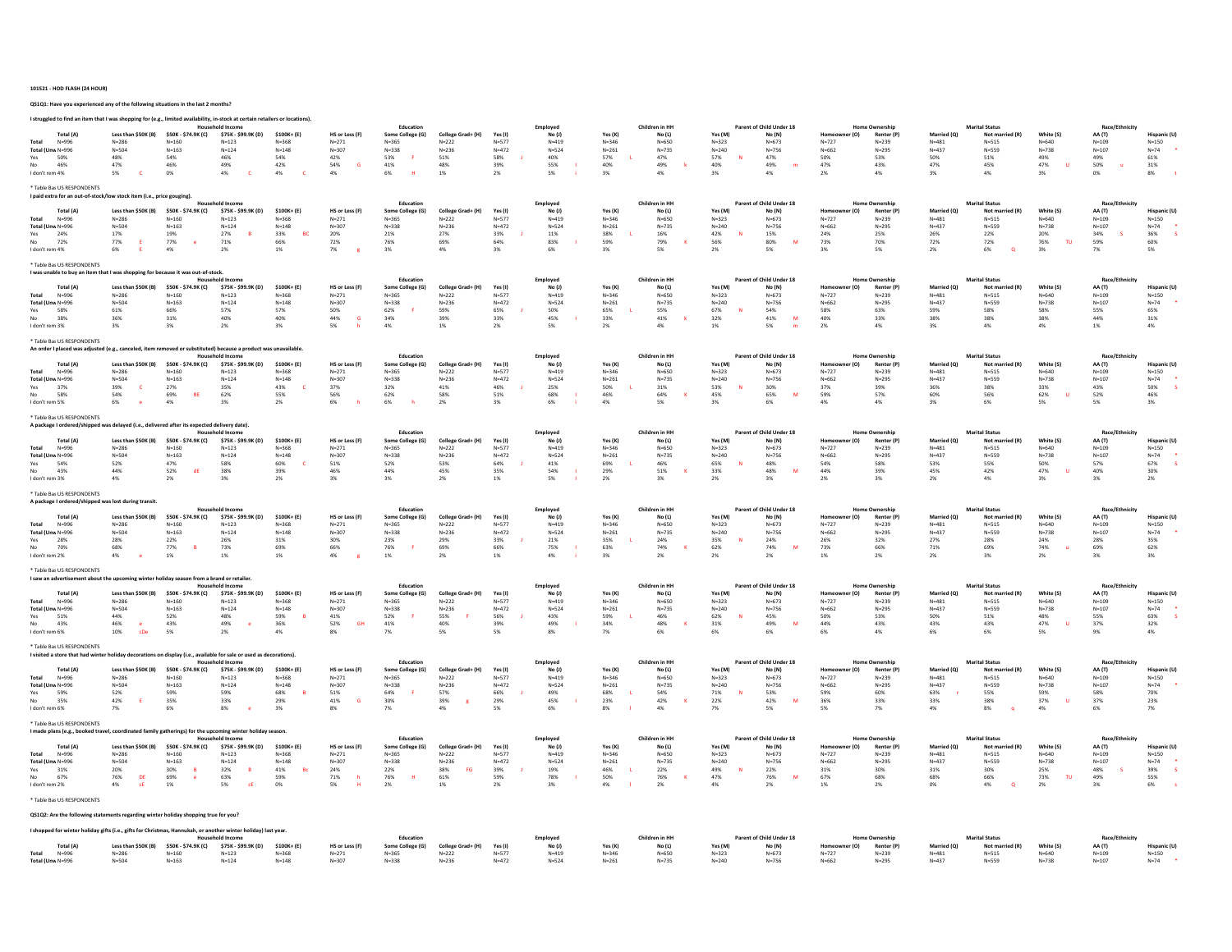#### 101521 - HOD FLASH (24 HOUR)

QS1Q1: Have you experienced any of the following situations in the last 2 months?

| I struggled to find an item that I was shopping for (e.g., limited availability, in-stock at certain retailers or locations)            |                                                                   |                                                                   | <b>Household Income</b>                                           |                                                           |                                                                   | Education                                                           |                                                             |                                                       | Employed                                             |                                                        | Children in HH                                       |                                                       | Parent of Child Under 18                             |                                                   |                                                                                 |                                                          | <b>Marital Status</b>                                         |                                                         | Race/Ethnicity                                       |                                                        |
|-----------------------------------------------------------------------------------------------------------------------------------------|-------------------------------------------------------------------|-------------------------------------------------------------------|-------------------------------------------------------------------|-----------------------------------------------------------|-------------------------------------------------------------------|---------------------------------------------------------------------|-------------------------------------------------------------|-------------------------------------------------------|------------------------------------------------------|--------------------------------------------------------|------------------------------------------------------|-------------------------------------------------------|------------------------------------------------------|---------------------------------------------------|---------------------------------------------------------------------------------|----------------------------------------------------------|---------------------------------------------------------------|---------------------------------------------------------|------------------------------------------------------|--------------------------------------------------------|
| <b>Total (A)</b><br>Total<br>$N = 996$<br>Total (Unw N=996<br>Yes<br>50%<br>No<br>46%<br>I don't rem 4%                                 | Less than \$50K (B)<br>$N = 286$<br>$N = 504$<br>48%<br>47%<br>5% | \$50K - \$74.9K (C)<br>$N = 160$<br>$N = 163$<br>54%<br>46%<br>0% | \$75K - \$99.9K (D)<br>$N = 123$<br>$N = 124$<br>46%<br>49%<br>4% | \$100K+ (E)<br>$N = 368$<br>$N = 148$<br>54%<br>42%<br>4% | HS or Less (F)<br>$N = 271$<br>$N = 307$<br>42%<br>54%<br>G<br>4% | Some College (G)<br>$N = 365$<br>$N = 338$<br>53%<br>41%<br>6%<br>я | College Grad+ (H)<br>$N=222$<br>$N=236$<br>51%<br>48%<br>1% | Yes (I)<br>$N = 577$<br>$N = 472$<br>58%<br>39%<br>2% | No (1)<br>$N = 419$<br>$N = 524$<br>40%<br>55%<br>5% | Yes (K)<br>$N = 346$<br>$N = 261$<br>5.7%<br>40%<br>3% | No (L)<br>$N = 650$<br>$N = 735$<br>47%<br>49%<br>4% | Yes (M)<br>$N = 323$<br>$N = 240$<br>57%<br>40%<br>3% | No (N)<br>$N = 673$<br>$N = 756$<br>47%<br>49%<br>4% | r (O)<br>$N=727$<br>$N = 662$<br>50%<br>47%<br>2% | <b>Home Ownership</b><br>Renter (P)<br>$N=239$<br>$N = 295$<br>53%<br>43%<br>4% | Married (O<br>$N = 481$<br>$N = 437$<br>50%<br>47%<br>3% | Not married (R)<br>$N = 515$<br>$N = 559$<br>51%<br>45%<br>4% | White (S)<br>$N = 640$<br>$N = 738$<br>49%<br>47%<br>3% | AA (T)<br>$N = 109$<br>$N = 107$<br>49%<br>50%<br>0% | Hisnanic (I<br>$N = 150$<br>$N=74$<br>61%<br>31%<br>8% |
| * Table Bas US RESPONDENTS                                                                                                              |                                                                   |                                                                   |                                                                   |                                                           |                                                                   |                                                                     |                                                             |                                                       |                                                      |                                                        |                                                      |                                                       |                                                      |                                                   |                                                                                 |                                                          |                                                               |                                                         |                                                      |                                                        |
| I paid extra for an out-of-stock/low stock item (i.e., price gouging).<br><b>Total (A)</b>                                              | Less than \$50K (B)                                               | \$50K - \$74.9K (C)                                               | hold Income<br>\$75K - \$99.9K (D)                                | $$100K + (E)$                                             | HS or Less (F)                                                    | Education<br>Some College (G)                                       | College Grad+ (H)                                           | Yes (I)                                               | Employed<br>No(1)                                    | Yes (K)                                                | Children in HH<br>No (L)                             | Yes (M)                                               | Parent of Child Under 18<br>No (N)                   | (0)                                               | <b>Home Ownership</b><br>Renter (P)                                             | Married (O                                               | <b>Marital Status</b><br>Not married (R)                      | White (S)                                               | Race/Ethnicit<br>AA (T)                              | <b>Hispanic (L</b>                                     |
| $N = 996$<br>Total<br>Total (Unw N=996<br>24%<br>Yes<br>No.<br>72%<br>I don't rem 4%                                                    | $N = 286$<br>$N = 504$<br>17%<br>77%<br>6%                        | $N = 160$<br>$N = 163$<br>19%<br>77%<br>4%                        | $N = 123$<br>$N = 124$<br>27%<br>R<br>71%<br>2%                   | $N = 368$<br>$N = 148$<br>33%<br><b>RC</b><br>66%<br>1%   | $N = 271$<br>$N = 307$<br>20%<br>72%<br>7%                        | $N = 365$<br>$N = 338$<br>21%<br>76%<br>3%                          | $N = 222$<br>$N = 236$<br>27%<br>69%<br>4%                  | $N = 577$<br>$N = 472$<br>33%<br>64%<br>3%            | $N = 419$<br>$N = 524$<br>11%<br>83%<br>6%           | $N = 346$<br>$N = 261$<br>38%<br>59%<br>3%             | $N = 650$<br>$N = 735$<br>16%<br>79%<br>5%           | $N = 323$<br>$N = 240$<br>42%<br>56%<br>2%            | $N = 673$<br>$N = 756$<br>15%<br>80%<br>M<br>5%      | $N=727$<br>$N = 662$<br>24%<br>73%<br>3%          | $N = 239$<br>$N = 295$<br>25%<br>70%<br>5%                                      | $N = 481$<br>$N = 437$<br>26%<br>72%<br>2%               | $N = 515$<br>$N = 559$<br>22%<br>72%<br>6%<br>$\Omega$        | $N = 640$<br>$N = 738$<br>20%<br>76%<br>TU.<br>3%       | $N = 109$<br>$N = 107$<br>34%<br>$\sim$<br>59%<br>7% | $N = 150$<br>$N=74$<br>36%<br>60%<br>5%                |
| * Table Ba: US RESPONDENTS<br>I was unable to buy an item tha                                                                           |                                                                   | was shopping for because it was out-of-stock                      |                                                                   |                                                           |                                                                   |                                                                     |                                                             |                                                       |                                                      |                                                        |                                                      |                                                       |                                                      |                                                   |                                                                                 |                                                          |                                                               |                                                         |                                                      |                                                        |
| <b>Total</b> (A)<br>Total<br>$N = 996$                                                                                                  | Less than \$50K (B)<br>$N = 286$                                  | \$50K - \$74.9K (C)<br>$N = 160$                                  | hold incom<br>\$75K - \$99.9K (D)<br>$N = 123$                    | $$100K + (E)$<br>$N = 368$                                | HS or Less (F)<br>$N = 271$                                       | Education<br>Some College (G)<br>$N = 365$                          | College Grad+ (H)<br>$N = 222$                              | Yes (I)<br>$N = 577$                                  | Employed<br>No (J)<br>$N = 419$                      | Yes (K)<br>$N = 346$                                   | Children in HH<br>No (L)<br>$N = 650$                | Yes (M)<br>$N = 323$                                  | Parent of Child Under 18<br>No (N)<br>$N = 673$      | (0)<br>$N=727$                                    | <b>Home Ownership</b><br>Renter (P)<br>$N = 239$                                | Married (O<br>$N = 481$                                  | <b>Marital Status</b><br>Not married (R<br>$N = 515$          | White (S)<br>$N = 640$                                  | Race/Ethnicit<br>AA (T)<br>$N = 109$                 | Hispanic (U<br>$N = 150$                               |
| Total (Unw N=996<br>58%<br>38%<br>No<br>I don't rem 3%                                                                                  | $N = 504$<br>61%<br>36%<br>3%                                     | $N = 163$<br>66%<br>31%<br>3%                                     | $N = 124$<br>57%<br>40%<br>2%                                     | $N = 148$<br>57%<br>40%<br>3%                             | $N = 307$<br>50%<br>44%<br>G<br>5%                                | $N = 338$<br>62%<br>34%<br>4%                                       | $N = 236$<br>59%<br>39%<br>1%                               | $N = 472$<br>65%<br>33%<br>2%                         | $N = 524$<br>50%<br>45%<br>5%                        | $N = 261$<br>65%<br>33%<br>2%                          | $N = 735$<br>55%<br>41%<br>4%                        | $N = 240$<br>67%<br>32%<br>1%                         | $N = 756$<br>54%<br>41%<br>M<br>5%                   | $N = 662$<br>58%<br>40%<br>2%                     | $N = 295$<br>63%<br>33%<br>4%                                                   | $N = 437$<br>59%<br>38%<br>3%                            | $N = 559$<br>58%<br>38%<br>4%                                 | $N = 738$<br>58%<br>38%<br>4%                           | $N = 107$<br>55%<br>44%<br>1%                        | $N=74$<br>65%<br>31%<br>4%                             |
| * Table Bas US RESPONDENTS<br>An order I placed was adjusted (e.g., canceled, item rem                                                  |                                                                   |                                                                   | substituted) because a pro                                        | was unavailabl                                            |                                                                   |                                                                     |                                                             |                                                       |                                                      |                                                        |                                                      |                                                       |                                                      |                                                   |                                                                                 |                                                          |                                                               |                                                         |                                                      |                                                        |
| <b>Total</b> (A)<br>Total                                                                                                               | Less than \$50K (B)                                               | \$50K - \$74.9K (C)                                               | <b>Household Inco</b><br>\$75K - \$99.9K (D)                      | \$100K+ (E)                                               | HS or Less (F)                                                    | Education<br>Some College (G)                                       | College Grad+ (H)                                           | Yes (I)                                               | Employed<br>No (J)                                   | Yes (K)                                                | Children in HH<br>No (L)                             | Yes (M)                                               | Parent of Child Under 18<br>No (N)                   | (0)<br>$N = 727$                                  | <b>Home Ownership</b><br>Renter (P)                                             | Married (O)<br>$N = 481$                                 | <b>Marital Status</b><br>Not mar                              | White (S)<br>$N = 640$                                  | Race/Ethnici<br>AA (T)                               | <b>Hispanic</b> (L                                     |
| N=996<br>Total (Unw N=996<br>37%                                                                                                        | $N = 286$<br>$N = 504$<br>39%<br>$\epsilon$                       | $N = 160$<br>$N = 163$<br>27%                                     | $N = 123$<br>$N = 124$<br>35%                                     | $N = 368$<br>$N = 148$<br>43%                             | $N = 271$<br>$N = 307$<br>37%                                     | $N = 365$<br>$N = 338$<br>32%                                       | $N = 222$<br>$N = 236$<br>41%                               | $N = 577$<br>$N = 472$<br>46%                         | $N = 415$<br>$N = 524$<br>25%                        | $N = 346$<br>$N = 261$<br>50%                          | $N = 650$<br>$N = 735$<br>$31\%$                     | $N = 323$<br>$N = 240$<br>53%                         | $N = 673$<br>$N = 756$<br>30%                        | $N = 662$<br>37%                                  | $N = 239$<br>$N = 295$<br>39%                                                   | $N = 437$<br>36%                                         | $N = 515$<br>$N = 559$<br>38%                                 | $N = 738$<br>33%                                        | $N = 109$<br>$N = 107$<br>43%                        | $N = 150$<br>$N=74$<br>50%                             |
| 58%<br>I don't rem 5%                                                                                                                   | 54%<br>6%                                                         | 69%<br>BE<br>4%                                                   | 62%<br>3%                                                         | 55%<br>2%                                                 | 56%<br>6%                                                         | 62%<br>6%                                                           | 58%<br>2%                                                   | 51%<br>3%                                             | 68%<br>6%                                            | 46%<br>4%                                              | 64%<br>5%                                            | 45%<br>3%                                             | 65%<br>M<br>6%                                       | 59%<br>4%                                         | 57%<br>4%                                                                       | 60%<br>3%                                                | 56%<br>6%                                                     | 62%<br>5%                                               | 52%<br>5%                                            | 46%<br>3%                                              |
| * Table Ba: US RESPONDENTS<br>A package I ordered/shipped                                                                               | was delayed (i.e., delivered after its expected delivery date).   |                                                                   |                                                                   |                                                           |                                                                   |                                                                     |                                                             |                                                       |                                                      |                                                        |                                                      |                                                       |                                                      |                                                   |                                                                                 |                                                          |                                                               |                                                         |                                                      |                                                        |
| Total (A)                                                                                                                               | Less than \$50K (B)                                               | \$50K - \$74.9K (C)                                               | \$75K - \$99.9K (D)                                               | \$100K+ (E)                                               | HS or Less (F)                                                    | Education<br>Some College (G)                                       | College Grad+ (H)                                           | Yes (I)                                               | Employed<br>No (J)                                   | Yes (K)                                                | Children in HH<br>No (L)                             | Yes (M                                                | of Child Under 18<br>No (N)                          | r (O)                                             | Home Ownership<br>Renter (P)                                                    | Married (Q                                               | <b>Marital Status</b><br>Not mar                              | White (S)                                               | Race/Ethnicity<br>AA (T)                             | Hispanic (U                                            |
| $N = 996$<br>Total<br>Total (Unw N=996                                                                                                  | $N = 286$<br>$N = 504$                                            | $N = 160$<br>$N = 163$                                            | $N = 123$<br>$N = 124$                                            | $N = 368$<br>$N = 148$                                    | $N = 271$<br>$N = 307$                                            | $N = 365$<br>$N = 338$                                              | $N = 222$<br>$N = 236$                                      | $N = 577$<br>$N = 472$                                | $N = 415$<br>$N = 524$                               | $N = 346$<br>$N = 261$                                 | $N = 650$<br>$N = 735$                               | $N = 323$<br>$N = 240$                                | $N = 673$<br>$N = 756$                               | $N = 727$<br>$N = 662$                            | $N = 239$<br>$N = 295$                                                          | $N = 481$<br>$N = 437$                                   | $N = 515$<br>$N = 559$                                        | $N = 640$<br>$N = 738$                                  | $N = 109$<br>$N = 107$                               | $N = 150$<br>$N=74$                                    |
| 54%<br>Yes<br>43%                                                                                                                       | 52%<br>44%                                                        | 47%<br>$52\%$<br>df                                               | 58%<br>38%                                                        | 60%<br>39%                                                | 51%<br>46%                                                        | $52\%$<br>$44\%$                                                    | 53%<br>45%                                                  | 64%<br>35%                                            | 41%<br>54%                                           | 69%<br>29%                                             | 46%<br>$51\%$                                        | 65%<br>33%                                            | 48%<br>48%<br>M                                      | 54%<br>44%                                        | 58%<br>39%                                                                      | 53%<br>45%                                               | 55%<br>42%                                                    | 50%<br>47%                                              | 57%<br>40%                                           | 67%<br>30%                                             |
| I don't rem 3%                                                                                                                          | 4%                                                                | 2%                                                                | 3%                                                                | $2\%$                                                     | 3%                                                                | 3%                                                                  | 2%                                                          | 1%                                                    | 5%                                                   | 2%                                                     | 3%                                                   | 2%                                                    | 3%                                                   | 2%                                                | 3%                                                                              | 2%                                                       | 4%                                                            | 3%                                                      | 3%                                                   | 2%                                                     |
| * Table Ba: US RESPONDENTS<br>A package I ordered/shipped was lost during transit                                                       |                                                                   |                                                                   | old Income                                                        |                                                           |                                                                   | Education                                                           |                                                             |                                                       | Employed                                             |                                                        | Children in HH                                       |                                                       | Parent of Child Under 18                             |                                                   | <b>Home Ownership</b>                                                           |                                                          | <b>Marital Status</b>                                         |                                                         | Race/Eth                                             |                                                        |
| Total (A)<br>$N = 996$<br>Total                                                                                                         | Less than \$50K (B)<br>$N = 286$                                  | \$50K - \$74.9K (C)<br>$N = 160$                                  | \$75K - \$99.9K (D)<br>$N = 123$                                  | \$100K+ (E)<br>$N = 368$                                  | HS or Less (F)<br>$N = 271$                                       | Some College (G)<br>$N = 365$                                       | College Grad+ (H)<br>$N = 222$                              | Yes (I)<br>$N = 577$                                  | No (J)<br>$N = 415$                                  | Yes (K)<br>$N = 346$                                   | No (L)<br>$N = 650$                                  | Yes (M)<br>$N = 323$                                  | No (N)<br>$N = 673$                                  | r (O)<br>Home<br>$N = 727$                        | Renter (P)<br>$N = 239$                                                         | Married (Q)<br>$N = 481$                                 | Not married (R)<br>$N = 515$                                  | White (S)<br>$N = 640$                                  | AA (T)<br>$N = 109$                                  | Hispanic (U<br>$N = 150$                               |
| Total (Unw N=996<br>28%<br>Yes                                                                                                          | $N = 504$<br>28%                                                  | $N = 163$<br>22%                                                  | $N = 124$<br>26%                                                  | $N = 148$<br>31%                                          | $N = 307$<br>30%                                                  | $N = 338$<br>23%                                                    | $N = 236$<br>29%                                            | $N = 472$<br>33%                                      | $N = 524$<br>21%                                     | $N = 261$<br>35%                                       | $N = 735$<br>24%                                     | $N = 240$<br>35%                                      | $N = 756$<br>24%                                     | $N = 662$<br>26%                                  | $N = 295$<br>32%                                                                | $N = 437$<br>27%                                         | $N = 559$<br>28%                                              | $N = 738$<br>24%                                        | $N = 107$<br>28%                                     | $N=74$<br>35%                                          |
| 70%<br>I don't rem 2%                                                                                                                   | 68%<br>4%                                                         | 77%<br>1%                                                         | 73%<br>1%                                                         | 69%<br>1%                                                 | 66%<br>4%                                                         | 76%<br>1%                                                           | 69%<br>2%                                                   | 66%<br>1%                                             | 75%<br>4%                                            | 63%<br>3%                                              | 74%<br>2%                                            | 62%<br>2%                                             | 74%<br>M<br>2%                                       | 73%<br>1%                                         | 66%<br>2%                                                                       | 71%<br>2%                                                | 69%<br>3%                                                     | 74%<br>2%                                               | 69%<br>3%                                            | 62%<br>3%                                              |
| * Table Bas US RESPONDENT:<br>I saw an advertisement about the upcoming winter holiday season from a brand or retailer.                 |                                                                   |                                                                   |                                                                   |                                                           |                                                                   |                                                                     |                                                             |                                                       |                                                      |                                                        |                                                      |                                                       |                                                      |                                                   |                                                                                 |                                                          |                                                               |                                                         |                                                      |                                                        |
| <b>Total (A)</b>                                                                                                                        | Less than \$50K (B)                                               | \$50K - \$74.9K (C)                                               | old Income<br>\$75K - \$99.9K (D)                                 | $$100K + (E)$                                             | HS or Less (F)                                                    | Education<br>Some College (G)                                       | College Grad+ (H)                                           | Yes (I)                                               | Employed<br>No (J)                                   | Yes (K)                                                | Children in HH<br>No (L)                             | Yes (M)                                               | Parent of Child Under 18<br>No (N)                   | er (O)                                            | <b>Home Ownership</b><br>Renter (P)                                             | Married (Q)                                              | <b>Marital Status</b><br>Not married (R                       | White (S)                                               | Race/Ethnicity<br>AA (T)                             | Hispanic (U                                            |
| $N = 996$<br><b>Total</b><br>Total (Unw N=996                                                                                           | $N = 286$<br>$N = 504$                                            | $N = 160$<br>$N = 163$                                            | $N = 123$<br>$N = 124$                                            | $N = 368$<br>$N = 148$                                    | $N = 271$<br>$N = 307$                                            | $N = 365$<br>$N = 338$                                              | $N = 222$<br>$N = 236$                                      | $N = 577$<br>$N = 472$                                | $N = 415$<br>$N = 524$                               | $N = 346$<br>$N = 261$                                 | $N = 650$<br>$N = 735$                               | $N = 323$<br>$N = 240$                                | $N = 673$<br>$N = 756$                               | $N = 727$<br>$N = 662$                            | $N = 239$<br>$N = 295$                                                          | $N = 481$<br>$N = 437$                                   | $N = 515$<br>$N = 559$                                        | $N = 640$<br>$N = 738$                                  | $N = 109$<br>$N = 107$                               | $N = 150$<br>$N=74$                                    |
| 51%<br>Yes<br>43%<br>I don't rem 6%                                                                                                     | 44%<br>46%<br>e.<br>10%<br>cDe                                    | 52%<br>43%<br>5%                                                  | 48%<br>49%<br>2%                                                  | 59%<br>36%<br>4%                                          | 41%<br>52%<br>GH<br>8%                                            | 52%<br>41%<br>7%                                                    | 55%<br>40%<br>5%                                            | 56%<br>39%<br>5%                                      | 43%<br>49%<br>8%                                     | 59%<br>34%<br>7%                                       | 46%<br>48%<br>6%                                     | 62%<br>31%<br>6%                                      | 45%<br>49%<br>M<br>6%                                | 50%<br>44%<br>6%                                  | 53%<br>43%<br>4%                                                                | 50%<br>43%<br>6%                                         | 51%<br>43%<br>6%                                              | 48%<br>47%<br>5%                                        | 55%<br>37%<br>9%                                     | 63%<br>32%<br>4%                                       |
| * Table Ba: US RESPONDENTS                                                                                                              |                                                                   |                                                                   |                                                                   |                                                           |                                                                   |                                                                     |                                                             |                                                       |                                                      |                                                        |                                                      |                                                       |                                                      |                                                   |                                                                                 |                                                          |                                                               |                                                         |                                                      |                                                        |
| I visited a store that had winter holiday decorations on display (i.e., available for sale or used as decorations)<br><b>Total (A)</b>  | Less than \$50K (B)                                               | \$50K - \$74.9K (C)                                               | <b>Household Income</b><br>\$75K - \$99.9K (D)                    | \$100K+ (E)                                               | HS or Less (F)                                                    | Education<br>Some College (G)                                       | College Grad+ (H)                                           | Yes (I)                                               | Employed<br>No (J)                                   | Yes (K)                                                | Children in HH<br>No (L)                             | Yes (M)                                               | Parent of Child Under 18<br>No (N)                   | er (O)<br>Homeoy                                  | <b>Home Ownership</b><br>Renter (P)                                             | Married (Q)                                              | <b>Marital Status</b><br>Not married (R                       | White (S)                                               | Race/Ethnicity<br>AA (T)                             | Hispanic (U                                            |
| $N = 996$<br>Total<br>Total (Unw N=996                                                                                                  | $N = 286$<br>$N = 504$                                            | $N = 160$<br>$N = 163$                                            | $N = 123$<br>$N = 124$                                            | $N = 368$<br>$N = 148$                                    | $N = 271$<br>$N = 307$                                            | $N = 365$<br>$N = 338$                                              | $N = 222$<br>$N = 236$                                      | $N = 577$<br>$N = 472$                                | $N = 419$<br>$N = 524$                               | $N = 346$<br>$N = 261$                                 | $N = 650$<br>$N = 735$                               | $N = 323$<br>$N = 240$                                | $N = 673$<br>$N = 756$                               | $N = 727$<br>$N = 662$                            | $N = 239$<br>$N = 295$                                                          | $N = 481$<br>$N = 437$                                   | $N = 515$<br>$N = 559$                                        | $N = 640$<br>$N = 738$                                  | $N = 109$<br>$N = 107$                               | $N = 150$<br>$N=74$                                    |
| Yes<br>59%<br>35%                                                                                                                       | 52%<br>42%                                                        | 59%<br>35%                                                        | 59%<br>33%                                                        | 68%<br>29%                                                | 51%<br>41%<br>G                                                   | 64%<br>30%                                                          | 57%<br>39%<br>$\mathbf{g}$                                  | 66%<br>29%                                            | 49%<br>45%                                           | 68%<br>23%                                             | 54%<br>42%                                           | 71%<br>22%                                            | 53%<br>42%<br>M                                      | 59%<br>36%                                        | 60%<br>33%                                                                      | 63%<br>33%                                               | 55%<br>38%                                                    | 59%<br>37%                                              | 58%<br>37%                                           | 70%<br>23%                                             |
| I don't rem 6%                                                                                                                          | 7%                                                                | 6%                                                                | 8%                                                                | 3%                                                        | 8%                                                                | 7%                                                                  | 4%                                                          | 5%                                                    | 6%                                                   | 8%                                                     | 4%                                                   | 7%                                                    | 5%                                                   | 5%                                                | 7%                                                                              | 4%                                                       | 8%                                                            | 4%                                                      | 6%                                                   | 7%                                                     |
| * Table Ba: US RESPONDENTS<br>I made plans (e.g., booked travel, coordinated family gatherings) for the upcoming winter holiday season. |                                                                   |                                                                   | Household Income                                                  |                                                           |                                                                   | Education                                                           |                                                             |                                                       | Employed                                             |                                                        | Children in HH                                       |                                                       | Parent of Child Under 18                             |                                                   | <b>Home Ownership</b>                                                           |                                                          | <b>Marital Status</b>                                         |                                                         | Race/Ethnicity                                       |                                                        |
| <b>Total (A)</b><br>Total<br>$N = 996$                                                                                                  | Less than \$50K (B)<br>$N = 286$                                  | \$50K - \$74.9K (C)<br>$N = 160$                                  | \$75K - \$99.9K (D)<br>$N = 123$                                  | \$100K+ (E)<br>$N = 368$                                  | HS or Less (F)<br>$N = 271$                                       | Some College (G)<br>$N = 365$                                       | College Grad+ (H)<br>$N = 222$                              | Yes (I)<br>$N = 577$                                  | No (J)<br>$N = 419$                                  | Yes (K)<br>$N = 346$                                   | No (L)<br>$N = 650$                                  | Yes (M)<br>$N = 323$                                  | No (N)<br>$N = 673$                                  | Homeowner (O)<br>$N = 727$                        | Renter (P)<br>$N = 239$                                                         | Married (O)<br>$N = 481$                                 | Not married (R)<br>$N = 515$                                  | White (S)<br>$N = 640$                                  | AA (T)<br>$N = 109$                                  | <b>Hispanic (U</b><br>$N = 150$                        |
| Total (Unw N=996<br>31%                                                                                                                 | $N = 504$<br>20%                                                  | $N = 163$<br>30%<br>R                                             | $N = 124$<br>32%<br>R                                             | $N = 148$<br>41%<br><b>B</b>                              | $N = 307$<br>24%                                                  | $N = 338$<br>22%                                                    | $N = 236$<br>38%<br>FG                                      | $N = 472$<br>39%                                      | $N = 524$<br>19%                                     | $N = 261$<br>46%                                       | $N = 735$<br>22%                                     | $N = 240$<br>49%                                      | $N = 756$<br>22%                                     | $N = 662$<br>31%                                  | $N = 295$<br>30%                                                                | $N = 437$<br>31%                                         | $N = 559$<br>30%                                              | $N = 738$<br>25%                                        | $N = 107$<br>48%<br>$\overline{\phantom{a}}$         | $N=74$<br>39%<br>$\sim$                                |
| 67%<br>I don't rem 2%                                                                                                                   | 76%<br>DE<br>4%<br>cE                                             | 69%<br>1%                                                         | 63%<br>5%<br><b>CF</b>                                            | 59%<br>0%                                                 | 71%<br>$\overline{h}$<br>5%                                       | 76%<br><b>H</b><br>2%                                               | 61%<br>1%                                                   | 59%<br>2%                                             | 78%<br>3%                                            | 50%<br>4%                                              | 76%<br>2%                                            | 47%<br>4%                                             | 76%<br>M<br>2%                                       | 67%<br>1%                                         | 68%<br>2%                                                                       | 68%<br>0%                                                | 66%<br>4%<br>$\Omega$                                         | 73%<br>T(1)<br>2%                                       | 49%<br>3%                                            | 55%<br>6%                                              |
| * Table Ba: US RESPONDENTS                                                                                                              |                                                                   |                                                                   |                                                                   |                                                           |                                                                   |                                                                     |                                                             |                                                       |                                                      |                                                        |                                                      |                                                       |                                                      |                                                   |                                                                                 |                                                          |                                                               |                                                         |                                                      |                                                        |
| QS1Q2: Are the following statements regarding winter holiday shopping true for you?                                                     |                                                                   |                                                                   |                                                                   |                                                           |                                                                   |                                                                     |                                                             |                                                       |                                                      |                                                        |                                                      |                                                       |                                                      |                                                   |                                                                                 |                                                          |                                                               |                                                         |                                                      |                                                        |
| I shopped for winter holiday gifts (i.e., gifts for Christmas, Hannukah, or another winter holiday) last year.                          |                                                                   |                                                                   | Household Income                                                  |                                                           |                                                                   | <b>Education</b>                                                    |                                                             |                                                       | Employed                                             |                                                        | Children in HH                                       |                                                       | Parent of Child Under 18                             |                                                   | <b>Home Ownership</b>                                                           |                                                          | <b>Marital Status</b>                                         |                                                         | Race/Ethnicit                                        |                                                        |
| Total (A)<br>$N = 996$<br>Total<br>Total (Unw N=996                                                                                     | Less than \$50K (B)<br>$N = 286$<br>$N = 504$                     | \$50K - \$74.9K (C)<br>$N = 160$<br>$N = 163$                     | \$75K - \$99.9K (D)<br>$N = 123$<br>$N = 124$                     | \$100K+ (E)<br>$N = 368$<br>$N = 148$                     | HS or Less (F)<br>$N = 271$<br>$N = 307$                          | Some College (G)<br>$N = 365$<br>$N = 338$                          | College Grad+ (H)<br>$N = 222$<br>$N = 236$                 | Yes (I)<br>$N = 577$<br>$N = 472$                     | No(1)<br>$N = 419$<br>$N = 524$                      | Yes (K)<br>$N = 346$<br>$N = 261$                      | No (L)<br>$N = 650$<br>$N = 735$                     | Yes (M)<br>$N = 323$<br>$N = 240$                     | No (N)<br>$N = 673$<br>$N = 756$                     | r (O)<br>$N=727$<br>$N = 662$                     | Renter (P)<br>$N = 239$<br>$N = 295$                                            | Married (O)<br>$N = 481$<br>$N = 437$                    | Not married (R)<br>$N = 515$<br>$N = 559$                     | White (S)<br>$N = 640$<br>$N = 738$                     | AA (T)<br>$N = 109$<br>$N = 107$                     | Hispanic (U<br>$N = 150$<br>$N = 74$                   |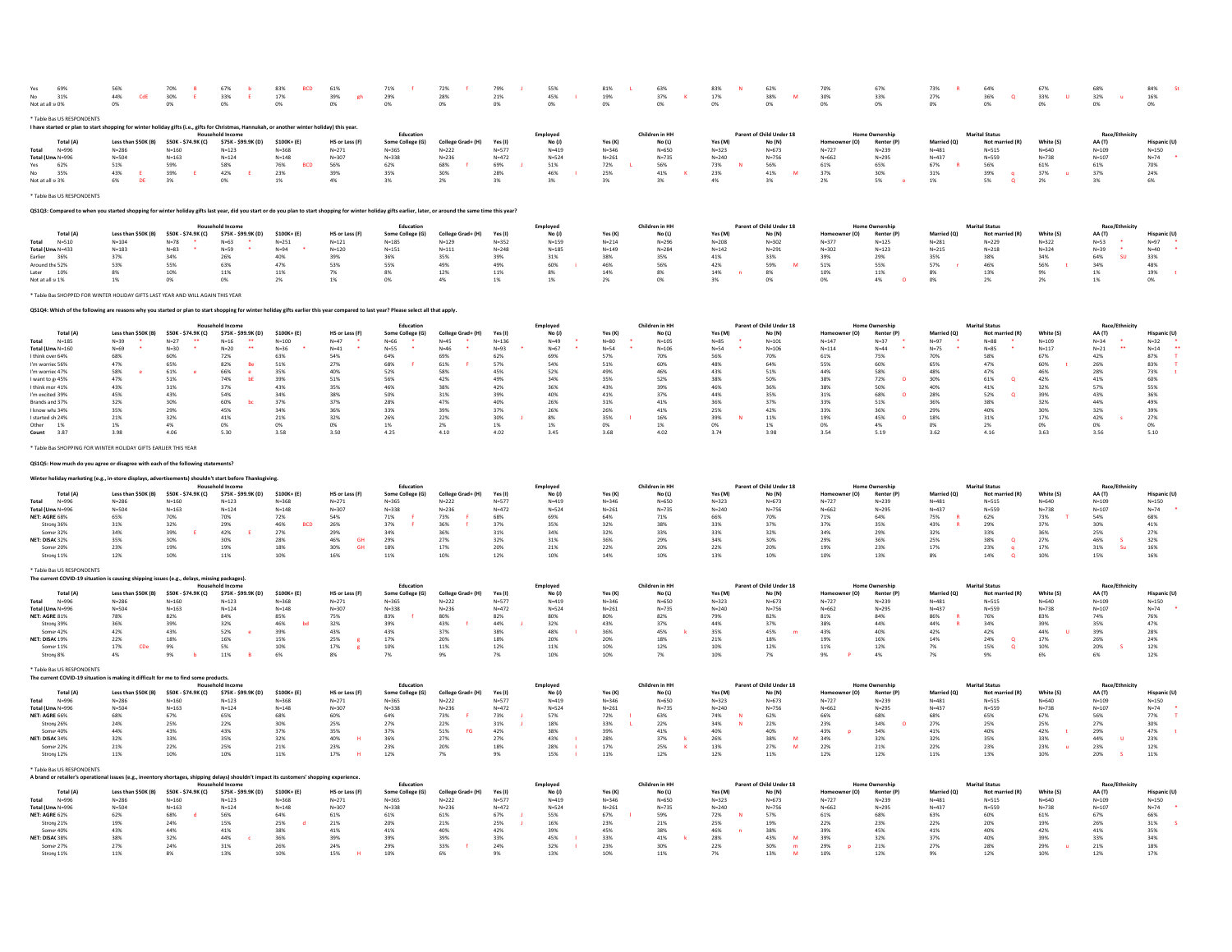| 69%<br>31%<br>Not at all s 0%                                                                                                                                                                               | 56%<br>44%<br>CdE<br>0%                                     | 70%<br>30%<br>E<br>0%                                       | 67%<br>33%<br>E.<br>0%                         | 83%<br>17%<br>0%                                   | 61%<br>39%<br>gh<br>0%                                 | 71%<br>29%<br>0%                                         | 72%<br>28%<br>0%                                          | 79%<br>21%<br>0%                                | 55%<br>45%<br>0%                     | 81%<br>19%<br>0%                                | 63%<br>37%<br>$\mathbf{K}$<br>0%                  | 83%<br>17%<br>0%                                | 62%<br>38%<br>M<br>0%                               | 70%<br>30%<br>0%                                        | 67%<br>33%<br>0%                                   | 73%<br>27%<br>0%                                    | 64%<br>36%<br>$\alpha$<br>0%                            | 67%<br>33%<br>U<br>0%                   | 68%<br>32%<br><b>u</b><br>0%                   | 84%<br>16%<br>0%                                 |
|-------------------------------------------------------------------------------------------------------------------------------------------------------------------------------------------------------------|-------------------------------------------------------------|-------------------------------------------------------------|------------------------------------------------|----------------------------------------------------|--------------------------------------------------------|----------------------------------------------------------|-----------------------------------------------------------|-------------------------------------------------|--------------------------------------|-------------------------------------------------|---------------------------------------------------|-------------------------------------------------|-----------------------------------------------------|---------------------------------------------------------|----------------------------------------------------|-----------------------------------------------------|---------------------------------------------------------|-----------------------------------------|------------------------------------------------|--------------------------------------------------|
| * Table Ba: US RESPONDENTS<br>I have started or plan to start shopping for winter holiday gifts (i.e., gifts for Christmas, Hannukah, or another winter holiday) this year.                                 |                                                             |                                                             |                                                |                                                    |                                                        |                                                          |                                                           |                                                 |                                      |                                                 |                                                   |                                                 |                                                     |                                                         |                                                    |                                                     |                                                         |                                         |                                                |                                                  |
|                                                                                                                                                                                                             |                                                             |                                                             | <b>Household Income</b><br>\$75K - \$99.9K (D) | \$100K+ (E)                                        |                                                        | Education                                                |                                                           |                                                 | Employed<br>No (J)                   |                                                 | Children in HH                                    |                                                 | Parent of Child Under 18                            |                                                         | <b>Home Ownership</b>                              |                                                     | <b>Marital Status</b>                                   | White (S)                               | Race/Ethr                                      |                                                  |
| <b>Total (A)</b><br>$N = 996$<br>Total (Unw N=996<br>62%<br>Yes<br>35%<br>N <sub>0</sub>                                                                                                                    | Less than \$50K (B)<br>$N = 286$<br>$N = 504$<br>51%<br>43% | \$50K - \$74.9K (C)<br>$N = 160$<br>$N = 163$<br>59%<br>39% | $N = 123$<br>$N = 124$<br>58%<br>42%           | $N = 368$<br>$N = 148$<br><b>BCD</b><br>76%<br>23% | HS or Less (F)<br>$N = 271$<br>$N = 307$<br>56%<br>39% | Some College (G)<br>$N = 365$<br>$N = 338$<br>62%<br>35% | College Grad+ (H)<br>$N = 222$<br>$N = 236$<br>68%<br>30% | Yes (I)<br>$N = 577$<br>$N = 472$<br>69%<br>28% | $N = 419$<br>$N = 524$<br>51%<br>46% | Yes (K)<br>$N = 346$<br>$N = 261$<br>72%<br>25% | No (L)<br>$N = 650$<br>$N = 735$<br>56%<br>$41\%$ | Yes (M)<br>$N = 323$<br>$N = 240$<br>73%<br>23% | No (N)<br>$V = 673$<br>$N = 756$<br>56%<br>41%<br>M | er (O)<br>Homeo<br>$N = 727$<br>$N = 662$<br>61%<br>37% | Renter (P)<br>$N = 239$<br>$N = 295$<br>65%<br>30% | Married (Q)<br>$N = 481$<br>$N = 437$<br>67%<br>31% | Not married (R)<br>$N = 515$<br>$N = 559$<br>56%<br>39% | $N = 640$<br>$N = 738$<br>$61\%$<br>37% | AA (T)<br>$N = 109$<br>$N = 107$<br>61%<br>37% | Hispanic (I<br>$N = 150$<br>$N=74$<br>70%<br>24% |
| Not at all s 3%                                                                                                                                                                                             | DE<br>6%                                                    | 3%                                                          | 0%                                             | 1%                                                 | 4%                                                     | 3%                                                       | 2%                                                        | 3%                                              | 3%                                   | 3%                                              | 3%                                                | 4%                                              | 3%                                                  | 2%                                                      | 5%                                                 | 1%                                                  | 5%<br>$\Omega$                                          | 2%                                      | 3%                                             | 6%                                               |
| * Table Ba: US RESPONDENTS                                                                                                                                                                                  |                                                             |                                                             |                                                |                                                    |                                                        |                                                          |                                                           |                                                 |                                      |                                                 |                                                   |                                                 |                                                     |                                                         |                                                    |                                                     |                                                         |                                         |                                                |                                                  |
| QS1Q3: Compared to when you started shopping for winter holiday gifts last year, did you start or do you plan to start shopping for winter holiday gifts earlier, later, or around the same time this year? |                                                             |                                                             |                                                |                                                    |                                                        |                                                          |                                                           |                                                 |                                      |                                                 |                                                   |                                                 |                                                     |                                                         |                                                    |                                                     |                                                         |                                         |                                                |                                                  |
| <b>Total (A)</b>                                                                                                                                                                                            | Less than \$50K (B)                                         | \$50K - \$74.9K (C)                                         | <b>Household Income</b><br>\$75K - \$99.9K (D) | \$100K+ (E)                                        | HS or Less (F)                                         | Education<br>Some College (G)                            | College Grad+ (H)                                         | Yes (I)                                         | Emploved<br>No (J)                   | Yes (K)                                         | Children in HH<br>No (L)                          | Yes (M)                                         | Parent of Child Under 18<br>No (N)                  | r(0)<br>Homeo                                           | <b>Home Ownership</b><br>Renter (P)                | Married (O)                                         | <b>Marital Status</b><br>Not married (R                 | White (S)                               | Race/Ethnicit<br>AA (T)                        | Hispanic (U                                      |
| <b>Total</b><br>$N = 510$                                                                                                                                                                                   | $N = 104$                                                   | $N=78$                                                      | $N = 63$                                       | $N = 251$                                          | $N = 121$                                              | $N = 185$                                                | $N = 129$                                                 | $N = 352$                                       | $N = 159$                            | $N = 214$                                       | $N = 296$                                         | $N = 208$                                       | $N = 302$                                           | $N = 377$                                               | $N = 125$                                          | $N = 281$                                           | $N = 229$                                               | $N = 322$                               | $N = 53$                                       | $N = 97$                                         |
| Total (Unw N=433<br>Earlier<br>36%                                                                                                                                                                          | $N = 183$<br>37%                                            | $N = 83$<br>34%                                             | $N=59$<br>26%                                  | $N = 94$<br>40%                                    | $N = 120$<br>39%                                       | $N = 151$<br>36%                                         | $N = 111$<br>35%                                          | $N = 248$<br>39%                                | $N = 185$<br>31%                     | $N = 149$<br>38%                                | $N = 284$<br>35%                                  | $N = 142$<br>41%                                | $N = 291$<br>33%                                    | $N = 302$<br>39%                                        | $N = 123$<br>29%                                   | $N = 215$<br>35%                                    | $N = 218$<br>38%                                        | $N = 324$<br>34%                        | $N = 39$<br>su<br>64%                          | $N = 40$<br>33%                                  |
| Around the 52%                                                                                                                                                                                              | 53%                                                         | 55%                                                         | 63%                                            | 47%                                                | 53%                                                    | 55%                                                      | 49%                                                       | 49%                                             | 60%                                  | 46%                                             | 56%                                               | 42%                                             | 59%                                                 | 51%                                                     | 55%                                                | 57%                                                 | 46%                                                     | 56%                                     | 34%                                            | 48%                                              |
| 10%<br>Later<br>Not at all s 1%                                                                                                                                                                             | 8%<br>1%                                                    | 10%<br>0%                                                   | 11%<br>0%                                      | 11%<br>2%                                          | 7%<br>1%                                               | 8%<br>0%                                                 | 12%<br>4%                                                 | 11%<br>1%                                       | 8%<br>1%                             | 14%<br>2%                                       | 8%<br>0%                                          | 14%<br>3%                                       | 8%<br>0%                                            | 10%<br>0%                                               | 11%<br>4%                                          | 8%<br>0%                                            | 13%<br>2%                                               | 9%<br>2%                                | 1%<br>1%                                       | 19%<br>0%                                        |
| Table Ba: SHOPPED FOR WINTER HOLIDAY GIFTS LAST YEAR AND WILL AGAIN THIS YEAR                                                                                                                               |                                                             |                                                             |                                                |                                                    |                                                        |                                                          |                                                           |                                                 |                                      |                                                 |                                                   |                                                 |                                                     |                                                         |                                                    |                                                     |                                                         |                                         |                                                |                                                  |
|                                                                                                                                                                                                             |                                                             |                                                             |                                                |                                                    |                                                        |                                                          |                                                           |                                                 |                                      |                                                 |                                                   |                                                 |                                                     |                                                         |                                                    |                                                     |                                                         |                                         |                                                |                                                  |
| QS1Q4: Which of the following are reasons why you started or plan to start shopping for winter holiday gifts earlier this year compared to last year? Please select all that apply.                         |                                                             |                                                             |                                                |                                                    |                                                        |                                                          |                                                           |                                                 |                                      |                                                 |                                                   |                                                 |                                                     |                                                         |                                                    |                                                     |                                                         |                                         |                                                |                                                  |
| <b>Total (A)</b>                                                                                                                                                                                            | Less than \$50K (B)                                         | \$50K - \$74.9K (C)                                         | d Income<br>\$75K - \$99.9K (D)                | \$100K+ (E)                                        | HS or Less (F)                                         | Education<br>Some College (G)                            | College Grad+ (H)                                         | Yes (I)                                         | Employed<br>No (J)                   | Yes (K)                                         | Children in HI<br>No (L)                          | Yes (M                                          | Parent of Child Under 18<br>No (N)                  |                                                         | Renter (P)                                         |                                                     | <b>Marital Status</b><br>Not ma                         | White (S)                               | Race/E<br>AA (T)                               | Hispanic (L                                      |
| $N = 185$<br>Total                                                                                                                                                                                          | $N = 39$<br>$N = 69$                                        | $N = 27$<br>$N = 30$                                        | $N=16$<br>$\bullet\bullet$                     | $N = 100$                                          | $N=47$<br>$N = 41$                                     | $N = 66$<br>$N = 55$                                     | $N = 45$<br>$N = 46$                                      | $N = 136$<br>$N = 93$                           | $N = 49$<br>$N - 67$                 | $N = 80$<br>$N = 54$                            | $N = 105$<br>$N = 106$                            | $N = 85$<br>$N = 54$                            | $N = 101$<br>$N = 106$                              | $N = 147$<br>$N = 114$                                  | $N = 37$<br>$N = 44$                               | $N = 97$<br>$N = 75$                                | $N = 88$<br>$N = 85$                                    | $N = 109$<br>$N = 117$                  | $N = 34$                                       | $N = 32$                                         |
| Total (Unw N=160<br>I think over 64%                                                                                                                                                                        | 68%                                                         | 60%                                                         | $N=20$<br>72%                                  | $N = 36$<br>63%                                    | 54%                                                    | 64%                                                      | 69%                                                       | 62%                                             | 69%                                  | 57%                                             | 70%                                               | 56%                                             | 70%                                                 | 61%                                                     | 75%                                                | 70%                                                 | 58%                                                     | 67%                                     | $N=21$<br>42%                                  | $N = 14$<br>87%                                  |
| I'm worrier 56%                                                                                                                                                                                             | 47%                                                         | 65%                                                         | 82%<br>Be                                      | 51%                                                | 27%                                                    | 68%                                                      | 61%                                                       | 57%                                             | 54%                                  | 51%                                             | 60%                                               | 48%                                             | 64%                                                 | 55%                                                     | 60%                                                | 65%                                                 | 47%                                                     | 60%                                     | 26%                                            | 83%                                              |
| I'm worrier 47%<br>I want to g 45%                                                                                                                                                                          | 58%<br>47%                                                  | 61%<br>51%                                                  | 66%<br>74%<br>bE                               | 35%<br>39%                                         | 40%<br>51%                                             | 52%<br>56%                                               | 58%<br>42%                                                | 45%<br>49%                                      | 52%<br>34%                           | 49%<br>35%                                      | 46%<br>52%                                        | 43%<br>38%                                      | 51%<br>50%                                          | 44%<br>38%                                              | 58%<br>72%<br>$\circ$                              | 48%<br>30%                                          | 47%<br>61%<br>$\circ$                                   | 46%<br>42%                              | 28%<br>41%                                     | 73%<br>60%                                       |
| I think mor 41%                                                                                                                                                                                             | 43%                                                         | 31%                                                         | 37%                                            | 43%                                                | 35%                                                    | 46%                                                      | 38%                                                       | 42%                                             | 36%                                  | 43%                                             | 39%                                               | 46%                                             | 36%                                                 | 38%                                                     | 50%                                                | 40%                                                 | 41%                                                     | 32%                                     | 5.7%                                           | 55%                                              |
| I'm excited 39%<br>Brands and 37%                                                                                                                                                                           | 45%<br>32%                                                  | 43%<br>30%                                                  | 54%<br>60%<br>bc                               | 34%<br>37%                                         | 38%<br>37%                                             | 50%<br>28%                                               | 31%<br>47%                                                | 39%<br>40%                                      | 40%<br>26%                           | 41%<br>31%                                      | 37%<br>41%                                        | 44%<br>36%                                      | 35%<br>37%                                          | 31%<br>33%                                              | 68%<br>$\Omega$<br>51%                             | 28%<br>36%                                          | 52%<br>$\Omega$<br>38%                                  | 39%<br>32%                              | 43%<br>44%                                     | 36%<br>49%                                       |
| I know wh: 34%                                                                                                                                                                                              | 35%                                                         | 29%                                                         | 45%                                            | 34%                                                | 36%                                                    | 33%                                                      | 39%                                                       | 37%                                             | 26%                                  | 26%                                             | 41%                                               | 25%                                             | 42%                                                 | 33%                                                     | 36%                                                | 29%                                                 | 40%                                                     | 30%                                     | 32%                                            | 39%                                              |
| I started sh 24%                                                                                                                                                                                            | 21%                                                         | 32%                                                         | 41%                                            | 21%                                                | 32%                                                    | 26%                                                      | 22%                                                       | 30%                                             | 8%                                   | 35%                                             | 16%                                               | 39%                                             | 11%                                                 | 19%                                                     | 45%<br>$\Omega$                                    | 18%                                                 | 31%                                                     | 17%                                     | 42%                                            | 27%                                              |
| Other 1%<br>3.87<br>Count                                                                                                                                                                                   | 1%<br>3.98                                                  | 4%<br>4.06                                                  | 0%<br>5.30                                     | 0%<br>3.58                                         | 0%<br>3.50                                             | 1%<br>4.25                                               | 2%<br>4.10                                                | 1%<br>4.02                                      | 1%<br>3.45                           | 0%<br>3.68                                      | 1%<br>4.02                                        | 0%<br>3.74                                      | 1%<br>3.98                                          | 0%<br>3.54                                              | 4%<br>5.19                                         | 0%<br>3.62                                          | 2%<br>4.16                                              | 0%<br>3.63                              | 0%<br>3.56                                     | 0%<br>5.10                                       |
| * Table Ba: SHOPPING FOR WINTER HOLIDAY GIFTS EARLIER THIS YEAR                                                                                                                                             |                                                             |                                                             |                                                |                                                    |                                                        |                                                          |                                                           |                                                 |                                      |                                                 |                                                   |                                                 |                                                     |                                                         |                                                    |                                                     |                                                         |                                         |                                                |                                                  |
| QS1Q5: How much do you agree or disagree with each of the following statements?                                                                                                                             |                                                             |                                                             |                                                |                                                    |                                                        |                                                          |                                                           |                                                 |                                      |                                                 |                                                   |                                                 |                                                     |                                                         |                                                    |                                                     |                                                         |                                         |                                                |                                                  |
| Winter holiday marketing (e.g., in-store displays, advertisements) shouldn't start before Thanksgiving                                                                                                      |                                                             |                                                             |                                                |                                                    |                                                        |                                                          |                                                           |                                                 |                                      |                                                 |                                                   |                                                 |                                                     |                                                         |                                                    |                                                     |                                                         |                                         |                                                |                                                  |
|                                                                                                                                                                                                             |                                                             |                                                             | <b>Household Income</b>                        |                                                    |                                                        | Education                                                |                                                           |                                                 | Employer                             |                                                 | Children in HI                                    |                                                 | Parent of Child Under 18                            |                                                         | <b>Home Ownership</b>                              |                                                     | <b>Marital Status</b>                                   |                                         | Race/Eth                                       |                                                  |
| <b>Total</b> (A<br>$N = 996$<br>Total                                                                                                                                                                       | Less than \$50K (B)<br>$N = 286$                            | \$50K - \$74.9K (C)<br>$N = 160$                            | \$75K - \$99.9K (D)<br>$N = 123$               | \$100K+ (E)<br>$N = 368$                           | HS or Less (F)<br>$N = 271$                            | Some College (G)<br>$N = 365$                            | College Grad+ (H)<br>$N = 222$                            | Yes (I)<br>$N = 577$                            | No (J)<br>$N = 419$                  | Yes (K)<br>$N = 346$                            | No (L)<br>$N = 650$                               | Yes (M<br>$N = 323$                             | No (N)<br>$N = 673$                                 | $N=727$                                                 | Renter (P)<br>$N = 239$                            | Married (O<br>$N = 481$                             | Not ma<br>$N = 515$                                     | White (S)<br>$N = 640$                  | AA (T)<br>$N = 109$                            | $N = 150$                                        |
| Total (Unw N=996                                                                                                                                                                                            | $N = 504$                                                   | $N = 163$                                                   | $N = 124$                                      | $N = 148$                                          | $N = 307$                                              | $N = 338$                                                | $N = 236$                                                 | $N = 472$                                       | $N = 524$                            | $N = 261$                                       | $N = 735$                                         | $N = 240$                                       | $N = 756$                                           | $N = 662$                                               | $N = 295$                                          | $N = 437$                                           | $N = 559$                                               | $N = 738$                               | $N = 107$                                      | $N=74$                                           |
| NET: AGRE 68%<br>Stronj 36%                                                                                                                                                                                 | 65%<br>31%                                                  | 70%<br>32%                                                  | 70%<br>29%                                     | 72%<br>46%<br><b>BCD</b>                           | 54%<br>26%                                             | 71%<br>37%                                               | 73%<br>36%                                                | 68%<br>37%                                      | 69%<br>35%                           | 64%<br>32%                                      | 71%<br>38%                                        | 66%<br>33%                                      | 70%<br>37%                                          | 71%<br>37%                                              | 64%<br>35%                                         | 75%<br>43%                                          | 62%<br>29%                                              | 73%<br>37%                              | 54%<br>30%                                     | 68%<br>$41\%$                                    |
| Some 32%                                                                                                                                                                                                    | 34%                                                         | 39%                                                         | 42%                                            | 27%                                                | 29%                                                    | 34%                                                      | 36%                                                       | 31%                                             | 34%                                  | 32%                                             | 33%                                               | 33%                                             | 32%                                                 | 34%                                                     | 29%                                                | 32%                                                 | 33%                                                     | 36%                                     | 25%                                            | 27%                                              |
| NET: DISA(32%<br>Some 20%                                                                                                                                                                                   | 35%<br>23%                                                  | 30%<br>19%                                                  | 30%<br>19%                                     | 28%<br>18%                                         | 46%<br><b>GH</b><br>30%<br><b>GH</b>                   | 29%<br>18%                                               | 27%<br>17%                                                | 32%<br>20%                                      | 31%<br>21%                           | 36%<br>22%                                      | 29%<br>20%                                        | 34%<br>22%                                      | 30%<br>20%                                          | 29%<br>19%                                              | 36%<br>23%                                         | 25%<br>17%                                          | 38%<br>$\circ$<br>23%                                   | 27%<br>17%                              | 46%<br>31%<br>Su                               | 32%<br>16%                                       |
| Stronj 11%                                                                                                                                                                                                  | 12%                                                         | 10%                                                         | 11%                                            | 10%                                                | 16%                                                    | 11%                                                      | 10%                                                       | 12%                                             | 10%                                  | 14%                                             | 10%                                               | 13%                                             | 10%                                                 | 10%                                                     | 13%                                                | 8%                                                  | 14%<br>$\circ$                                          | 10%                                     | 15%                                            | 16%                                              |
| * Table Bas US RESPONDENTS                                                                                                                                                                                  |                                                             |                                                             |                                                |                                                    |                                                        |                                                          |                                                           |                                                 |                                      |                                                 |                                                   |                                                 |                                                     |                                                         |                                                    |                                                     |                                                         |                                         |                                                |                                                  |
| The current COVID-19 situation is causing shipping issues (e.g., delays, missing packages).                                                                                                                 |                                                             |                                                             | <b>Household Income</b>                        |                                                    |                                                        | Education                                                |                                                           |                                                 | Emploved                             |                                                 | Children in HH                                    |                                                 | Parent of Child Under 18                            |                                                         | <b>Home Ownership</b>                              |                                                     | <b>Marital Status</b>                                   |                                         | Race/Ethnicit                                  |                                                  |
| <b>Total (A)</b>                                                                                                                                                                                            | Less than \$50K (B)                                         | \$50K - \$74.9K (C)                                         | \$75K - \$99.9K (D)                            | \$100K+ (E)                                        | HS or Less (F)                                         | Some College (G)                                         | College Grad+ (H)                                         | Yes (I)                                         | No(1)                                | Yes (K)                                         | No (L)                                            | Yes (M)                                         | No (N)                                              | Homeowner (O)                                           | Renter (P)                                         | Married (O)                                         | Not married (R)                                         | White (S)                               | AA (T)                                         | Hispanic (U                                      |
| Total<br>$N = 996$                                                                                                                                                                                          | $N = 286$                                                   | $N = 160$                                                   | $N = 123$                                      | $N = 368$                                          | $N = 271$                                              | $N = 365$                                                | $N = 222$                                                 | $N = 577$                                       | $N = 419$                            | $N = 346$                                       | $N = 650$                                         | $N = 323$                                       | $N = 673$                                           | $N = 727$                                               | $N = 239$                                          | $N = 481$                                           | $N = 515$                                               | $N = 640$                               | $N = 109$                                      | $N = 150$                                        |
| Total (Unw N=996<br>NET: AGRE 81%                                                                                                                                                                           | $N = 504$<br>78%                                            | $N = 163$<br>82%                                            | $N = 124$<br>84%                               | $N = 148$<br>85%                                   | $N = 307$<br>75%                                       | $N = 338$<br>83%                                         | $N = 236$<br>80%                                          | $N = 472$<br>82%                                | $N = 524$<br>80%                     | $N = 261$<br>80%                                | $N = 735$<br>82%                                  | $N = 240$<br>79%                                | $N = 756$<br>82%                                    | $N = 662$<br>81%                                        | $N = 295$<br>84%                                   | $N = 437$<br>86%                                    | $N = 559$<br>76%                                        | $N = 738$<br>83%                        | $N = 107$<br>74%                               | $N = 74$<br>76%                                  |
| Stronj 39%<br>Some 42%                                                                                                                                                                                      | 36%<br>42%                                                  | 39%<br>43%                                                  | 32%<br>52%                                     | 46%<br>39%                                         | 32%<br>43%                                             | 39%                                                      | 43%<br>37%                                                | 44%<br>38%                                      | 32%<br>48%                           | 43%<br>36%                                      | 37%<br>45%                                        | 44%<br>35%                                      | 37%<br>45%                                          | 38%<br>43%                                              | 44%<br>40%                                         | 44%<br>42%                                          | 34%<br>42%                                              | 39%<br>44%                              | 35%<br>39%                                     | 47%<br>28%                                       |
| NET: DISA( 19%                                                                                                                                                                                              | 22%                                                         | 18%                                                         | 16%                                            | 15%                                                | 25%                                                    | 43%<br>17%                                               | 20%                                                       | 18%                                             | 20%                                  | 20%                                             | 18%                                               | 21%                                             | 18%                                                 | 19%                                                     | 16%                                                | 14%                                                 | 24%<br>$\alpha$                                         | 17%                                     | 26%                                            | 24%                                              |
| Some 11%<br>Stronj 8%                                                                                                                                                                                       | CDe<br>17%<br>4%                                            | 9%<br>9%                                                    | $5\%$<br>11%                                   | 10%<br>6%                                          | 17%<br>8%                                              | 10%<br>7%                                                | $11\%$<br>9%                                              | 12%<br>7%                                       | 11%<br>10%                           | 10%<br>10%                                      | 12%<br>7%                                         | 10%<br>10%                                      | 12%<br>7%                                           | $11\%$<br>9%                                            | $12\%$<br>4%                                       | 7%<br>7%                                            | 15%<br>$\alpha$<br>9%                                   | $10\%$<br>6%                            | 20%<br>6%                                      | 12%<br>12%                                       |
|                                                                                                                                                                                                             |                                                             |                                                             |                                                |                                                    |                                                        |                                                          |                                                           |                                                 |                                      |                                                 |                                                   |                                                 |                                                     |                                                         |                                                    |                                                     |                                                         |                                         |                                                |                                                  |
| * Table Bas US RESPONDENTS<br>The current COVID-19 situation is making it difficult for me to find some products.                                                                                           |                                                             |                                                             |                                                |                                                    |                                                        |                                                          |                                                           |                                                 |                                      |                                                 |                                                   |                                                 |                                                     |                                                         |                                                    |                                                     |                                                         |                                         |                                                |                                                  |
| Total (A)                                                                                                                                                                                                   | Less than \$50K (B)                                         | \$50K - \$74.9K (C)                                         | ehold Incor<br>\$75K - \$99.9K (D)             | \$100K+ (E)                                        | HS or Less (F)                                         | Education<br>Some College (G)                            | College Grad+ (H)                                         | Yes (I)                                         | Employed<br>$No$ $(1)$               | Yes (K)                                         | Children in HH<br>No (L)                          | Yes (M)                                         | Parent of Child Under 18<br>No (N)                  | r(0)                                                    | <b>Home Ownership</b><br>Renter (P)                | Married (O)                                         | <b>Marital Status</b><br>Not married (R)                | White (S)                               | Race/Ethnicit<br>AA (T)                        | <b>Hispanic (U)</b>                              |
| $N = 996$<br>Total                                                                                                                                                                                          | $N = 286$                                                   | $N = 160$                                                   | $N=123$                                        | $N = 368$                                          | $N = 271$                                              | $N = 365$                                                | $N=222$                                                   | $N = 577$                                       | $N = 419$                            | $N = 346$                                       | $N = 650$                                         | $N = 323$                                       | $N = 673$                                           | $N=727$                                                 | $N=239$                                            | $N = 481$                                           | $N = 515$                                               | $N = 640$                               | $N = 109$                                      | $N=150$                                          |
| Total (Unw N=996<br>NFT: AGRF 66%                                                                                                                                                                           | $N = 504$<br>68%                                            | $N = 163$<br>67%                                            | $N = 124$<br>65%                               | $N = 148$<br>68%                                   | $N = 307$<br>60%                                       | $N = 338$<br>64%                                         | $N = 236$<br>73%                                          | $N = 472$<br>73%                                | $N = 524$<br>57%                     | $N = 261$                                       | $N = 735$<br>63%                                  | $N = 240$<br>74%                                | $N = 756$<br>62%                                    | $N = 662$<br>66%                                        | $N = 295$<br>68%                                   | $N = 437$<br>68%                                    | $N = 559$<br>65%                                        | $N = 738$<br>67%                        | $N = 107$<br>56%                               | $N=74$<br>77%                                    |
| Stroni 26%                                                                                                                                                                                                  | 24%                                                         | 25%                                                         | 22%                                            | 30%                                                | 25%                                                    | 27%                                                      | 22%                                                       | 31%                                             | 18%                                  | 72%<br>33%                                      | 22%                                               | 34%                                             | 22%                                                 | 23%                                                     | 34%<br>$\Omega$                                    | 27%                                                 | 25%                                                     | 25%                                     | 27%                                            | 30%                                              |
| Some 40%                                                                                                                                                                                                    | 44%                                                         | 43%                                                         | 43%                                            | 37%                                                | 35%                                                    | 37%                                                      | 51%<br>EG                                                 | 42%                                             | 38%                                  | 39%                                             | 41%                                               | 40%                                             | 40%                                                 | 43%                                                     | 34%                                                | 41%                                                 | 40%                                                     | 42%                                     | 29%                                            | 47%                                              |
| NET: DISA(34%<br>Some 22%                                                                                                                                                                                   | 32%<br>21%                                                  | 33%<br>22%                                                  | 35%<br>25%                                     | 32%<br>21%                                         | 40%<br>23%                                             | 36%<br>23%                                               | 27%<br>20%                                                | 27%<br>18%                                      | 43%<br>28%                           | 28%<br>17%                                      | 37%<br><b>k</b><br>25%<br>$\mathbf{K}$            | 26%<br>13%                                      | 38%<br>M<br>27%<br>M                                | 34%<br>22%                                              | 32%<br>21%                                         | 32%<br>22%                                          | 35%<br>23%                                              | 33%<br>23%                              | 44%<br>$\mathbf{u}$<br>23%                     | 23%<br>12%                                       |
| Stroni 12%                                                                                                                                                                                                  | 11%                                                         | 10%                                                         | 10%                                            | 11%                                                | 17%                                                    | 12%                                                      | 7%                                                        | 9%                                              | 15%                                  | 11%                                             | 12%                                               | 12%                                             | 11%                                                 | 12%                                                     | 12%                                                | 11%                                                 | 13%                                                     | 10%                                     | 20%                                            | 11%                                              |
| * Table Bas US RESPONDENTS                                                                                                                                                                                  |                                                             |                                                             |                                                |                                                    |                                                        |                                                          |                                                           |                                                 |                                      |                                                 |                                                   |                                                 |                                                     |                                                         |                                                    |                                                     |                                                         |                                         |                                                |                                                  |
| A brand or retailer's operational issues (e.g., inventory shortages, shipping delays) shouldn't impact its customers' shopp                                                                                 |                                                             |                                                             | old Income                                     |                                                    | ing experience                                         | Education                                                |                                                           |                                                 | Employed                             |                                                 | Children in HH                                    |                                                 | Parent of Child Under 18                            |                                                         | <b>Home Ownership</b>                              |                                                     | <b>Marital Status</b>                                   |                                         | Race/Ethnicit                                  |                                                  |
| <b>Total (A</b>                                                                                                                                                                                             | Less than \$50K (B)                                         | \$50K - \$74.9K (C)                                         | \$75K - \$99.9K (D)                            | \$100K+ (E)                                        | HS or Less (F)                                         | Some College (G)                                         | College Grad+ (H)                                         | Yes (I)                                         | No (J)                               | Yes (K)                                         | <b>No (L)</b>                                     | Yes (M)                                         | No (N)                                              | r (O)                                                   | Renter (P)                                         | Married (Q)                                         | Not married (R)                                         | White (S)                               | <b>AA</b> (T)                                  | Hispanic (U                                      |
| $N = 996$<br>Total (Unw N=996                                                                                                                                                                               | $N = 286$<br>$N = 504$                                      | $N = 160$<br>$N = 163$                                      | $N = 123$<br>$N = 124$                         | $N = 368$<br>$N = 148$                             | $N = 271$<br>$N = 307$                                 | $N = 365$<br>$N = 338$                                   | $N = 222$<br>$N = 236$                                    | $N = 577$<br>$N = 472$                          | $N = 419$<br>$N = 524$               | $N = 346$<br>$N = 261$                          | $N = 650$<br>$N = 735$                            | $N = 323$<br>$N = 240$                          | $N = 673$<br>$N = 756$                              | $N = 72$<br>$N = 662$                                   | $N = 239$<br>$N = 295$                             | $N = 481$<br>$N = 437$                              | $N = 515$<br>$N = 559$                                  | $N = 640$<br>$N = 738$                  | $N = 109$<br>$N = 107$                         | $N = 150$<br>$N=74$                              |
| NET: AGRE 62%                                                                                                                                                                                               | 62%                                                         | 68%                                                         | 56%                                            | 64%                                                | 61%                                                    | 61%                                                      | 61%                                                       | 67%                                             | 55%                                  | 67%                                             | 59%                                               | 72%                                             | 57%                                                 | 61%                                                     | 68%                                                | 63%                                                 | 60%                                                     | 61%                                     | 67%                                            | 66%                                              |
| Strony 21%                                                                                                                                                                                                  | 19%                                                         | 24%                                                         | 15%                                            | 25%                                                | 21%                                                    | 20%                                                      | 21%                                                       | 25%                                             | 16%                                  | 23%                                             | 21%                                               | 25%                                             | 19%                                                 | 22%                                                     | 23%                                                | 22%                                                 | 20%                                                     | 19%                                     | 26%                                            | 31%                                              |
| Some 40%<br>NET: DISA(38%                                                                                                                                                                                   | 43%<br>38%                                                  | 44%<br>32%                                                  | 41%<br>44%                                     | 38%<br>36%                                         | 41%<br>39%                                             | $41\%$<br>39%                                            | 40%<br>39%                                                | 42%<br>33%                                      | 39%<br>45%                           | 45%<br>33%                                      | 38%<br>41%                                        | 46%<br>28%                                      | 38%<br>43%<br>M                                     | 39%<br>39%                                              | 45%<br>32%                                         | 41%<br>37%                                          | 40%<br>40%                                              | 42%<br>39%                              | 41%<br>33%                                     | 35%<br>34%                                       |
| Some 27%                                                                                                                                                                                                    | 27%                                                         | 24%                                                         | 31%                                            | 26%                                                | 24%                                                    | 29%                                                      | 33%                                                       | 24%                                             | 32%                                  | 23%                                             | 30%                                               | 22%                                             | 30%                                                 | 29%                                                     | 21%                                                | 27%                                                 | 28%                                                     | 29%                                     | 21%                                            | 18%                                              |
| Stroni 11%                                                                                                                                                                                                  | 11%                                                         |                                                             | 13%                                            | 10%                                                | 15%                                                    | 10%                                                      | 6%                                                        | 9%                                              | 13%                                  | 10%                                             |                                                   |                                                 | 13%                                                 | 10%                                                     | 12%                                                |                                                     | 12%                                                     | 10%                                     | 12%                                            | 17%                                              |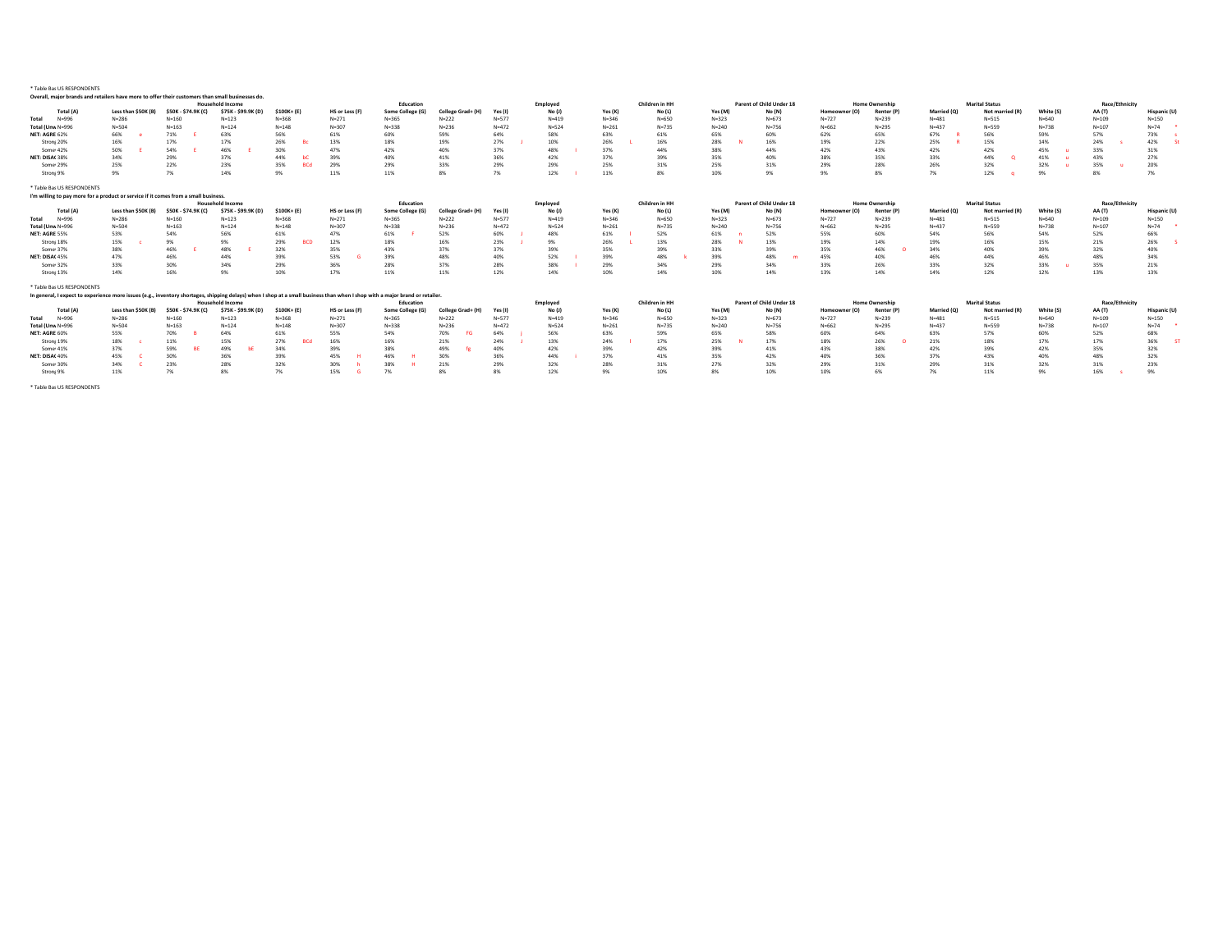| Overall, major brands and retailers have more to offer their customers than small businesses do                                                                              |                     |                     |                         |                   |                |                  |                   |           |           |           |                |           |                          |               |                       |             |                       |           |                |              |
|------------------------------------------------------------------------------------------------------------------------------------------------------------------------------|---------------------|---------------------|-------------------------|-------------------|----------------|------------------|-------------------|-----------|-----------|-----------|----------------|-----------|--------------------------|---------------|-----------------------|-------------|-----------------------|-----------|----------------|--------------|
|                                                                                                                                                                              |                     |                     | <b>Household Income</b> |                   |                | Education        |                   |           | Employed  |           | Children in HH |           | Parent of Child Under 18 |               | <b>Home Ownership</b> |             | <b>Marital Status</b> |           | Race/Ethnicity |              |
| Total (A)                                                                                                                                                                    | Less than \$50K (B) | \$50K - \$74.9K (C) | \$75K - \$99.9K (D)     | \$100K+ (E)       | HS or Less (F) | Some College (G) | College Grad+ (H) | Yes (I)   | No (J)    | Yes (K)   | No (L)         | Yes (M)   | No (N)                   | Homeowner (O) | Renter (P)            | Married (O) | Not married (R)       | White (S) | AA (T)         | Hispanic (U) |
| $N = 996$<br>Total                                                                                                                                                           | $N = 286$           | $N = 160$           | $N = 123$               | $N = 368$         | $N = 271$      | $N = 365$        | $N = 222$         | $N = 577$ | $N = 419$ | $N = 346$ | $N = 650$      | $N = 323$ | $N = 673$                | $N = 727$     | $N = 239$             | $N = 481$   | $N = 515$             | $N = 640$ | $N = 109$      | $N = 150$    |
| Total (Unw N=996                                                                                                                                                             | $N = 504$           | $N = 163$           | $N = 124$               | $N = 148$         | $N = 307$      | $N = 338$        | $N = 236$         | $N = 472$ | $N = 524$ | $N = 261$ | $N = 735$      | $N = 240$ | $N = 756$                | $N = 662$     | $N = 295$             | $N = 437$   | $N = 559$             | $N = 738$ | $N = 107$      | $N=74$       |
| NET: AGRE 62%                                                                                                                                                                | 66%                 | 71%                 | 63%                     | 56%               | 61%            | 60%              | 59%               | 64%       | 58%       | 63%       | 61%            | 65%       | 60%                      | 62%           | 65%                   | 67%         | 56%                   | 59%       | 57%            | 73%          |
| Stroni 20%                                                                                                                                                                   | 16%                 | 17%                 | 17%                     | 26%               | 13%            | 18%              | 19%               | 27%       | 10%       | 26%       | 16%            | 28%       | 16%                      | 19%           | 22%                   | 25%         | 15%                   | 14%       | 24%            | 42%          |
| Some 42%                                                                                                                                                                     | 50%                 | 54%                 | 46%                     | 30%               | 47%            | 42%              | 40%               | 37%       | 48%       | 37%       | 449            | 38%       | 44%                      | 42%           | 43%                   | 42%         | 42%                   | 45%       | 33%            | 31%          |
| NET: DISA(38%                                                                                                                                                                | 34%                 | 29%                 | 37%                     | 44%               | 39%            | 40%              | 41%               | 36%       | 42%       | 37%       | 39%            | 35%       | 40%                      | 38%           | 35%                   | 33%         | 44%                   | 41%       | 43%            | 27%          |
| Some 29%                                                                                                                                                                     | 25%                 | 22%                 | 23%                     | 35%               | 29%            | 29%              | 33%               | 29%       | 29%       | 25%       | 319            | 25%       | 31%                      | 29%           | 28%                   | 26%         | 32%                   | 32%       | 35%            | 20%          |
| Stroni 9%                                                                                                                                                                    | 9%                  | 7%                  | 14%                     | 9%                | 11%            | 11%              | 8%                | 7%        | 12%       | 11%       | 8%             | 10%       | 9%                       | 9%            | 8%                    | 7%          | 12%                   | 9%        | 8%             | 7%           |
|                                                                                                                                                                              |                     |                     |                         |                   |                |                  |                   |           |           |           |                |           |                          |               |                       |             |                       |           |                |              |
| * Table Ba: US RESPONDENTS                                                                                                                                                   |                     |                     |                         |                   |                |                  |                   |           |           |           |                |           |                          |               |                       |             |                       |           |                |              |
| I'm willing to pay more for a product or service if it comes from a small business.                                                                                          |                     |                     |                         |                   |                |                  |                   |           |           |           |                |           |                          |               |                       |             |                       |           |                |              |
|                                                                                                                                                                              |                     |                     | <b>Household Income</b> |                   |                | Education        |                   |           | Employed  |           | Children in HH |           | Parent of Child Under 18 |               | <b>Home Ownership</b> |             | <b>Marital Status</b> |           | Race/Ethnicity |              |
| Total (A)                                                                                                                                                                    | Less than \$50K (B) | \$50K - \$74.9K (C) | \$75K - \$99.9K (D)     | \$100K+ (E)       | HS or Less (F) | Some College (G) | College Grad+ (H) | Yes (I)   | No (J)    | Yes (K)   | No (L)         | Yes (M)   | No (N)                   | Homeowner (O) | Renter (P)            | Married (O) | Not married (R)       | White (S) | <b>AA</b> (T)  | Hispanic (U) |
| $N = 996$<br>Total                                                                                                                                                           | $N = 286$           | $N = 160$           | $N = 123$               | $N = 368$         | $N = 271$      | $N = 365$        | $N = 222$         | $N = 577$ | $N = 419$ | $N = 346$ | $N = 650$      | $N = 323$ | $N = 673$                | $N = 727$     | $N = 239$             | $N = 481$   | $N = 515$             | $N = 640$ | $N = 109$      | $N = 150$    |
| Total (Unw N=996                                                                                                                                                             | $N = 504$           | $N = 163$           | $N = 124$               | $N = 148$         | $N = 307$      | $N = 338$        | $N = 236$         | $N = 472$ | $N = 524$ | $N = 261$ | $N = 735$      | $N = 240$ | $N = 756$                | $N = 662$     | $N = 295$             | $N = 437$   | $N = 559$             | $N = 738$ | $N = 107$      | $N = 74$     |
| NET: AGRE 55%                                                                                                                                                                | 53%                 | 54%                 | 56%                     | 61%               | 47%            | 61%              | 52%               | 60%       | 48%       | 61%       | 52%            | 61%       | 52%                      | 55%           | 60%                   | 54%         | 56%                   | 54%       | 52%            | 66%          |
| Stroni 18%                                                                                                                                                                   | 15%                 | 9%                  | 9%                      | 29%<br><b>BCD</b> | 12%            | 18%              | 16%               | 23%       | 9%        | 26%       | 13%            | 28%       | 13%                      | 19%           | 14%                   | 19%         | 16%                   | 15%       | 21%            | 26%          |
| Some 37%                                                                                                                                                                     | 38%                 | 46%                 | 48%                     | 32%               | 35%            | 43%              | 37%               | 37%       | 39%       | 35%       | 39%            | 33%       | 39%                      | 35%           | 46%                   | 34%         | 40%                   | 39%       | 32%            | 40%          |
| NET: DISA( 45%                                                                                                                                                               | 47%                 | 46%                 | 44%                     | 39%               | 53%            | 39%              | 48%               | 40%       | 52%       | 39%       | 48%            | 39%       | 48%                      | 45%           | 40%                   | 46%         | 44%                   | 46%       | 48%            | 34%          |
| Some 32%                                                                                                                                                                     | 33%                 | 30%                 | 34%                     | 29%               | 36%            | 28%              | 37%               | 28%       | 38%       | 29%       | 34%            | 29%       | 34%                      | 33%           | 26%                   | 33%         | 32%                   | 33%       | 35%            | 21%          |
| Stroni 13%                                                                                                                                                                   | 14%                 | 16%                 | 9%                      | 10%               | 17%            | 11%              | 11%               | 12%       | 14%       | 10%       | 14%            | 10%       | 14%                      | 13%           | 14%                   | 14%         | 12%                   | 12%       | 13%            | 13%          |
|                                                                                                                                                                              |                     |                     |                         |                   |                |                  |                   |           |           |           |                |           |                          |               |                       |             |                       |           |                |              |
| * Table Ba: US RESPONDENTS                                                                                                                                                   |                     |                     |                         |                   |                |                  |                   |           |           |           |                |           |                          |               |                       |             |                       |           |                |              |
| In general, I expect to experience more issues (e.g., inventory shortages, shipping delays) when I shop at a small business than when I shop with a major brand or retailer. |                     |                     |                         |                   |                |                  |                   |           |           |           |                |           |                          |               |                       |             |                       |           |                |              |
|                                                                                                                                                                              |                     |                     | <b>Household Income</b> |                   |                | Education        |                   |           | Employed  |           | Children in HH |           | Parent of Child Under 18 |               | <b>Home Ownership</b> |             | <b>Marital Status</b> |           | Race/Ethnicity |              |
| Total (A)                                                                                                                                                                    | Less than \$50K (B) | \$50K - \$74.9K (C) | \$75K - \$99.9K (D)     | \$100K+ (E)       | HS or Less (F) | Some College (G) | College Grad+ (H) | Yes (I)   | No (J)    | Yes (K)   | No (L)         | Yes (M)   | No (N)                   | Homeowner (O) | Renter (P             | Married (O) | Not married (R)       | White (S) | <b>AA</b> (T)  | Hispanic (U) |
| $N = 996$<br>Total                                                                                                                                                           | $N = 286$           | $N = 160$           | $N = 123$               | $N = 368$         | $N = 271$      | $N = 365$        | $N = 222$         | $N = 577$ | $N = 419$ | $N = 346$ | $N = 650$      | $N = 323$ | $N = 673$                | $N = 727$     | $N = 239$             | $N = 481$   | $N = 515$             | $N = 640$ | $N = 109$      | $N = 150$    |
| Total (Unw N=996                                                                                                                                                             | $N = 504$           | $N = 163$           | $N = 124$               | $N = 148$         | $N = 307$      | $N = 338$        | $N = 236$         | $N = 472$ | $N = 524$ | $N = 261$ | $N = 735$      | $N = 240$ | $N = 756$                | $N = 662$     | $N = 295$             | $N = 437$   | $N = 559$             | $N = 738$ | $N = 107$      | $N = 74$     |
| NET: AGRE 60%                                                                                                                                                                | 55%                 | 70%                 | 64%                     | 61%               | 55%            | 54%              | 70%               | 64%       | 56%       | 63%       | 59%            | 65%       | 58%                      | 60%           | 64%                   | 63%         | 57%                   | 60%       | 52%            | 68%          |
| Stroni 19%                                                                                                                                                                   | 18%                 | 11%                 | 15%                     | 27%<br><b>BCd</b> | 16%            | 16%              | 21%               | 24%       | 13%       | 24%       | 17%            | 25%       | 17%                      | 18%           | 26%                   | 21%         | 18%                   | 17%       | 17%            | 36%          |
| Some 41%                                                                                                                                                                     | 37%                 | 59%                 | 49%                     | 34%               | 39%            | 38%              | 49%               | 40%       | 42%       | 39%       | 42%            | 39%       | 41%                      | 43%           | 38%                   | 42%         | 39%                   | 42%       | 35%            | 32%          |
| NET: DISA(40%                                                                                                                                                                | 45%                 | 30%                 | 36%                     | 39%               | 45%            | 46%              | 30%               | 36%       | 44%       | 37%       | 41%            | 35%       | 42%                      | 40%           | 36%                   | 37%         | 43%                   | 40%       | 48%            | 32%          |
| Some 30%                                                                                                                                                                     | 34%                 | 23%                 | 28%                     | 32%               | 30%            | 38%              | 21%               | 29%       | 32%       | 28%       | 31%            | 27%       | 32%                      | 29%           | 31%                   | 29%         | 31%                   | 32%       | 31%            | 23%          |
| Stronj 9%                                                                                                                                                                    | 11%                 | 7%                  | 8%                      | 7%                | 15%            | 7%               | 8%                | 8%        | 12%       | 9%        | 10%            | 8%        | 10%                      | 10%           | 6%                    | 7%          | 11%                   | 9%        | 16%            | 9%           |
|                                                                                                                                                                              |                     |                     |                         |                   |                |                  |                   |           |           |           |                |           |                          |               |                       |             |                       |           |                |              |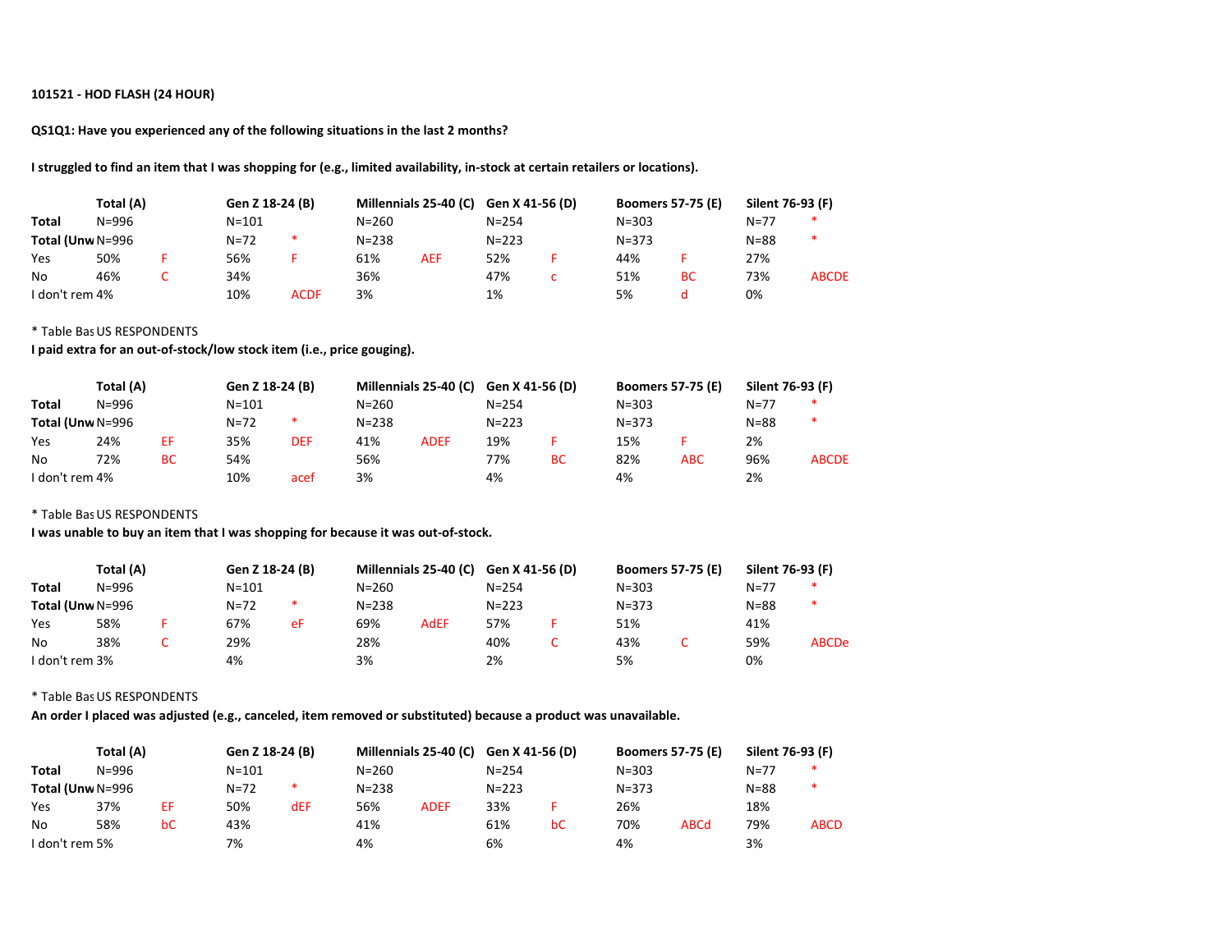## 101521 - HOD FLASH (24 HOUR)

QS1Q1: Have you experienced any of the following situations in the last 2 months?

I struggled to find an item that I was shopping for (e.g., limited availability, in-stock at certain retailers or locations).

|                  | Total (A) | Gen Z 18-24 (B) |             | Millennials 25-40 (C) |            | Gen X 41-56 (D) | <b>Boomers 57-75 (E)</b> |           | Silent 76-93 (F) |              |
|------------------|-----------|-----------------|-------------|-----------------------|------------|-----------------|--------------------------|-----------|------------------|--------------|
| <b>Total</b>     | $N = 996$ | $N = 101$       |             | $N = 260$             |            | $N = 254$       | $N = 303$                |           | $N = 77$         | *            |
| Total (Unw N=996 |           | $N = 72$        | *.          | $N = 238$             |            | $N = 223$       | $N = 373$                |           | $N = 88$         | ∗            |
| Yes              | 50%       | 56%             |             | 61%                   | <b>AEF</b> | 52%             | 44%                      |           | 27%              |              |
| No               | 46%       | 34%             |             | 36%                   |            | 47%             | 51%                      | <b>BC</b> | 73%              | <b>ABCDE</b> |
| I don't rem 4%   |           | 10%             | <b>ACDF</b> | 3%                    |            | 1%              | 5%                       |           | 0%               |              |

### \* Table Bas US RESPONDENTS

I paid extra for an out-of-stock/low stock item (i.e., price gouging).

|                  | Total (A) |           | Gen Z 18-24 (B) |      |           |             | Millennials 25-40 (C) Gen X 41-56 (D) |           | <b>Boomers 57-75 (E)</b> |     | Silent 76-93 (F) |              |
|------------------|-----------|-----------|-----------------|------|-----------|-------------|---------------------------------------|-----------|--------------------------|-----|------------------|--------------|
| <b>Total</b>     | $N = 996$ |           | N=101           |      | $N = 260$ |             | $N = 254$                             |           | $N = 303$                |     | $N = 77$         | ∗            |
| Total (Unw N=996 |           |           | $N = 72$        | *.   | $N = 238$ |             | $N = 223$                             |           | $N = 373$                |     | $N = 88$         | ∗            |
| Yes              | 24%       | ЕF        | 35%             | DEF  | 41%       | <b>ADEF</b> | 19%                                   |           | 15%                      |     | 2%               |              |
| No               | 72%       | <b>BC</b> | 54%             |      | 56%       |             | 77%                                   | <b>BC</b> | 82%                      | ABC | 96%              | <b>ABCDE</b> |
| I don't rem 4%   |           |           | 10%             | acef | 3%        |             | 4%                                    |           | 4%                       |     | 2%               |              |

\* Table Bas US RESPONDENTS

I was unable to buy an item that I was shopping for because it was out-of-stock.

|                  | Total (A) | Gen Z 18-24 (B) |    |           | Millennials 25-40 (C) Gen X 41-56 (D) |           | <b>Boomers 57-75 (E)</b> | Silent 76-93 (F) |              |
|------------------|-----------|-----------------|----|-----------|---------------------------------------|-----------|--------------------------|------------------|--------------|
| Total            | $N = 996$ | $N = 101$       |    | $N = 260$ |                                       | $N = 254$ | $N = 303$                | $N=77$           | *            |
| Total (Unw N=996 |           | $N = 72$        | ∗. | $N = 238$ |                                       | $N = 223$ | $N = 373$                | $N = 88$         | *            |
| Yes              | 58%       | 67%             | eF | 69%       | <b>AdEF</b>                           | 57%       | 51%                      | 41%              |              |
| No               | 38%       | 29%             |    | 28%       |                                       | 40%       | 43%                      | 59%              | <b>ABCDe</b> |
| I don't rem 3%   |           | 4%              |    | 3%        |                                       | 2%        | 5%                       | 0%               |              |

\* Table Bas US RESPONDENTS

An order I placed was adjusted (e.g., canceled, item removed or substituted) because a product was unavailable.

|                  | Total (A) |    | Gen Z 18-24 (B) |        |           |             | Millennials 25-40 (C) Gen X 41-56 (D) |    | <b>Boomers 57-75 (E)</b> |             | Silent 76-93 (F) |             |
|------------------|-----------|----|-----------------|--------|-----------|-------------|---------------------------------------|----|--------------------------|-------------|------------------|-------------|
| Total            | $N = 996$ |    | $N = 101$       |        | $N = 260$ |             | $N = 254$                             |    | $N = 303$                |             | $N = 77$         | ∗           |
| Total (Unw N=996 |           |    | $N = 72$        | $\ast$ | $N = 238$ |             | $N = 223$                             |    | $N = 373$                |             | $N = 88$         | ∗           |
| Yes              | 37%       | ΕF | 50%             | dEF    | 56%       | <b>ADEF</b> | 33%                                   |    | 26%                      |             | 18%              |             |
| No               | 58%       | bC | 43%             |        | 41%       |             | 61%                                   | bC | 70%                      | <b>ABCd</b> | 79%              | <b>ABCD</b> |
| I don't rem 5%   |           |    | 7%              |        | 4%        |             | 6%                                    |    | 4%                       |             | 3%               |             |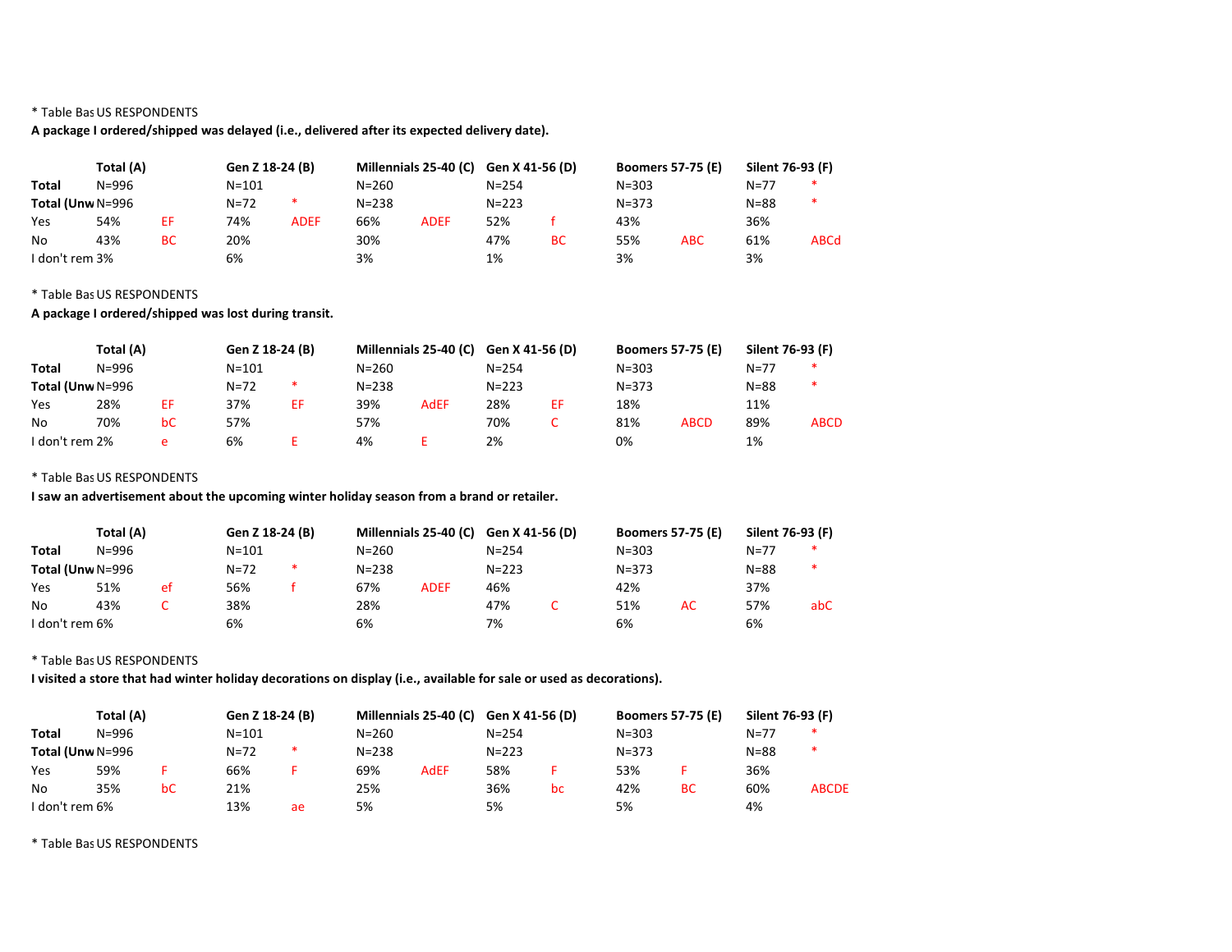# A package I ordered/shipped was delayed (i.e., delivered after its expected delivery date).

|                  | Total (A) |           | Gen Z 18-24 (B) |             | Millennials 25-40 (C) Gen X 41-56 (D) |             |           |    | <b>Boomers 57-75 (E)</b> |            | Silent 76-93 (F) |             |
|------------------|-----------|-----------|-----------------|-------------|---------------------------------------|-------------|-----------|----|--------------------------|------------|------------------|-------------|
| <b>Total</b>     | N=996     |           | $N = 101$       |             | $N = 260$                             |             | $N = 254$ |    | $N = 303$                |            | $N = 77$         | ∗           |
| Total (Unw N=996 |           |           | $N = 72$        | *           | $N = 238$                             |             | $N = 223$ |    | $N = 373$                |            | $N = 88$         | ∗           |
| Yes              | 54%       | ΕF        | 74%             | <b>ADEF</b> | 66%                                   | <b>ADEF</b> | 52%       |    | 43%                      |            | 36%              |             |
| No               | 43%       | <b>BC</b> | 20%             |             | 30%                                   |             | 47%       | BC | 55%                      | <b>ABC</b> | 61%              | <b>ABCd</b> |
| I don't rem 3%   |           |           | 6%              |             | 3%                                    |             | 1%        |    | 3%                       |            | 3%               |             |

## \* Table Bas US RESPONDENTS

# A package I ordered/shipped was lost during transit.

|                  | Total (A) |    | Gen Z 18-24 (B) |    |           |             | Millennials 25-40 (C) Gen X 41-56 (D) |    | <b>Boomers 57-75 (E)</b> |             | Silent 76-93 (F) |             |
|------------------|-----------|----|-----------------|----|-----------|-------------|---------------------------------------|----|--------------------------|-------------|------------------|-------------|
| <b>Total</b>     | N=996     |    | $N = 101$       |    | N=260     |             | $N = 254$                             |    | $N = 303$                |             | $N = 77$         |             |
| Total (Unw N=996 |           |    | $N = 72$        | *  | $N = 238$ |             | $N = 223$                             |    | $N = 373$                |             | $N = 88$         | ∗           |
| Yes              | 28%       | ΕF | 37%             | ΕF | 39%       | <b>AdEF</b> | 28%                                   | EF | 18%                      |             | 11%              |             |
| No               | 70%       | bC | 57%             |    | 57%       |             | 70%                                   |    | 81%                      | <b>ABCD</b> | 89%              | <b>ABCD</b> |
| I don't rem 2%   |           | e  | 6%              |    | 4%        |             | 2%                                    |    | 0%                       |             | 1%               |             |

## \* Table Bas US RESPONDENTS

I saw an advertisement about the upcoming winter holiday season from a brand or retailer.

| Total (A)        |       |    | Gen Z 18-24 (B) |        |           | Millennials 25-40 (C) | Gen X 41-56 (D) | <b>Boomers 57-75 (E)</b> |    | Silent 76-93 (F) |     |
|------------------|-------|----|-----------------|--------|-----------|-----------------------|-----------------|--------------------------|----|------------------|-----|
| <b>Total</b>     | N=996 |    | $N = 101$       |        | $N = 260$ |                       | $N = 254$       | $N = 303$                |    | $N = 77$         |     |
| Total (Unw N=996 |       |    | $N = 72$        | $\ast$ | $N = 238$ |                       | $N = 223$       | $N = 373$                |    | $N = 88$         | ∗   |
| Yes              | 51%   | et | 56%             |        | 67%       | <b>ADEF</b>           | 46%             | 42%                      |    | 37%              |     |
| No               | 43%   |    | 38%             |        | 28%       |                       | 47%             | 51%                      | AC | 57%              | abC |
| I don't rem 6%   |       |    | 6%              |        | 6%        |                       | 7%              | 6%                       |    | 6%               |     |

## \* Table Bas US RESPONDENTS

I visited a store that had winter holiday decorations on display (i.e., available for sale or used as decorations).

| Total (A)        |           | Gen Z 18-24 (B) |           |        | Millennials 25-40 (C) Gen X 41-56 (D) |             |           | <b>Boomers 57-75 (E)</b> |           | Silent 76-93 (F) |          |              |
|------------------|-----------|-----------------|-----------|--------|---------------------------------------|-------------|-----------|--------------------------|-----------|------------------|----------|--------------|
| <b>Total</b>     | $N = 996$ |                 | $N = 101$ |        | $N = 260$                             |             | $N = 254$ |                          | $N = 303$ |                  | $N=77$   | *            |
| Total (Unw N=996 |           |                 | $N = 72$  | $\ast$ | $N = 238$                             |             | $N = 223$ |                          | $N = 373$ |                  | $N = 88$ | ∗            |
| Yes              | 59%       |                 | 66%       |        | 69%                                   | <b>AdEF</b> | 58%       |                          | 53%       |                  | 36%      |              |
| No               | 35%       | bC              | 21%       |        | 25%                                   |             | 36%       | bc                       | 42%       | <b>BC</b>        | 60%      | <b>ABCDE</b> |
| I don't rem 6%   |           |                 | 13%       | ae     | 5%                                    |             | 5%        |                          | 5%        |                  | 4%       |              |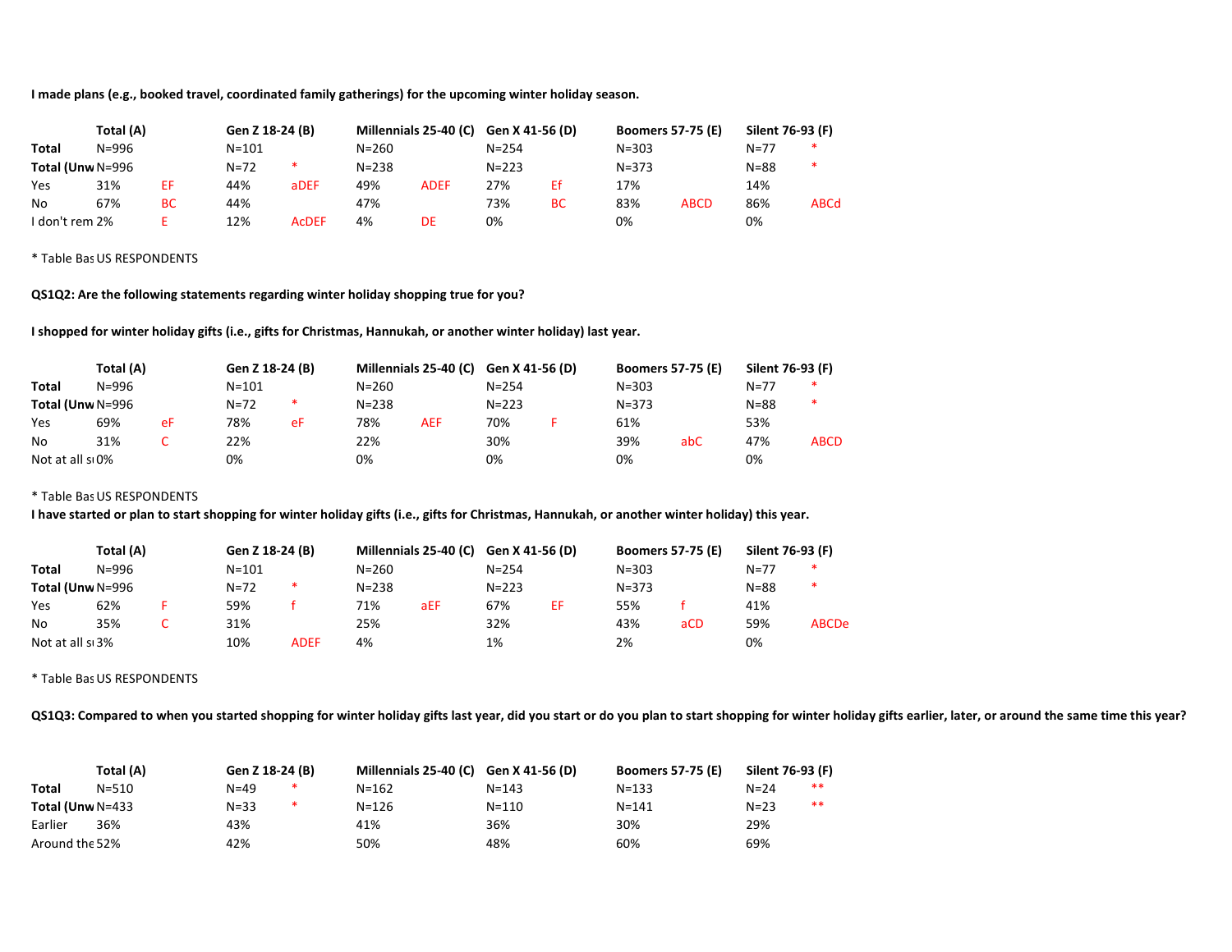I made plans (e.g., booked travel, coordinated family gatherings) for the upcoming winter holiday season.

| Total (A)        |       |           | Gen Z 18-24 (B) |              |           |             | Millennials 25-40 (C) Gen X 41-56 (D) |    | <b>Boomers 57-75 (E)</b> |             | Silent 76-93 (F) |             |
|------------------|-------|-----------|-----------------|--------------|-----------|-------------|---------------------------------------|----|--------------------------|-------------|------------------|-------------|
| <b>Total</b>     | N=996 |           | $N = 101$       |              | N=260     |             | $N = 254$                             |    | $N = 303$                |             | $N=77$           |             |
| Total (Unw N=996 |       |           | $N = 72$        | $\ast$       | $N = 238$ |             | $N = 223$                             |    | $N = 373$                |             | $N = 88$         | *           |
| Yes              | 31%   | EF        | 44%             | aDEF         | 49%       | <b>ADEF</b> | 27%                                   | Еf | 17%                      |             | 14%              |             |
| No               | 67%   | <b>BC</b> | 44%             |              | 47%       |             | 73%                                   | BC | 83%                      | <b>ABCD</b> | 86%              | <b>ABCd</b> |
| I don't rem 2%   |       |           | 12%             | <b>ACDEF</b> | 4%        | DE          | 0%                                    |    | 0%                       |             | 0%               |             |

\* Table Bas US RESPONDENTS

QS1Q2: Are the following statements regarding winter holiday shopping true for you?

I shopped for winter holiday gifts (i.e., gifts for Christmas, Hannukah, or another winter holiday) last year.

| Total (A)        |       |    | Gen Z 18-24 (B) |        |           | Millennials 25-40 (C) Gen X 41-56 (D) |           | <b>Boomers 57-75 (E)</b> |     | Silent 76-93 (F) |             |
|------------------|-------|----|-----------------|--------|-----------|---------------------------------------|-----------|--------------------------|-----|------------------|-------------|
| Total            | N=996 |    | $N = 101$       |        | N=260     |                                       | $N = 254$ | $N = 303$                |     | $N = 77$         |             |
| Total (Unw N=996 |       |    | $N = 72$        | $\ast$ | $N = 238$ |                                       | $N = 223$ | $N = 373$                |     | $N = 88$         | ∗           |
| Yes              | 69%   | eF | 78%             | eF     | 78%       | AEF                                   | 70%       | 61%                      |     | 53%              |             |
| No               | 31%   |    | 22%             |        | 22%       |                                       | 30%       | 39%                      | abC | 47%              | <b>ABCD</b> |
| Not at all si 0% |       |    | 0%              |        | 0%        |                                       | 0%        | 0%                       |     | 0%               |             |

### \* Table Bas US RESPONDENTS

I have started or plan to start shopping for winter holiday gifts (i.e., gifts for Christmas, Hannukah, or another winter holiday) this year.

| Total (A)                    |       | Gen Z 18-24 (B) |           |             |           | Millennials 25-40 (C) Gen X 41-56 (D) |           | <b>Boomers 57-75 (E)</b> |           | Silent 76-93 (F) |          |              |
|------------------------------|-------|-----------------|-----------|-------------|-----------|---------------------------------------|-----------|--------------------------|-----------|------------------|----------|--------------|
| <b>Total</b>                 | N=996 |                 | $N = 101$ |             | $N = 260$ |                                       | $N = 254$ |                          | $N = 303$ |                  | $N=77$   | ∗            |
| Total (Unw N=996             |       |                 | $N = 72$  | *           | $N = 238$ |                                       | $N = 223$ |                          | $N = 373$ |                  | $N = 88$ | ∗            |
| Yes                          | 62%   |                 | 59%       |             | 71%       | aEF                                   | 67%       | ΕF                       | 55%       |                  | 41%      |              |
| No                           | 35%   |                 | 31%       |             | 25%       |                                       | 32%       |                          | 43%       | aCD              | 59%      | <b>ABCDe</b> |
| Not at all s <sub>1</sub> 3% |       |                 | 10%       | <b>ADEF</b> | 4%        |                                       | 1%        |                          | 2%        |                  | 0%       |              |

\* Table Bas US RESPONDENTS

QS1Q3: Compared to when you started shopping for winter holiday gifts last year, did you start or do you plan to start shopping for winter holiday gifts earlier, later, or around the same time this year?

|                  | Total (A) | Gen Z 18-24 (B) |   | Millennials 25-40 (C) Gen X 41-56 (D) |           | <b>Boomers 57-75 (E)</b> | Silent 76-93 (F) |    |
|------------------|-----------|-----------------|---|---------------------------------------|-----------|--------------------------|------------------|----|
| Total            | $N = 510$ | $N = 49$        | ∗ | N=162                                 | $N = 143$ | $N = 133$                | $N = 24$         | ** |
| Total (Unw N=433 |           | $N = 33$        | ∗ | $N = 126$                             | $N = 110$ | $N = 141$                | $N=23$           | ** |
| Earlier          | 36%       | 43%             |   | 41%                                   | 36%       | 30%                      | 29%              |    |
| Around the 52%   |           | 42%             |   | 50%                                   | 48%       | 60%                      | 69%              |    |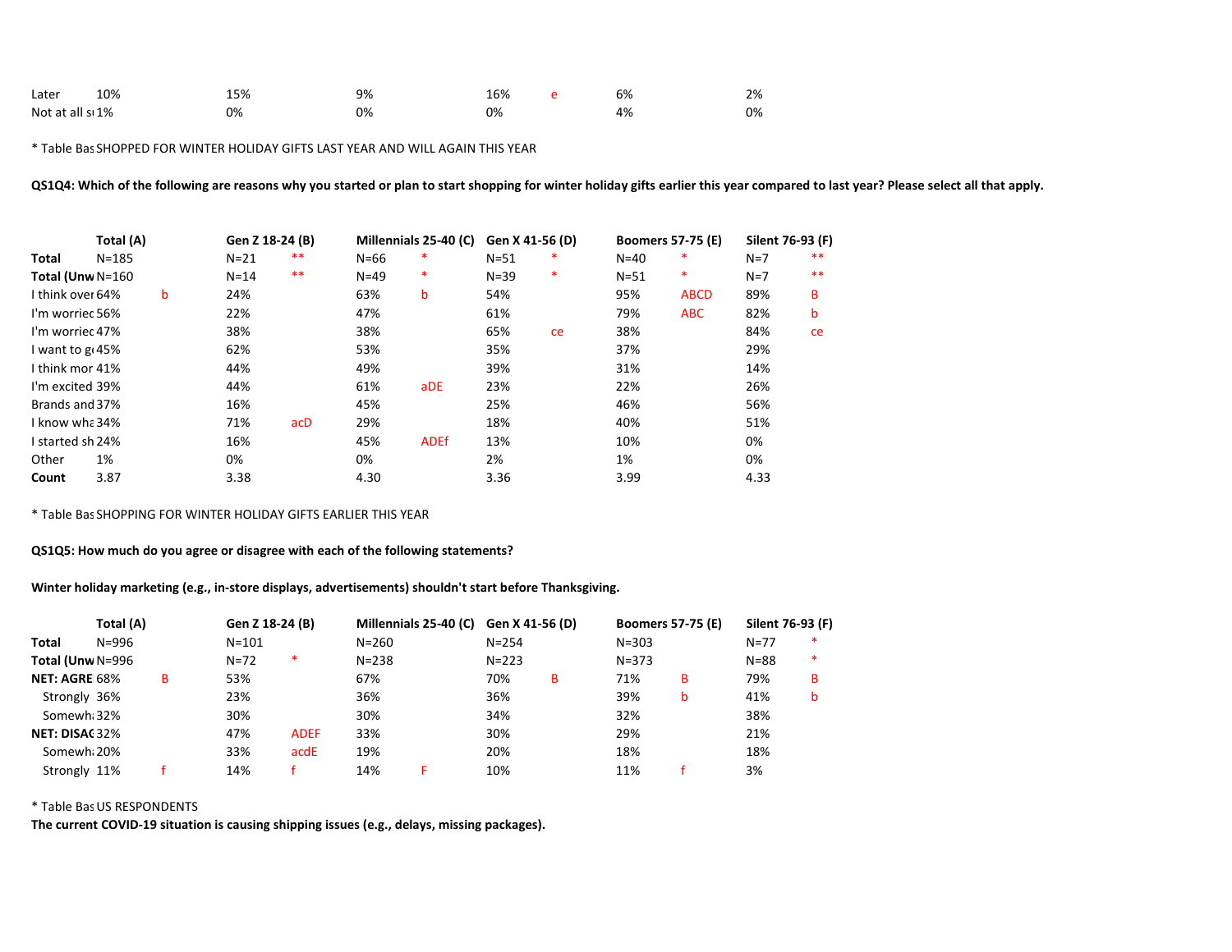| Later                        | 10% | 15% | 9% | 16% | 6% | 2% |
|------------------------------|-----|-----|----|-----|----|----|
| Not at all s <sub>1</sub> 1% |     | 0%  | 0% | 0%  | 4% | 0% |

\* Table Bas SHOPPED FOR WINTER HOLIDAY GIFTS LAST YEAR AND WILL AGAIN THIS YEAR

QS1Q4: Which of the following are reasons why you started or plan to start shopping for winter holiday gifts earlier this year compared to last year? Please select all that apply.

|                              | Total (A) |   | Gen Z 18-24 (B) |       |          | Millennials 25-40 (C) | Gen X 41-56 (D) |    | <b>Boomers 57-75 (E)</b> |             | Silent 76-93 (F) |    |
|------------------------------|-----------|---|-----------------|-------|----------|-----------------------|-----------------|----|--------------------------|-------------|------------------|----|
| Total                        | $N = 185$ |   | $N=21$          | $* *$ | $N = 66$ | ∗                     | $N = 51$        | *  | $N=40$                   | ∗           | $N=7$            | ** |
| Total (Unw N=160             |           |   | $N = 14$        | $***$ | $N=49$   | ∗                     | $N = 39$        | *  | $N = 51$                 | $\ast$      | $N=7$            | ** |
| I think over 64%             |           | b | 24%             |       | 63%      | b                     | 54%             |    | 95%                      | <b>ABCD</b> | 89%              | в  |
| I'm worriec 56%              |           |   | 22%             |       | 47%      |                       | 61%             |    | 79%                      | <b>ABC</b>  | 82%              | b  |
| I'm worriec 47%              |           |   | 38%             |       | 38%      |                       | 65%             | ce | 38%                      |             | 84%              | ce |
| I want to g <sub>1</sub> 45% |           |   | 62%             |       | 53%      |                       | 35%             |    | 37%                      |             | 29%              |    |
| I think mor 41%              |           |   | 44%             |       | 49%      |                       | 39%             |    | 31%                      |             | 14%              |    |
| I'm excited 39%              |           |   | 44%             |       | 61%      | aDE                   | 23%             |    | 22%                      |             | 26%              |    |
| Brands and 37%               |           |   | 16%             |       | 45%      |                       | 25%             |    | 46%                      |             | 56%              |    |
| I know wha 34%               |           |   | 71%             | acD   | 29%      |                       | 18%             |    | 40%                      |             | 51%              |    |
| I started sh 24%             |           |   | 16%             |       | 45%      | <b>ADEf</b>           | 13%             |    | 10%                      |             | 0%               |    |
| Other                        | 1%        |   | 0%              |       | 0%       |                       | 2%              |    | 1%                       |             | 0%               |    |
| Count                        | 3.87      |   | 3.38            |       | 4.30     |                       | 3.36            |    | 3.99                     |             | 4.33             |    |

\* Table Bas SHOPPING FOR WINTER HOLIDAY GIFTS EARLIER THIS YEAR

QS1Q5: How much do you agree or disagree with each of the following statements?

Winter holiday marketing (e.g., in-store displays, advertisements) shouldn't start before Thanksgiving.

|                      | Total (A) |   | Gen Z 18-24 (B) |             |           | Millennials 25-40 (C) Gen X 41-56 (D) |           |   | <b>Boomers 57-75 (E)</b> |   | Silent 76-93 (F) |   |
|----------------------|-----------|---|-----------------|-------------|-----------|---------------------------------------|-----------|---|--------------------------|---|------------------|---|
| <b>Total</b>         | N=996     |   | $N = 101$       |             | $N = 260$ |                                       | $N = 254$ |   | $N = 303$                |   | $N = 77$         | * |
| Total (Unw N=996     |           |   | $N = 72$        | $\ast$      | $N = 238$ |                                       | $N = 223$ |   | $N = 373$                |   | $N = 88$         | * |
| <b>NET: AGRE 68%</b> |           | в | 53%             |             | 67%       |                                       | 70%       | в | 71%                      | в | 79%              | B |
| Strongly 36%         |           |   | 23%             |             | 36%       |                                       | 36%       |   | 39%                      | b | 41%              | b |
| Somewh 32%           |           |   | 30%             |             | 30%       |                                       | 34%       |   | 32%                      |   | 38%              |   |
| NET: DISAC32%        |           |   | 47%             | <b>ADEF</b> | 33%       |                                       | 30%       |   | 29%                      |   | 21%              |   |
| Somewh 20%           |           |   | 33%             | acdE        | 19%       |                                       | 20%       |   | 18%                      |   | 18%              |   |
| Strongly 11%         |           |   | 14%             |             | 14%       |                                       | 10%       |   | 11%                      |   | 3%               |   |

 $*$  Table Bas US RESPONDENTS

The current COVID-19 situation is causing shipping issues (e.g., delays, missing packages).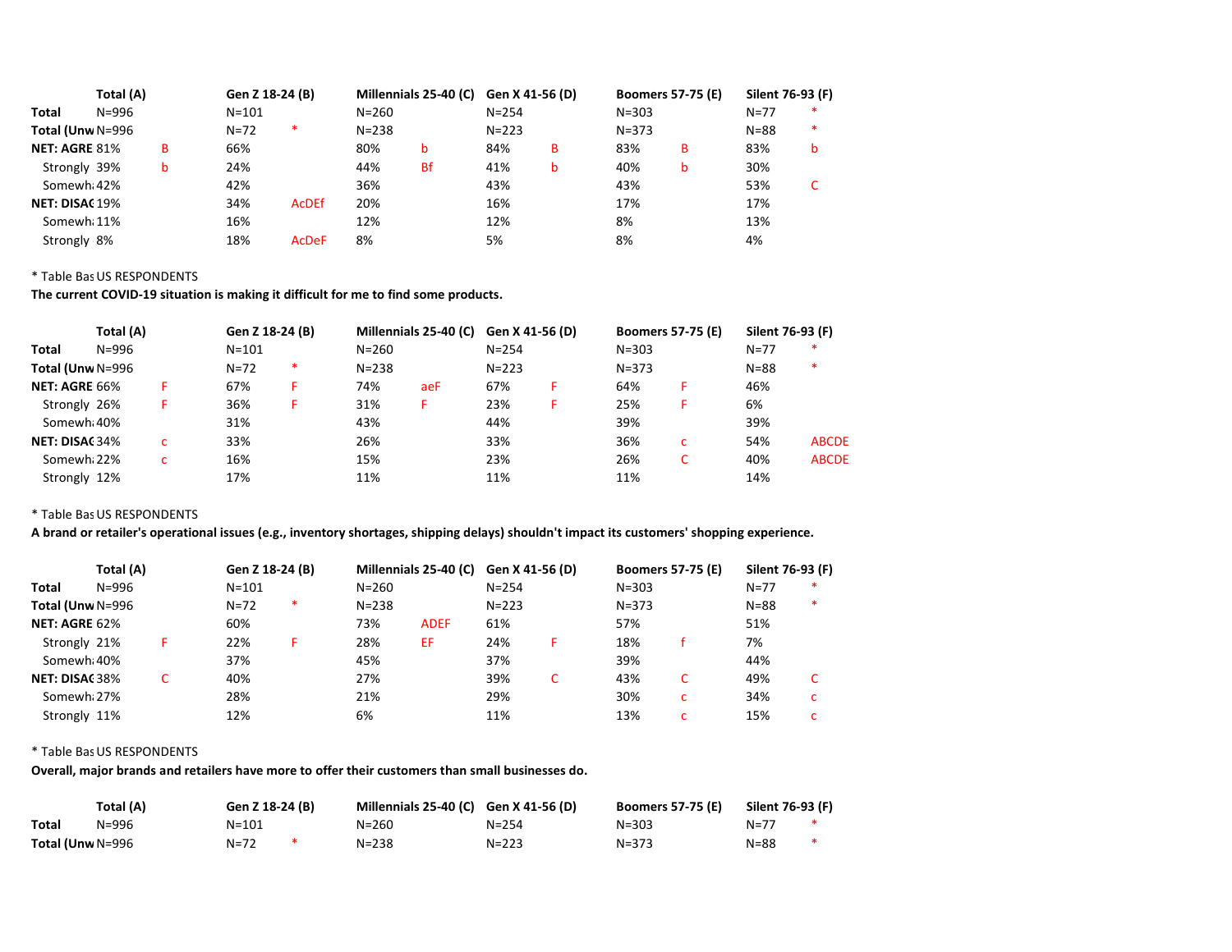|                      | Total (A) |   | Gen Z 18-24 (B) |              |           | Millennials 25-40 (C) Gen X 41-56 (D) |           |   | <b>Boomers 57-75 (E)</b> |   | Silent 76-93 (F) |        |
|----------------------|-----------|---|-----------------|--------------|-----------|---------------------------------------|-----------|---|--------------------------|---|------------------|--------|
| Total                | N=996     |   | $N = 101$       |              | $N = 260$ |                                       | $N = 254$ |   | $N = 303$                |   | $N=77$           | *      |
| Total (Unw N=996     |           |   | $N = 72$        | *            | $N = 238$ |                                       | $N = 223$ |   | $N = 373$                |   | $N = 88$         | $\ast$ |
| <b>NET: AGRE 81%</b> |           | в | 66%             |              | 80%       | b                                     | 84%       | в | 83%                      | в | 83%              | b      |
| Strongly 39%         |           | b | 24%             |              | 44%       | <b>Bf</b>                             | 41%       | b | 40%                      | b | 30%              |        |
| Somewh 42%           |           |   | 42%             |              | 36%       |                                       | 43%       |   | 43%                      |   | 53%              |        |
| NET: DISAC 19%       |           |   | 34%             | <b>AcDEf</b> | 20%       |                                       | 16%       |   | 17%                      |   | 17%              |        |
| Somewh 11%           |           |   | 16%             |              | 12%       |                                       | 12%       |   | 8%                       |   | 13%              |        |
| Strongly 8%          |           |   | 18%             | <b>AcDeF</b> | 8%        |                                       | 5%        |   | 8%                       |   | 4%               |        |

The current COVID-19 situation is making it difficult for me to find some products.

|                  | Total (A) |   | Gen Z 18-24 (B) |   |           | Millennials 25-40 (C) | Gen X 41-56 (D) | <b>Boomers 57-75 (E)</b> |   | Silent 76-93 (F) |              |
|------------------|-----------|---|-----------------|---|-----------|-----------------------|-----------------|--------------------------|---|------------------|--------------|
| Total            | $N = 996$ |   | $N = 101$       |   | $N = 260$ |                       | $N = 254$       | $N = 303$                |   | $N=77$           | ∗            |
| Total (Unw N=996 |           |   | $N = 72$        | * | $N = 238$ |                       | $N = 223$       | $N = 373$                |   | $N = 88$         | ∗            |
| NET: AGRE 66%    |           | F | 67%             | F | 74%       | aeF                   | 67%             | 64%                      |   | 46%              |              |
| Strongly 26%     |           | F | 36%             | F | 31%       | F.                    | 23%             | 25%                      |   | 6%               |              |
| Somewh 40%       |           |   | 31%             |   | 43%       |                       | 44%             | 39%                      |   | 39%              |              |
| NET: DISAC 34%   |           | c | 33%             |   | 26%       |                       | 33%             | 36%                      | c | 54%              | <b>ABCDE</b> |
| Somewh 22%       |           | c | 16%             |   | 15%       |                       | 23%             | 26%                      | C | 40%              | <b>ABCDE</b> |
| Strongly 12%     |           |   | 17%             |   | 11%       |                       | 11%             | 11%                      |   | 14%              |              |

 $*$  Table Bas US RESPONDENTS

A brand or retailer's operational issues (e.g., inventory shortages, shipping delays) shouldn't impact its customers' shopping experience.

|                         | Total (A) |  | Gen Z 18-24 (B) |   |           | Millennials 25-40 (C) Gen X 41-56 (D) |           |   | <b>Boomers 57-75 (E)</b> |   | Silent 76-93 (F) |   |
|-------------------------|-----------|--|-----------------|---|-----------|---------------------------------------|-----------|---|--------------------------|---|------------------|---|
| Total                   | N=996     |  | $N = 101$       |   | $N = 260$ |                                       | $N = 254$ |   | $N = 303$                |   | $N=77$           | ∗ |
| Total (Unw N=996        |           |  | $N=72$          | ∗ | $N = 238$ |                                       | $N = 223$ |   | $N = 373$                |   | $N = 88$         | * |
| NET: AGRE 62%           |           |  | 60%             |   | 73%       | <b>ADEF</b>                           | 61%       |   | 57%                      |   | 51%              |   |
| Strongly 21%            |           |  | 22%             | F | 28%       | EF                                    | 24%       | F | 18%                      |   | 7%               |   |
| Somewh <sub>i</sub> 40% |           |  | 37%             |   | 45%       |                                       | 37%       |   | 39%                      |   | 44%              |   |
| <b>NET: DISAC38%</b>    |           |  | 40%             |   | 27%       |                                       | 39%       | C | 43%                      | C | 49%              |   |
| Somewh 27%              |           |  | 28%             |   | 21%       |                                       | 29%       |   | 30%                      | c | 34%              | c |
| Strongly 11%            |           |  | 12%             |   | 6%        |                                       | 11%       |   | 13%                      | c | 15%              |   |

## $*$  Table Bas US RESPONDENTS

Overall, major brands and retailers have more to offer their customers than small businesses do.

| Total (A)        |       | Gen Z 18-24 (B) |  | Millennials 25-40 (C) Gen X 41-56 (D) |           | <b>Boomers 57-75 (E)</b> | Silent 76-93 (F) |   |
|------------------|-------|-----------------|--|---------------------------------------|-----------|--------------------------|------------------|---|
| Total            | N=996 | N=101           |  | N=260                                 | $N = 254$ | $N = 303$                | N=77             |   |
| Total (Unw N=996 |       | N=72            |  | $N = 238$                             | $N = 223$ | $N = 373$                | $N = 88$         | * |